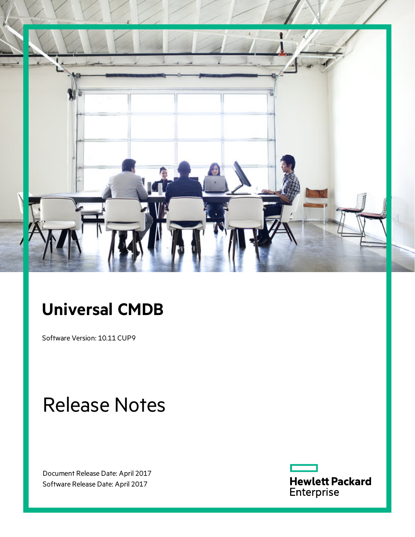

# **Universal CMDB**

Software Version: 10.11 CUP9

# Release Notes

Document Release Date: April 2017 Software Release Date: April 2017

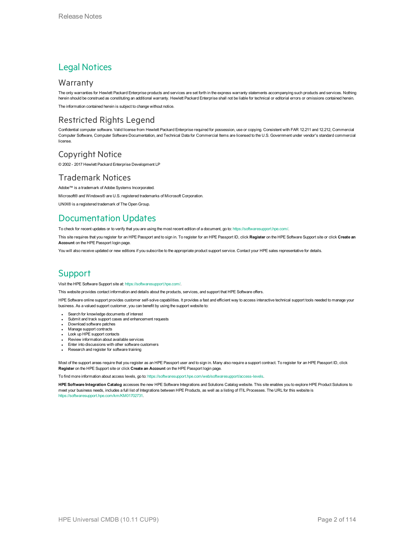### Legal Notices

### **Warranty**

The only warranties for Hewlett Packard Enterprise products and services are set forth in the express warranty statements accompanying such products and services. Nothing herein should be construed as constituting an additional warranty. Hewlett Packard Enterprise shall not be liable for technical or editorial errors or omissions contained herein.

The information contained herein is subject to change without notice.

### Restricted Rights Legend

Confidential computer software. Valid license from Hewlett Packard Enterprise required for possession, use or copying. Consistent with FAR 12.211 and 12.212, Commercial Computer Software, Computer Software Documentation, and Technical Data for Commercial Items are licensed to the U.S. Government under vendor's standard commercial license.

### Copyright Notice

© 2002 - 2017 Hewlett Packard Enterprise Development LP

### Trademark Notices

Adobe™ is a trademark of Adobe Systems Incorporated. Microsoft® and Windows® are U.S. registered trademarks of Microsoft Corporation. UNIX® is a registered trademark of The Open Group.

## Documentation Updates

To check for recent updates or to verify that you are using the most recent edition of a document, go to: <https://softwaresupport.hpe.com/>.

This site requires that you register for an HPE Passport and to sign in. To register for an HPE Passport ID, click **Register** on the HPE Software Support site or click **Create an Account** on the HPE Passport login page.

You will also receive updated or new editions if you subscribe to the appropriate product support service. Contact your HPE sales representative for details.

## **Support**

Visit the HPE Software Support site at: <https://softwaresupport.hpe.com/>.

This website provides contact information and details about the products, services, and support that HPE Software offers.

HPE Software online support provides customer self-solve capabilities. It provides a fast and efficient way to access interactive technical support tools needed to manage your business. As a valued support customer, you can benefit by using the support website to:

- Search for knowledge documents of interest
- Submit and track support cases and enhancement requests
- Download software patches
- **Manage support contracts**
- Look up HPE support contacts
- Review information about available services Enter into discussions with other software customers
- Research and register for software training

Most of the support areas require that you register as an HPE Passport user and to sign in. Many also require a support contract. To register for an HPE Passport ID, click **Register** on the HPE Support site or click **Create an Account** on the HPE Passport login page.

To find more information about access levels, go to: <https://softwaresupport.hpe.com/web/softwaresupport/access-levels>.

**HPE Software Integration Catalog** accesses the new HPE Software Integrations and Solutions Catalog website. This site enables you to explore HPE Product Solutions to meet your business needs, includes a full list of Integrations between HPE Products, as well as a listing of ITIL Processes. The URL for this website is [https://softwaresupport.hpe.com/km/KM01702731.](https://softwaresupport.hpe.com/km/KM01702731)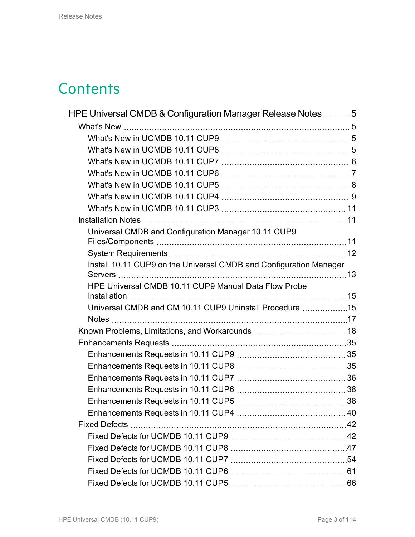# **Contents**

| HPE Universal CMDB & Configuration Manager Release Notes  5        |  |
|--------------------------------------------------------------------|--|
|                                                                    |  |
|                                                                    |  |
|                                                                    |  |
|                                                                    |  |
|                                                                    |  |
|                                                                    |  |
|                                                                    |  |
|                                                                    |  |
|                                                                    |  |
| Universal CMDB and Configuration Manager 10.11 CUP9                |  |
|                                                                    |  |
| Install 10.11 CUP9 on the Universal CMDB and Configuration Manager |  |
|                                                                    |  |
| HPE Universal CMDB 10.11 CUP9 Manual Data Flow Probe               |  |
| Universal CMDB and CM 10.11 CUP9 Uninstall Procedure 15            |  |
|                                                                    |  |
|                                                                    |  |
|                                                                    |  |
|                                                                    |  |
|                                                                    |  |
|                                                                    |  |
|                                                                    |  |
|                                                                    |  |
|                                                                    |  |
|                                                                    |  |
|                                                                    |  |
|                                                                    |  |
|                                                                    |  |
|                                                                    |  |
|                                                                    |  |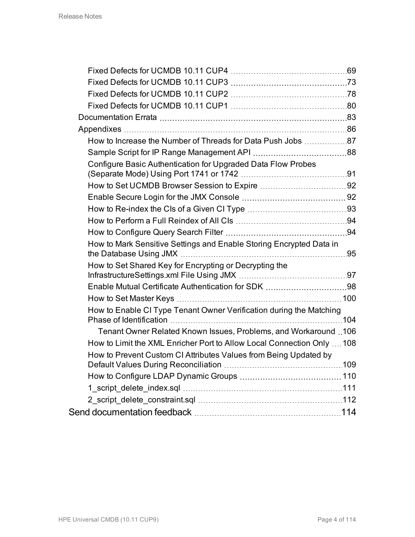| How to Increase the Number of Threads for Data Push Jobs 87            |  |
|------------------------------------------------------------------------|--|
|                                                                        |  |
| Configure Basic Authentication for Upgraded Data Flow Probes           |  |
|                                                                        |  |
|                                                                        |  |
|                                                                        |  |
|                                                                        |  |
|                                                                        |  |
| How to Mark Sensitive Settings and Enable Storing Encrypted Data in    |  |
| How to Set Shared Key for Encrypting or Decrypting the                 |  |
|                                                                        |  |
|                                                                        |  |
| How to Enable CI Type Tenant Owner Verification during the Matching    |  |
| Tenant Owner Related Known Issues, Problems, and Workaround  106       |  |
| How to Limit the XML Enricher Port to Allow Local Connection Only  108 |  |
| How to Prevent Custom CI Attributes Values from Being Updated by       |  |
|                                                                        |  |
|                                                                        |  |
|                                                                        |  |
|                                                                        |  |
|                                                                        |  |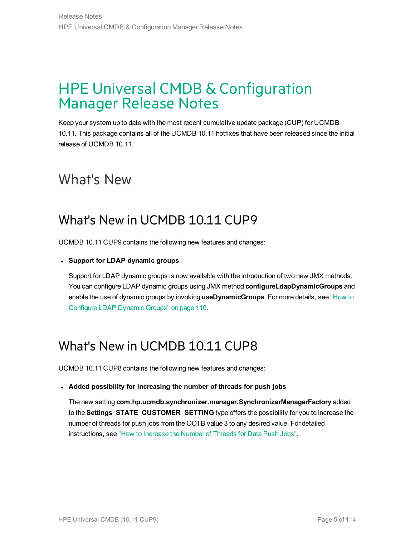# <span id="page-4-0"></span>HPE Universal CMDB & Configuration Manager Release Notes

Keep your system up to date with the most recent cumulative update package (CUP) for UCMDB 10.11. This package contains all of the UCMDB 10.11 hotfixes that have been released since the initial release of UCMDB 10.11.

## <span id="page-4-2"></span><span id="page-4-1"></span>What's New

## What's New in UCMDB 10.11 CUP9

UCMDB 10.11 CUP9 contains the following new features and changes:

### <sup>l</sup> **Support for LDAP dynamic groups**

Support for LDAP dynamic groups is now available with the introduction of two new JMX methods. You can configure LDAP dynamic groups using JMX method **configureLdapDynamicGroups** and enable the use of dynamic groups by invoking **useDynamicGroups**. For more details, see ["How](#page-109-0) to [Configure](#page-109-0) LDAP Dynamic Groups" on page 110.

## <span id="page-4-3"></span>What's New in UCMDB 10.11 CUP8

UCMDB 10.11 CUP8 contains the following new features and changes:

### <sup>l</sup> **Added possibility for increasing the number of threads for push jobs**

The new setting **com.hp.ucmdb.synchronizer.manager.SynchronizerManagerFactory** added to the **Settings\_STATE\_CUSTOMER\_SETTING** type offers the possibility for you to increase the number of threads for push jobs from the OOTB value 3 to any desired value. For detailed instructions, see "How to [Increase](#page-86-0) the Number of Threads for Data Push Jobs".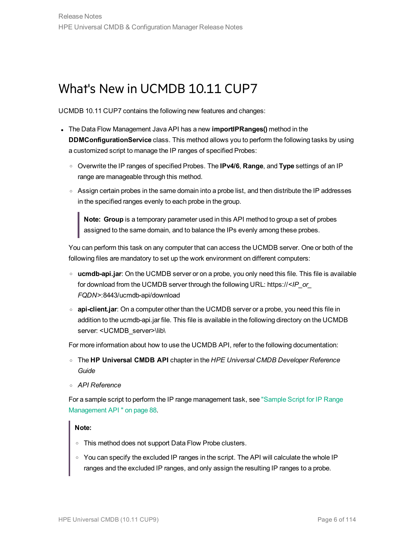## <span id="page-5-0"></span>What's New in UCMDB 10.11 CUP7

UCMDB 10.11 CUP7 contains the following new features and changes:

- **.** The Data Flow Management Java API has a new *importIPRanges()* method in the **DDMConfigurationService** class. This method allows you to perform the following tasks by using a customized script to manage the IP ranges of specified Probes:
	- <sup>o</sup> Overwrite the IP ranges of specified Probes. The **IPv4/6**, **Range**, and **Type** settings of an IP range are manageable through this method.
	- $\circ$  Assign certain probes in the same domain into a probe list, and then distribute the IP addresses in the specified ranges evenly to each probe in the group.

**Note: Group** is a temporary parameter used in this API method to group a set of probes assigned to the same domain, and to balance the IPs evenly among these probes.

You can perform this task on any computer that can access the UCMDB server. One or both of the following files are mandatory to set up the work environment on different computers:

- <sup>o</sup> **ucmdb-api.jar**: On the UCMDB server or on a probe, you only need this file. This file is available for download from the UCMDB server through the following URL: https://*<IP\_or\_ FQDN>*:8443/ucmdb-api/download
- <sup>o</sup> **api-client.jar**: On a computer other than the UCMDB server or a probe, you need this file in addition to the ucmdb-api.jar file. This file is available in the following directory on the UCMDB server: <UCMDB\_server>\lib\

For more information about how to use the UCMDB API, refer to the following documentation:

- <sup>o</sup> The **HP Universal CMDB API** chapter in the *HPE Universal CMDB Developer Reference Guide*
- <sup>o</sup> *API Reference*

For a sample script to perform the IP range management task, see ["Sample](#page-87-0) Script for IP Range [Management](#page-87-0) API " on page 88.

### **Note:**

- <sup>o</sup> This method does not support Data Flow Probe clusters.
- o You can specify the excluded IP ranges in the script. The API will calculate the whole IP ranges and the excluded IP ranges, and only assign the resulting IP ranges to a probe.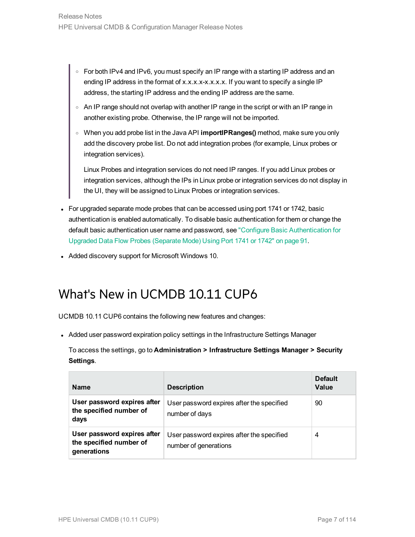- ∘ For both IPv4 and IPv6, you must specify an IP range with a starting IP address and an ending IP address in the format of x.x.x.x.x.x.x.x. If you want to specify a single IP address, the starting IP address and the ending IP address are the same.
- <sup>o</sup> An IP range should not overlap with another IP range in the script or with an IP range in another existing probe. Otherwise, the IP range will not be imported.
- <sup>o</sup> When you add probe list in the Java API **importIPRanges()** method, make sure you only add the discovery probe list. Do not add integration probes (for example, Linux probes or integration services).

Linux Probes and integration services do not need IP ranges. If you add Linux probes or integration services, although the IPs in Linux probe or integration services do not display in the UI, they will be assigned to Linux Probes or integration services.

- For upgraded separate mode probes that can be accessed using port 1741 or 1742, basic authentication is enabled automatically. To disable basic authentication for them or change the default basic authentication user name and password, see "Configure Basic [Authentication](#page-90-0) for Upgraded Data Flow Probes [\(Separate](#page-90-0) Mode) Using Port 1741 or 1742" on page 91.
- <span id="page-6-0"></span>• Added discovery support for Microsoft Windows 10.

## What's New in UCMDB 10.11 CUP6

UCMDB 10.11 CUP6 contains the following new features and changes:

• Added user password expiration policy settings in the Infrastructure Settings Manager

To access the settings, go to **Administration > Infrastructure Settings Manager > Security Settings**.

| <b>Name</b>                                                           | <b>Description</b>                                                 | <b>Default</b><br>Value |
|-----------------------------------------------------------------------|--------------------------------------------------------------------|-------------------------|
| User password expires after<br>the specified number of<br>days        | User password expires after the specified<br>number of days        | 90                      |
| User password expires after<br>the specified number of<br>generations | User password expires after the specified<br>number of generations | 4                       |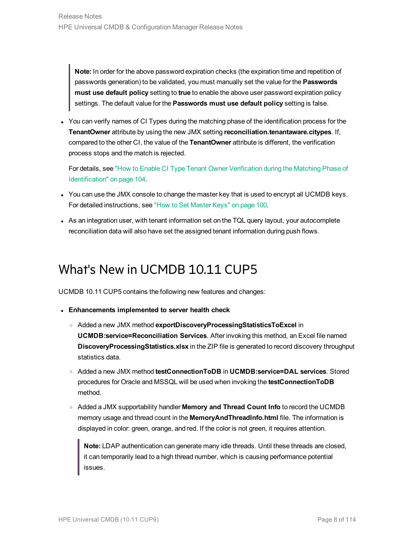**Note:** In order for the above password expiration checks (the expiration time and repetition of passwords generation) to be validated, you must manually set the value for the **Passwords must use default policy** setting to **true** to enable the above user password expiration policy settings. The default value for the **Passwords must use default policy** setting is false.

• You can verify names of CI Types during the matching phase of the identification process for the **TenantOwner** attribute by using the new JMX setting **reconciliation.tenantaware.citypes**. If, compared to the other CI, the value of the **TenantOwner** attribute is different, the verification process stops and the match is rejected.

For details, see "How to Enable CI Type Tenant Owner [Verification](#page-103-0) during the Matching Phase of [Identification"](#page-103-0) on page 104.

- You can use the JMX console to change the master key that is used to encrypt all UCMDB keys. For detailed instructions, see "How to Set [Master](#page-99-0) Keys" on page 100.
- <span id="page-7-0"></span>• As an integration user, with tenant information set on the TQL query layout, your autocomplete reconciliation data will also have set the assigned tenant information during push flows.

## What's New in UCMDB 10.11 CUP5

UCMDB 10.11 CUP5 contains the following new features and changes:

- <sup>l</sup> **Enhancements implemented to server health check**
	- <sup>o</sup> Added a new JMX method **exportDiscoveryProcessingStatisticsToExcel** in **UCMDB:service=Reconciliation Services**. After invoking this method, an Excel file named **DiscoveryProcessingStatistics.xlsx** in the ZIP file is generated to record discovery throughput statistics data.
	- <sup>o</sup> Added a new JMX method **testConnectionToDB** in **UCMDB:service=DAL services**. Stored procedures for Oracle and MSSQL will be used when invoking the **testConnectionToDB** method.
	- <sup>o</sup> Added a JMX supportability handler **Memory and Thread Count Info** to record the UCMDB memory usage and thread count in the **MemoryAndThreadInfo.html** file. The information is displayed in color: green, orange, and red. If the color is not green, it requires attention.

**Note:** LDAP authentication can generate many idle threads. Until these threads are closed, it can temporarily lead to a high thread number, which is causing performance potential issues.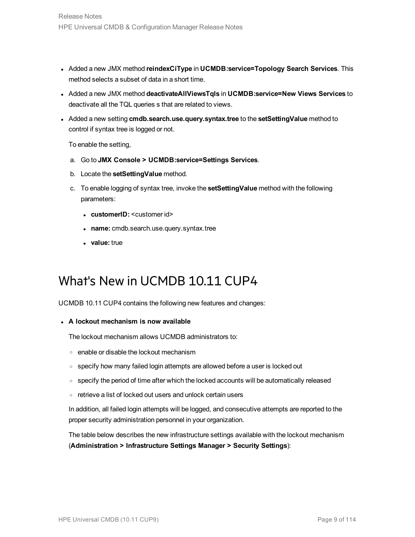- <sup>l</sup> Added a new JMX method **reindexCiType** in **UCMDB:service=Topology Search Services**. This method selects a subset of data in a short time.
- <sup>l</sup> Added a new JMX method **deactivateAllViewsTqls** in **UCMDB:service=New Views Services** to deactivate all the TQL queries s that are related to views.
- <sup>l</sup> Added a new setting **cmdb.search.use.query.syntax.tree** to the **setSettingValue** method to control if syntax tree is logged or not.

To enable the setting,

- a. Go to **JMX Console > UCMDB:service=Settings Services**.
- b. Locate the **setSettingValue** method.
- c. To enable logging of syntax tree, invoke the **setSettingValue** method with the following parameters:
	- **customerID:** <customer id>
	- **.** name: cmdb.search.use.query.syntax.tree
	- **value:** true

## <span id="page-8-0"></span>What's New in UCMDB 10.11 CUP4

UCMDB 10.11 CUP4 contains the following new features and changes:

#### <sup>l</sup> **A lockout mechanism is now available**

The lockout mechanism allows UCMDB administrators to:

- <sup>o</sup> enable or disable the lockout mechanism
- specify how many failed login attempts are allowed before a user is locked out
- $\circ$  specify the period of time after which the locked accounts will be automatically released
- <sup>o</sup> retrieve a list of locked out users and unlock certain users

In addition, all failed login attempts will be logged, and consecutive attempts are reported to the proper security administration personnel in your organization.

The table below describes the new infrastructure settings available with the lockout mechanism (**Administration > Infrastructure Settings Manager > Security Settings**):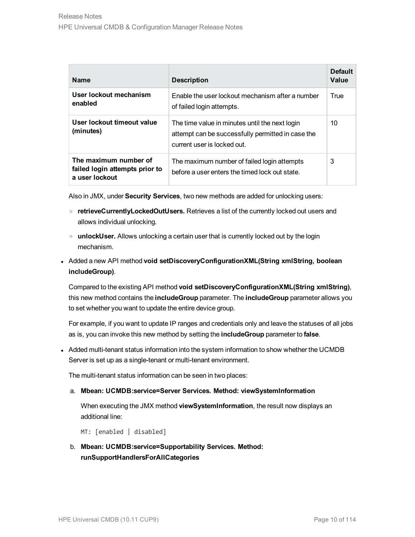| <b>Name</b>                                                               | <b>Description</b>                                                                                                                 | <b>Default</b><br>Value |
|---------------------------------------------------------------------------|------------------------------------------------------------------------------------------------------------------------------------|-------------------------|
| User lockout mechanism<br>enabled                                         | Enable the user lockout mechanism after a number<br>of failed login attempts.                                                      | True                    |
| User lockout timeout value<br>(minutes)                                   | The time value in minutes until the next login<br>attempt can be successfully permitted in case the<br>current user is locked out. | 10                      |
| The maximum number of<br>failed login attempts prior to<br>a user lockout | The maximum number of failed login attempts<br>before a user enters the timed lock out state.                                      | 3                       |

Also in JMX, under **Security Services**, two new methods are added for unlocking users:

- <sup>o</sup> **retrieveCurrentlyLockedOutUsers.** Retrieves a list of the currently locked out users and allows individual unlocking.
- <sup>o</sup> **unlockUser.** Allows unlocking a certain user that is currently locked out by the login mechanism.
- <sup>l</sup> Added a new API method **void setDiscoveryConfigurationXML(String xmlString, boolean includeGroup)**.

Compared to the existing API method **void setDiscoveryConfigurationXML(String xmlString)**, this new method contains the **includeGroup** parameter. The **includeGroup** parameter allows you to set whether you want to update the entire device group.

For example, if you want to update IP ranges and credentials only and leave the statuses of all jobs as is, you can invoke this new method by setting the **includeGroup** parameter to **false**.

• Added multi-tenant status information into the system information to show whether the UCMDB Server is set up as a single-tenant or multi-tenant environment.

The multi-tenant status information can be seen in two places:

a. **Mbean: UCMDB:service=Server Services. Method: viewSystemInformation**

When executing the JMX method **viewSystemInformation**, the result now displays an additional line:

MT: [enabled | disabled]

b. **Mbean: UCMDB:service=Supportability Services. Method: runSupportHandlersForAllCategories**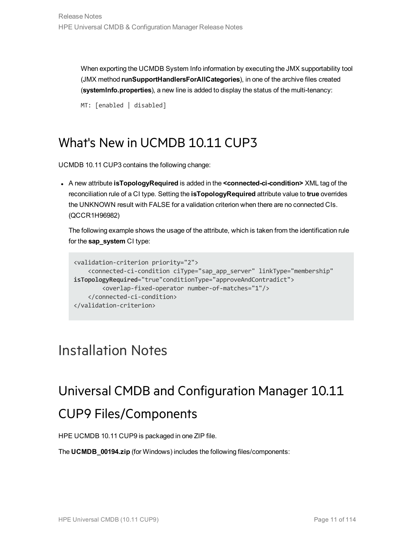When exporting the UCMDB System Info information by executing the JMX supportability tool (JMX method **runSupportHandlersForAllCategories**), in one of the archive files created (**systemInfo.properties**), a new line is added to display the status of the multi-tenancy:

```
MT: [enabled | disabled]
```
## What's New in UCMDB 10.11 CUP3

UCMDB 10.11 CUP3 contains the following change:

<sup>l</sup> A new attribute **isTopologyRequired** is added in the **<connected-ci-condition>** XML tag of the reconciliation rule of a CI type. Setting the **isTopologyRequired** attribute value to **true** overrides the UNKNOWN result with FALSE for a validation criterion when there are no connected CIs. (QCCR1H96982)

The following example shows the usage of the attribute, which is taken from the identification rule for the **sap\_system** CI type:

```
<validation-criterion priority="2">
    <connected-ci-condition ciType="sap_app_server" linkType="membership"
isTopologyRequired="true"conditionType="approveAndContradict">
        <overlap-fixed-operator number-of-matches="1"/>
    </connected-ci-condition>
</validation-criterion>
```
# <span id="page-10-2"></span><span id="page-10-1"></span>Installation Notes

# Universal CMDB and Configuration Manager 10.11 CUP9 Files/Components

HPE UCMDB 10.11 CUP9 is packaged in one ZIP file.

The **UCMDB\_00194.zip** (for Windows) includes the following files/components: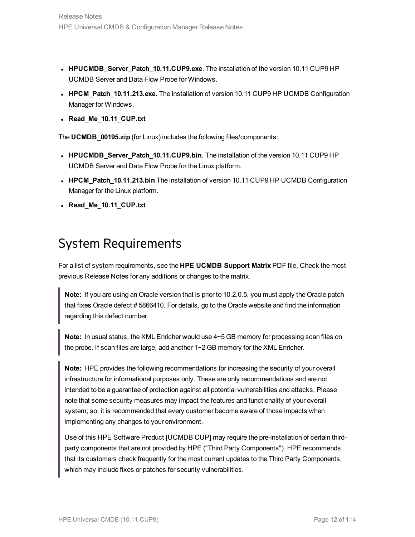- **HPUCMDB\_Server\_Patch\_10.11.CUP9.exe**. The installation of the version 10.11 CUP9 HP UCMDB Server and Data Flow Probe for Windows.
- **HPCM\_Patch\_10.11.213.exe**. The installation of version 10.11 CUP9 HP UCMDB Configuration Manager for Windows.
- <sup>l</sup> **Read\_Me\_10.11\_CUP.txt**

The **UCMDB\_00195.zip** (for Linux) includes the following files/components:

- **HPUCMDB\_Server\_Patch\_10.11.CUP9.bin**. The installation of the version 10.11 CUP9 HP UCMDB Server and Data Flow Probe for the Linux platform.
- HPCM\_Patch\_10.11.213.bin The installation of version 10.11 CUP9 HP UCMDB Configuration Manager for the Linux platform.
- <span id="page-11-0"></span><sup>l</sup> **Read\_Me\_10.11\_CUP.txt**

## System Requirements

For a list of system requirements, see the **HPE UCMDB Support Matrix** PDF file. Check the most previous Release Notes for any additions or changes to the matrix.

**Note:** If you are using an Oracle version that is prior to 10.2.0.5, you must apply the Oracle patch that fixes Oracle defect # 5866410. For details, go to the Oracle website and find the information regarding this defect number.

**Note:** In usual status, the XML Enricher would use 4~5 GB memory for processing scan files on the probe. If scan files are large, add another 1~2 GB memory for the XML Enricher.

**Note:** HPE provides the following recommendations for increasing the security of your overall infrastructure for informational purposes only. These are only recommendations and are not intended to be a guarantee of protection against all potential vulnerabilities and attacks. Please note that some security measures may impact the features and functionality of your overall system; so, it is recommended that every customer become aware of those impacts when implementing any changes to your environment.

Use of this HPE Software Product [UCMDB CUP] may require the pre-installation of certain thirdparty components that are not provided by HPE ("Third Party Components"). HPE recommends that its customers check frequently for the most current updates to the Third Party Components, which may include fixes or patches for security vulnerabilities.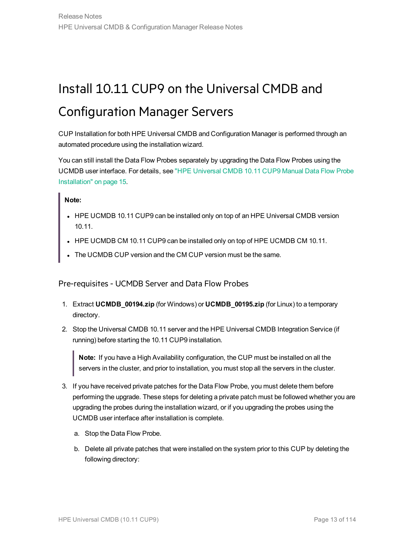# <span id="page-12-0"></span>Install 10.11 CUP9 on the Universal CMDB and Configuration Manager Servers

CUP Installation for both HPE Universal CMDB and Configuration Manager is performed through an automated procedure using the installation wizard.

You can still install the Data Flow Probes separately by upgrading the Data Flow Probes using the UCMDB user interface. For details, see "HPE [Universal](#page-14-0) CMDB 10.11 CUP9 Manual Data Flow Probe [Installation"](#page-14-0) on page 15.

**Note:**

- HPE UCMDB 10.11 CUP9 can be installed only on top of an HPE Universal CMDB version 10.11.
- HPE UCMDB CM 10.11 CUP9 can be installed only on top of HPE UCMDB CM 10.11.
- <span id="page-12-1"></span>The UCMDB CUP version and the CM CUP version must be the same.

Pre-requisites- UCMDB Server and Data Flow Probes

- 1. Extract **UCMDB\_00194.zip** (for Windows) or **UCMDB\_00195.zip** (for Linux) to a temporary directory.
- 2. Stop the Universal CMDB 10.11 server and the HPE Universal CMDB Integration Service (if running) before starting the 10.11 CUP9 installation.

**Note:** If you have a High Availability configuration, the CUP must be installed on all the servers in the cluster, and prior to installation, you must stop all the servers in the cluster.

- 3. If you have received private patches for the Data Flow Probe, you must delete them before performing the upgrade. These steps for deleting a private patch must be followed whether you are upgrading the probes during the installation wizard, or if you upgrading the probes using the UCMDB user interface after installation is complete.
	- a. Stop the Data Flow Probe.
	- b. Delete all private patches that were installed on the system prior to this CUP by deleting the following directory: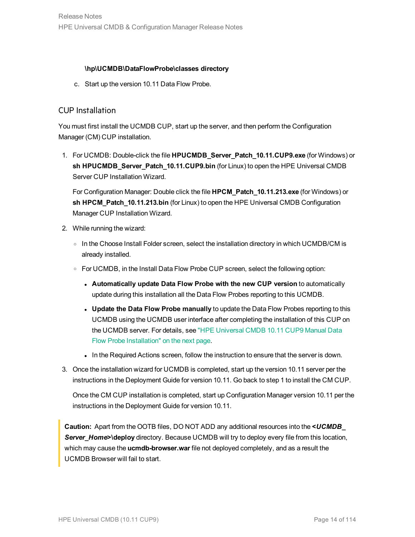#### **\hp\UCMDB\DataFlowProbe\classes directory**

c. Start up the version 10.11 Data Flow Probe.

### CUP Installation

You must first install the UCMDB CUP, start up the server, and then perform the Configuration Manager (CM) CUP installation.

1. For UCMDB: Double-click the file **HPUCMDB\_Server\_Patch\_10.11.CUP9.exe** (for Windows) or **sh HPUCMDB\_Server\_Patch\_10.11.CUP9.bin** (for Linux) to open the HPE Universal CMDB Server CUP Installation Wizard.

For Configuration Manager: Double click the file **HPCM\_Patch\_10.11.213.exe** (for Windows) or **sh HPCM\_Patch\_10.11.213.bin** (for Linux) to open the HPE Universal CMDB Configuration Manager CUP Installation Wizard.

- 2. While running the wizard:
	- $\circ$  In the Choose Install Folder screen, select the installation directory in which UCMDB/CM is already installed.
	- <sup>o</sup> For UCMDB, in the Install Data Flow Probe CUP screen, select the following option:
		- <sup>l</sup> **Automatically update Data Flow Probe with the new CUP version** to automatically update during this installation all the Data Flow Probes reporting to this UCMDB.
		- <sup>l</sup> **Update the Data Flow Probe manually** to update the Data Flow Probes reporting to this UCMDB using the UCMDB user interface after completing the installation of this CUP on the UCMDB server. For details, see "HPE [Universal](#page-14-0) CMDB 10.11 CUP9 Manual Data Flow Probe [Installation"](#page-14-0) on the next page.
		- In the Required Actions screen, follow the instruction to ensure that the server is down.
- 3. Once the installation wizard for UCMDB is completed, start up the version 10.11 server per the instructions in the Deployment Guide for version 10.11. Go back to step 1 to install the CM CUP.

Once the CM CUP installation is completed, start up Configuration Manager version 10.11 per the instructions in the Deployment Guide for version 10.11.

**Caution:** Apart from the OOTB files, DO NOT ADD any additional resources into the **<***UCMDB\_* **Server\_Home>\deploy** directory. Because UCMDB will try to deploy every file from this location, which may cause the **ucmdb-browser.war** file not deployed completely, and as a result the UCMDB Browser will fail to start.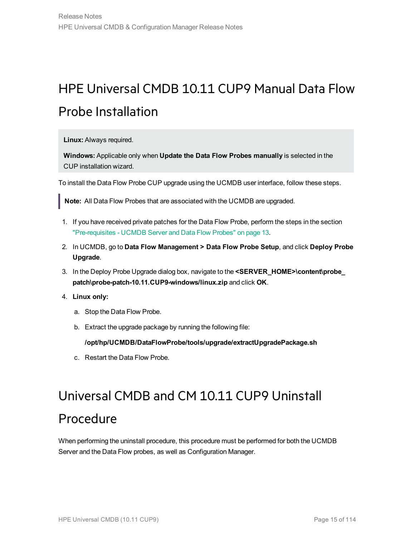# <span id="page-14-0"></span>HPE Universal CMDB 10.11 CUP9 Manual Data Flow Probe Installation

**Linux:** Always required.

**Windows:** Applicable only when **Update the Data Flow Probes manually** is selected in the CUP installation wizard.

To install the Data Flow Probe CUP upgrade using the UCMDB user interface, follow these steps.

**Note:** All Data Flow Probes that are associated with the UCMDB are upgraded.

- 1. If you have received private patches for the Data Flow Probe, perform the steps in the section ["Pre-requisites](#page-12-1) - UCMDB Server and Data Flow Probes" on page 13.
- 2. In UCMDB, go to **Data Flow Management > Data Flow Probe Setup**, and click **Deploy Probe Upgrade**.
- 3. In the Deploy Probe Upgrade dialog box, navigate to the **<SERVER\_HOME>\content\probe\_ patch\probe-patch-10.11.CUP9-windows/linux.zip** and click **OK**.
- 4. **Linux only:**
	- a. Stop the Data Flow Probe.
	- b. Extract the upgrade package by running the following file:

**/opt/hp/UCMDB/DataFlowProbe/tools/upgrade/extractUpgradePackage.sh**

<span id="page-14-1"></span>c. Restart the Data Flow Probe.

# Universal CMDB and CM 10.11 CUP9 Uninstall Procedure

When performing the uninstall procedure, this procedure must be performed for both the UCMDB Server and the Data Flow probes, as well as Configuration Manager.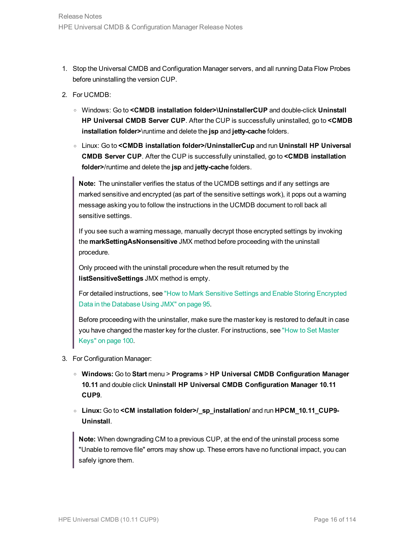- 1. Stop the Universal CMDB and Configuration Manager servers, and all running Data Flow Probes before uninstalling the version CUP.
- 2. For UCMDB:
	- <sup>o</sup> Windows: Go to **<CMDB installation folder>\UninstallerCUP** and double-click **Uninstall HP Universal CMDB Server CUP**. After the CUP is successfully uninstalled, go to **<CMDB installation folder>**\runtime and delete the **jsp** and **jetty-cache** folders.
	- <sup>o</sup> Linux: Go to **<CMDB installation folder>/UninstallerCup** and run **Uninstall HP Universal CMDB Server CUP**. After the CUP is successfully uninstalled, go to **<CMDB installation folder>**/runtime and delete the **jsp** and **jetty-cache** folders.

**Note:** The uninstaller verifies the status of the UCMDB settings and if any settings are marked sensitive and encrypted (as part of the sensitive settings work), it pops out a warning message asking you to follow the instructions in the UCMDB document to roll back all sensitive settings.

If you see such a warning message, manually decrypt those encrypted settings by invoking the **markSettingAsNonsensitive** JMX method before proceeding with the uninstall procedure.

Only proceed with the uninstall procedure when the result returned by the **listSensitiveSettings** JMX method is empty.

For detailed instructions, see "How to Mark Sensitive Settings and Enable Storing [Encrypted](#page-94-0) Data in the [Database](#page-94-0) Using JMX" on page 95.

Before proceeding with the uninstaller, make sure the master key is restored to default in case you have changed the master key for the cluster. For instructions, see "How to Set [Master](#page-99-0) [Keys"](#page-99-0) on page 100.

- 3. For Configuration Manager:
	- <sup>o</sup> **Windows:** Go to **Start** menu > **Programs** > **HP Universal CMDB Configuration Manager 10.11** and double click **Uninstall HP Universal CMDB Configuration Manager 10.11 CUP9**.
	- <sup>o</sup> **Linux:** Go to **<CM installation folder>/\_sp\_installation/** and run **HPCM\_10.11\_CUP9- Uninstall**.

**Note:** When downgrading CM to a previous CUP, at the end of the uninstall process some "Unable to remove file" errors may show up. These errors have no functional impact, you can safely ignore them.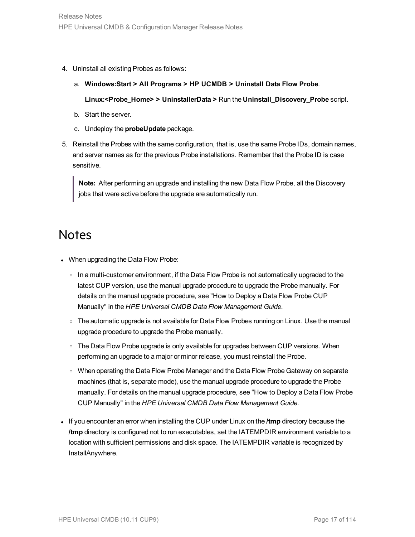- 4. Uninstall all existing Probes as follows:
	- a. **Windows:Start > All Programs > HP UCMDB > Uninstall Data Flow Probe**.

**Linux:<Probe\_Home> > UninstallerData >** Run the **Uninstall\_Discovery\_Probe** script.

- b. Start the server.
- c. Undeploy the **probeUpdate** package.
- 5. Reinstall the Probes with the same configuration, that is, use the same Probe IDs, domain names, and server names as for the previous Probe installations. Remember that the Probe ID is case sensitive.

**Note:** After performing an upgrade and installing the new Data Flow Probe, all the Discovery jobs that were active before the upgrade are automatically run.

## <span id="page-16-0"></span>**Notes**

- When upgrading the Data Flow Probe:
	- $\circ$  In a multi-customer environment, if the Data Flow Probe is not automatically upgraded to the latest CUP version, use the manual upgrade procedure to upgrade the Probe manually. For details on the manual upgrade procedure, see "How to Deploy a Data Flow Probe CUP Manually" in the *HPE Universal CMDB Data Flow Management Guide*.
	- The automatic upgrade is not available for Data Flow Probes running on Linux. Use the manual upgrade procedure to upgrade the Probe manually.
	- o The Data Flow Probe upgrade is only available for upgrades between CUP versions. When performing an upgrade to a major or minor release, you must reinstall the Probe.
	- When operating the Data Flow Probe Manager and the Data Flow Probe Gateway on separate machines (that is, separate mode), use the manual upgrade procedure to upgrade the Probe manually. For details on the manual upgrade procedure, see "How to Deploy a Data Flow Probe CUP Manually" in the *HPE Universal CMDB Data Flow Management Guide*.
- <sup>l</sup> If you encounter an error when installing the CUP under Linux on the **/tmp** directory because the **/tmp** directory is configured not to run executables, set the IATEMPDIR environment variable to a location with sufficient permissions and disk space. The IATEMPDIR variable is recognized by InstallAnywhere.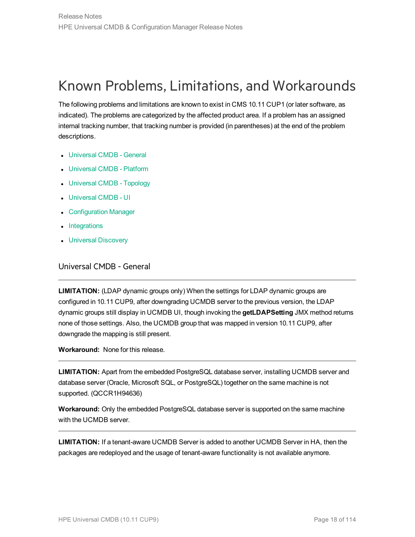# <span id="page-17-0"></span>Known Problems, Limitations, and Workarounds

The following problems and limitations are known to exist in CMS 10.11 CUP1 (or later software, as indicated). The problems are categorized by the affected product area. If a problem has an assigned internal tracking number, that tracking number is provided (in parentheses) at the end of the problem descriptions.

- [Universal](#page-17-1) CMDB General
- [Universal](#page-21-0) CMDB Platform
- [Universal](#page-22-0) CMDB Topology
- **.** [Universal](#page-22-1) CMDB UI
- [Configuration](#page-25-0) Manager
- [Integrations](#page-26-0)
- <span id="page-17-1"></span>**.** Universal [Discovery](#page-28-0)

Universal CMDB - General

**LIMITATION:** (LDAP dynamic groups only) When the settings for LDAP dynamic groups are configured in 10.11 CUP9, after downgrading UCMDB server to the previous version, the LDAP dynamic groups still display in UCMDB UI, though invoking the **getLDAPSetting** JMX method returns none of those settings. Also, the UCMDB group that was mapped in version 10.11 CUP9, after downgrade the mapping is still present.

**Workaround:** None for this release.

**LIMITATION:** Apart from the embedded PostgreSQL database server, installing UCMDB server and database server (Oracle, Microsoft SQL, or PostgreSQL) together on the same machine is not supported. (QCCR1H94636)

**Workaround:** Only the embedded PostgreSQL database server is supported on the same machine with the UCMDB server.

**LIMITATION:** If a tenant-aware UCMDB Server is added to another UCMDB Server in HA, then the packages are redeployed and the usage of tenant-aware functionality is not available anymore.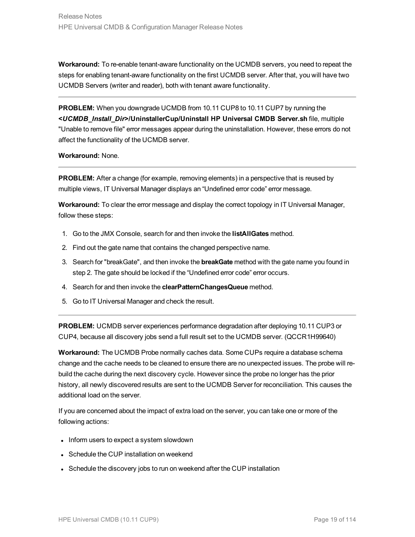**Workaround:** To re-enable tenant-aware functionality on the UCMDB servers, you need to repeat the steps for enabling tenant-aware functionality on the first UCMDB server. After that, you will have two UCMDB Servers (writer and reader), both with tenant aware functionality.

**PROBLEM:** When you downgrade UCMDB from 10.11 CUP8 to 10.11 CUP7 by running the **<***UCMDB\_Install\_Dir***>/UninstallerCup/Uninstall HP Universal CMDB Server.sh** file, multiple "Unable to remove file" error messages appear during the uninstallation. However, these errors do not affect the functionality of the UCMDB server.

#### **Workaround:** None.

**PROBLEM:** After a change (for example, removing elements) in a perspective that is reused by multiple views, IT Universal Manager displays an "Undefined error code" error message.

**Workaround:** To clear the error message and display the correct topology in IT Universal Manager, follow these steps:

- 1. Go to the JMX Console, search for and then invoke the **listAllGates** method.
- 2. Find out the gate name that contains the changed perspective name.
- 3. Search for "breakGate", and then invoke the **breakGate** method with the gate name you found in step 2. The gate should be locked if the "Undefined error code" error occurs.
- 4. Search for and then invoke the **clearPatternChangesQueue** method.
- 5. Go to IT Universal Manager and check the result.

**PROBLEM:** UCMDB server experiences performance degradation after deploying 10.11 CUP3 or CUP4, because all discovery jobs send a full result set to the UCMDB server. (QCCR1H99640)

**Workaround:** The UCMDB Probe normally caches data. Some CUPs require a database schema change and the cache needs to be cleaned to ensure there are no unexpected issues. The probe will rebuild the cache during the next discovery cycle. However since the probe no longer has the prior history, all newly discovered results are sent to the UCMDB Server for reconciliation. This causes the additional load on the server.

If you are concerned about the impact of extra load on the server, you can take one or more of the following actions:

- Inform users to expect a system slowdown
- Schedule the CUP installation on weekend
- Schedule the discovery jobs to run on weekend after the CUP installation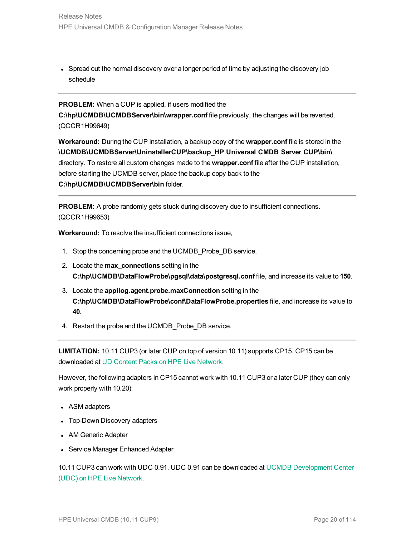• Spread out the normal discovery over a longer period of time by adjusting the discovery job schedule

**PROBLEM:** When a CUP is applied, if users modified the **C:\hp\UCMDB\UCMDBServer\bin\wrapper.conf** file previously, the changes will be reverted. (QCCR1H99649)

**Workaround:** During the CUP installation, a backup copy of the **wrapper.conf** file is stored in the **\UCMDB\UCMDBServer\UninstallerCUP\backup\_HP Universal CMDB Server CUP\bin\** directory. To restore all custom changes made to the **wrapper.conf** file after the CUP installation, before starting the UCMDB server, place the backup copy back to the **C:\hp\UCMDB\UCMDBServer\bin** folder.

**PROBLEM:** A probe randomly gets stuck during discovery due to insufficient connections. (QCCR1H99653)

**Workaround:** To resolve the insufficient connections issue,

- 1. Stop the concerning probe and the UCMDB\_Probe\_DB service.
- 2. Locate the **max\_connections** setting in the **C:\hp\UCMDB\DataFlowProbe\pgsql\data\postgresql.conf** file, and increase its value to **150**.
- 3. Locate the **appilog.agent.probe.maxConnection** setting in the **C:\hp\UCMDB\DataFlowProbe\conf\DataFlowProbe.properties** file, and increase its value to **40**.
- 4. Restart the probe and the UCMDB\_Probe\_DB service.

**LIMITATION:** 10.11 CUP3 (or later CUP on top of version 10.11) supports CP15. CP15 can be downloaded at UD Content Packs on HPE Live [Network.](https://hpln.hpe.com/contentoffering/ud-content-packs)

However, the following adapters in CP15 cannot work with 10.11 CUP3 or a later CUP (they can only work properly with 10.20):

- ASM adapters
- Top-Down Discovery adapters
- AM Generic Adapter
- Service Manager Enhanced Adapter

10.11 CUP3 can work with UDC 0.91. UDC 0.91 can be downloaded at UCMDB [Development](https://hpln.hpe.com/contentoffering/ucmdb-development-center-udc) Center (UDC) on HPE Live [Network](https://hpln.hpe.com/contentoffering/ucmdb-development-center-udc).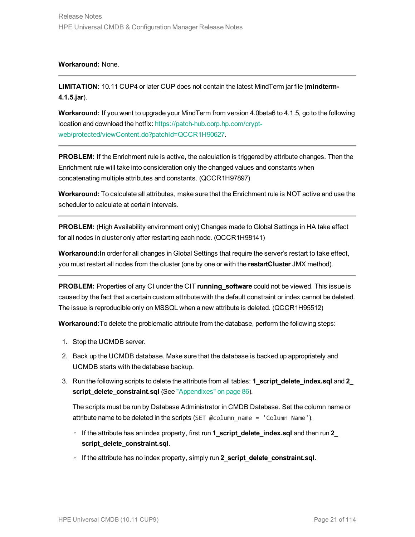#### **Workaround:** None.

**LIMITATION:** 10.11 CUP4 or later CUP does not contain the latest MindTerm jar file (**mindterm-4.1.5.jar**).

**Workaround:** If you want to upgrade your MindTerm from version 4.0beta6 to 4.1.5, go to the following location and download the hotfix: [https://patch-hub.corp.hp.com/crypt](https://patch-hub.corp.hp.com/crypt-web/protected/viewContent.do?patchId=QCCR1H90627)[web/protected/viewContent.do?patchId=QCCR1H90627.](https://patch-hub.corp.hp.com/crypt-web/protected/viewContent.do?patchId=QCCR1H90627)

**PROBLEM:** If the Enrichment rule is active, the calculation is triggered by attribute changes. Then the Enrichment rule will take into consideration only the changed values and constants when concatenating multiple attributes and constants. (QCCR1H97897)

**Workaround:** To calculate all attributes, make sure that the Enrichment rule is NOT active and use the scheduler to calculate at certain intervals.

**PROBLEM:** (High Availability environment only) Changes made to Global Settings in HA take effect for all nodes in cluster only after restarting each node. (QCCR1H98141)

**Workaround:**In order for all changes in Global Settings that require the server's restart to take effect, you must restart all nodes from the cluster (one by one or with the **restartCluster** JMX method).

**PROBLEM:** Properties of any CI under the CIT **running\_software** could not be viewed. This issue is caused by the fact that a certain custom attribute with the default constraint or index cannot be deleted. The issue is reproducible only on MSSQL when a new attribute is deleted. (QCCR1H95512)

**Workaround:**To delete the problematic attribute from the database, perform the following steps:

- 1. Stop the UCMDB server.
- 2. Back up the UCMDB database. Make sure that the database is backed up appropriately and UCMDB starts with the database backup.
- 3. Run the following scripts to delete the attribute from all tables: **1\_script\_delete\_index.sql** and **2\_ script\_delete\_constraint.sql** (See ["Appendixes"](#page-85-0) on page 86).

The scripts must be run by Database Administrator in CMDB Database. Set the column name or attribute name to be deleted in the scripts (SET @column\_name = 'Column Name').

- <sup>o</sup> If the attribute has an index property, first run **1\_script\_delete\_index.sql** and then run **2\_ script\_delete\_constraint.sql**.
- <sup>o</sup> If the attribute has no index property, simply run **2\_script\_delete\_constraint.sql**.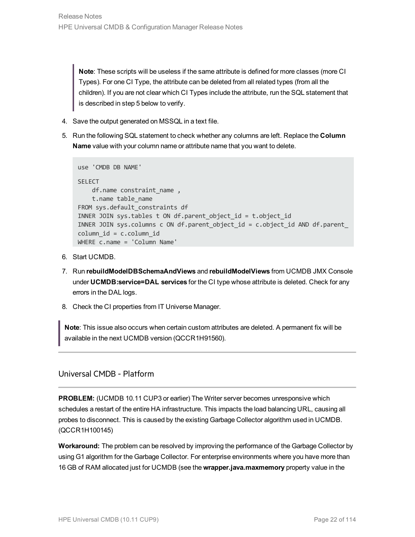**Note**: These scripts will be useless if the same attribute is defined for more classes (more CI Types). For one CI Type, the attribute can be deleted from all related types (from all the children). If you are not clear which CI Types include the attribute, run the SQL statement that is described in step 5 below to verify.

- 4. Save the output generated on MSSQL in a text file.
- 5. Run the following SQL statement to check whether any columns are left. Replace the **Column Name** value with your column name or attribute name that you want to delete.

```
use 'CMDB DB NAME'
SELECT.
   df.name constraint name ,
   t.name table_name
FROM sys.default constraints df
INNER JOIN sys.tables t ON df.parent_object_id = t.object_id
INNER JOIN sys.columns c ON df.parent_object_id = c.object_id AND df.parent_
column_id = c.column_id
WHERE c.name = 'Column Name'
```
- 6. Start UCMDB.
- 7. Run **rebuildModelDBSchemaAndViews** and **rebuildModelViews** from UCMDB JMX Console under **UCMDB:service=DAL services** for the CI type whose attribute is deleted. Check for any errors in the DAL logs.
- 8. Check the CI properties from IT Universe Manager.

**Note**: This issue also occurs when certain custom attributes are deleted. A permanent fix will be available in the next UCMDB version (QCCR1H91560).

### <span id="page-21-0"></span>Universal CMDB - Platform

**PROBLEM:** (UCMDB 10.11 CUP3 or earlier) The Writer server becomes unresponsive which schedules a restart of the entire HA infrastructure. This impacts the load balancing URL, causing all probes to disconnect. This is caused by the existing Garbage Collector algorithm used in UCMDB. (QCCR1H100145)

**Workaround:** The problem can be resolved by improving the performance of the Garbage Collector by using G1 algorithm for the Garbage Collector. For enterprise environments where you have more than 16 GB of RAM allocated just for UCMDB (see the **wrapper.java.maxmemory** property value in the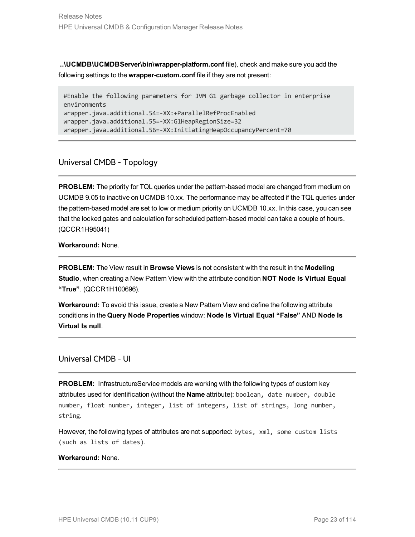**..\UCMDB\UCMDBServer\bin\wrapper-platform.conf** file), check and make sure you add the following settings to the **wrapper-custom.conf** file if they are not present:

#Enable the following parameters for JVM G1 garbage collector in enterprise environments wrapper.java.additional.54=-XX:+ParallelRefProcEnabled wrapper.java.additional.55=-XX:G1HeapRegionSize=32 wrapper.java.additional.56=-XX:InitiatingHeapOccupancyPercent=70

### <span id="page-22-0"></span>Universal CMDB - Topology

**PROBLEM:** The priority for TQL queries under the pattern-based model are changed from medium on UCMDB 9.05 to inactive on UCMDB 10.xx. The performance may be affected if the TQL queries under the pattern-based model are set to low or medium priority on UCMDB 10.xx. In this case, you can see that the locked gates and calculation for scheduled pattern-based model can take a couple of hours. (QCCR1H95041)

### **Workaround:** None.

**PROBLEM:** The View result in **Browse Views** is not consistent with the result in the **Modeling Studio**, when creating a New Pattern View with the attribute condition **NOT Node Is Virtual Equal "True"**. (QCCR1H100696).

**Workaround:** To avoid this issue, create a New Pattern View and define the following attribute conditions in the **Query Node Properties** window: **Node Is Virtual Equal "False"** AND **Node Is Virtual Is null**.

### <span id="page-22-1"></span>Universal CMDB - UI

**PROBLEM:** InfrastructureService models are working with the following types of custom key attributes used for identification (without the **Name** attribute): boolean, date number, double number, float number, integer, list of integers, list of strings, long number, string.

However, the following types of attributes are not supported: bytes, xml, some custom lists (such as lists of dates).

### **Workaround:** None.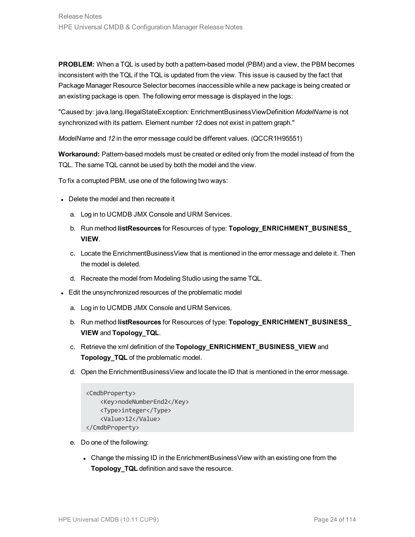**PROBLEM:** When a TQL is used by both a pattern-based model (PBM) and a view, the PBM becomes inconsistent with the TQL if the TQL is updated from the view. This issue is caused by the fact that Package Manager Resource Selector becomes inaccessible while a new package is being created or an existing package is open. The following error message is displayed in the logs:

"Caused by: java.lang.IllegalStateException: EnrichmentBusinessViewDefinition *ModelName* is not synchronized with its pattern. Element number *12* does not exist in pattern graph."

*ModelName* and *12* in the error message could be different values. (QCCR1H95551)

**Workaround:** Pattern-based models must be created or edited only from the model instead of from the TQL. The same TQL cannot be used by both the model and the view.

To fix a corrupted PBM, use one of the following two ways:

- Delete the model and then recreate it
	- a. Log in to UCMDB JMX Console and URM Services.
	- b. Run method **listResources** for Resources of type: **Topology\_ENRICHMENT\_BUSINESS\_ VIEW**.
	- c. Locate the EnrichmentBusinessView that is mentioned in the error message and delete it. Then the model is deleted.
	- d. Recreate the model from Modeling Studio using the same TQL.
- Edit the unsynchronized resources of the problematic model
	- a. Log in to UCMDB JMX Console and URM Services.
	- b. Run method **listResources** for Resources of type: **Topology\_ENRICHMENT\_BUSINESS\_ VIEW** and **Topology\_TQL**.
	- c. Retrieve the xml definition of the **Topology\_ENRICHMENT\_BUSINESS\_VIEW** and **Topology\_TQL** of the problematic model.
	- d. Open the EnrichmentBusinessView and locate the ID that is mentioned in the error message.

```
<CmdbProperty>
    <Key>nodeNumberEnd2</Key>
    <Type>integer</Type>
    <Value>12</Value>
</CmdbProperty>
```
- e. Do one of the following:
	- Change the missing ID in the EnrichmentBusinessView with an existing one from the **Topology\_TQL** definition and save the resource.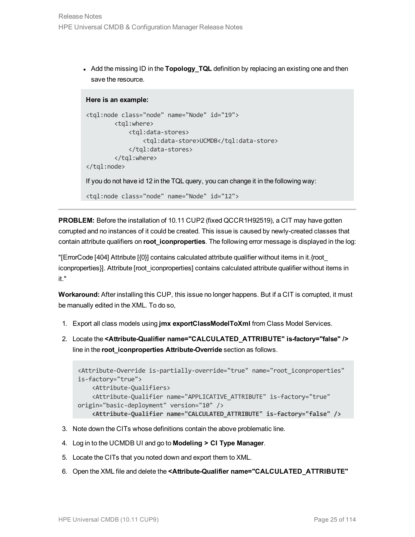• Add the missing ID in the **Topology\_TQL** definition by replacing an existing one and then save the resource.

#### **Here is an example:**

```
<tql:node class="node" name="Node" id="19">
        <tql:where>
             <tql:data-stores>
                 <tql:data-store>UCMDB</tql:data-store>
             </tql:data-stores>
        </tql:where>
</tql:node>
If you do not have id 12 in the TQL query, you can change it in the following way:
<tql:node class="node" name="Node" id="12">
```
**PROBLEM:** Before the installation of 10.11 CUP2 (fixed QCCR1H92519), a CIT may have gotten corrupted and no instances of it could be created. This issue is caused by newly-created classes that contain attribute qualifiers on **root\_iconproperties**. The following error message is displayed in the log:

"[ErrorCode [404] Attribute [{0}] contains calculated attribute qualifier without items in it.{root\_ iconproperties}]. Attribute [root\_iconproperties] contains calculated attribute qualifier without items in it."

**Workaround:** After installing this CUP, this issue no longer happens. But if a CIT is corrupted, it must be manually edited in the XML. To do so,

- 1. Export all class models using **jmx exportClassModelToXml** from Class Model Services.
- 2. Locate the **<Attribute-Qualifier name="CALCULATED\_ATTRIBUTE" is-factory="false" />** line in the **root\_iconproperties Attribute-Override** section as follows.

```
<Attribute-Override is-partially-override="true" name="root_iconproperties"
is-factory="true">
    <Attribute-Qualifiers>
    <Attribute-Qualifier name="APPLICATIVE_ATTRIBUTE" is-factory="true"
origin="basic-deployment" version="10" />
    <Attribute-Qualifier name="CALCULATED_ATTRIBUTE" is-factory="false" />
```
- 3. Note down the CITs whose definitions contain the above problematic line.
- 4. Log in to the UCMDB UI and go to **Modeling > CI Type Manager**.
- 5. Locate the CITs that you noted down and export them to XML.
- 6. Open the XML file and delete the **<Attribute-Qualifier name="CALCULATED\_ATTRIBUTE"**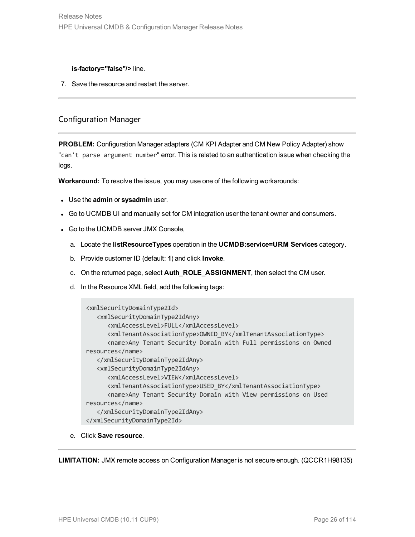#### **is-factory="false"/>** line.

7. Save the resource and restart the server.

### <span id="page-25-0"></span>Configuration Manager

**PROBLEM:** Configuration Manager adapters (CM KPI Adapter and CM New Policy Adapter) show "can't parse argument number" error. This is related to an authentication issue when checking the logs.

**Workaround:** To resolve the issue, you may use one of the following workarounds:

- **.** Use the **admin** or **sysadmin** user.
- Go to UCMDB UI and manually set for CM integration user the tenant owner and consumers.
- Go to the UCMDB server JMX Console,
	- a. Locate the **listResourceTypes** operation in the **UCMDB:service=URM Services** category.
	- b. Provide customer ID (default: **1**) and click **Invoke**.
	- c. On the returned page, select **Auth\_ROLE\_ASSIGNMENT**, then select the CM user.
	- d. In the Resource XML field, add the following tags:

```
<xmlSecurityDomainType2Id>
   <xmlSecurityDomainType2IdAny>
      <xmlAccessLevel>FULL</xmlAccessLevel>
      <xmlTenantAssociationType>OWNED_BY</xmlTenantAssociationType>
      <name>Any Tenant Security Domain with Full permissions on Owned
resources</name>
   </xmlSecurityDomainType2IdAny>
   <xmlSecurityDomainType2IdAny>
      <xmlAccessLevel>VIEW</xmlAccessLevel>
      <xmlTenantAssociationType>USED_BY</xmlTenantAssociationType>
      <name>Any Tenant Security Domain with View permissions on Used
resources</name>
   </xmlSecurityDomainType2IdAny>
</xmlSecurityDomainType2Id>
```
e. Click **Save resource**.

**LIMITATION:** JMX remote access on Configuration Manager is not secure enough. (QCCR1H98135)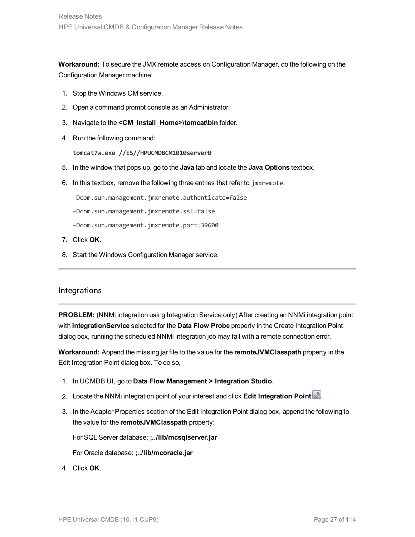**Workaround:** To secure the JMX remote access on Configuration Manager, do the following on the Configuration Manager machine:

- 1. Stop the Windows CM service.
- 2. Open a command prompt console as an Administrator.
- 3. Navigate to the **<CM\_Install\_Home>\tomcat\bin** folder.
- 4. Run the following command:

**tomcat7w.exe //ES//HPUCMDBCM1010server0**

- 5. In the window that pops up, go to the **Java** tab and locate the **Java Options** textbox.
- 6. In this textbox, remove the following three entries that refer to jmxremote:

-Dcom.sun.management.jmxremote.authenticate=false

-Dcom.sun.management.jmxremote.ssl=false

- -Dcom.sun.management.jmxremote.port=39600
- 7. Click **OK**.
- 8. Start the Windows Configuration Manager service.

### <span id="page-26-0"></span>Integrations

**PROBLEM:** (NNMi integration using Integration Service only) After creating an NNMi integration point with **IntegrationService** selected for the **Data Flow Probe** property in the Create Integration Point dialog box, running the scheduled NNMi integration job may fail with a remote connection error.

**Workaround:** Append the missing jar file to the value for the **remoteJVMClasspath** property in the Edit Integration Point dialog box. To do so,

- 1. In UCMDB UI, go to **Data Flow Management > Integration Studio**.
- 2. Locate the NNMi integration point of your interest and click **Edit Integration Point** .
- 3. In the Adapter Properties section of the Edit Integration Point dialog box, append the following to the value for the **remoteJVMClasspath** property:

For SQL Server database: **;../lib/mcsqlserver.jar**

For Oracle database: **;../lib/mcoracle.jar**

4. Click **OK**.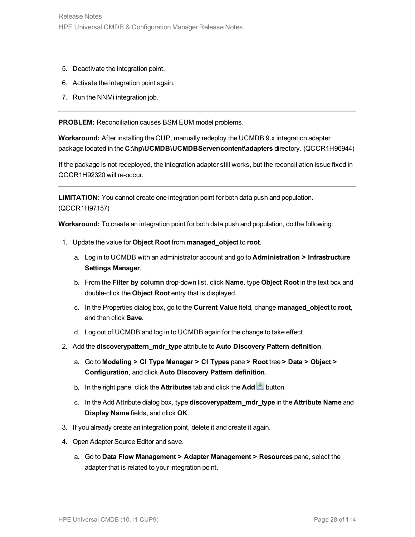- 5. Deactivate the integration point.
- 6. Activate the integration point again.
- 7. Run the NNMi integration job.

**PROBLEM:** Reconciliation causes BSM EUM model problems.

**Workaround:** After installing the CUP, manually redeploy the UCMDB 9.x integration adapter package located in the **C:\hp\UCMDB\UCMDBServer\content\adapters** directory. (QCCR1H96944)

If the package is not redeployed, the integration adapter still works, but the reconciliation issue fixed in QCCR1H92320 will re-occur.

**LIMITATION:** You cannot create one integration point for both data push and population. (QCCR1H97157)

**Workaround:** To create an integration point for both data push and population, do the following:

- 1. Update the value for **Object Root** from **managed\_object** to **root**.
	- a. Log in to UCMDB with an administrator account and go to **Administration > Infrastructure Settings Manager**.
	- b. From the **Filter by column** drop-down list, click **Name**, type **Object Root** in the text box and double-click the **Object Root** entry that is displayed.
	- c. In the Properties dialog box, go to the **Current Value** field, change **managed\_object** to **root**, and then click **Save**.
	- d. Log out of UCMDB and log in to UCMDB again for the change to take effect.
- 2. Add the **discoverypattern\_mdr\_type** attribute to **Auto Discovery Pattern definition**.
	- a. Go to **Modeling > CI Type Manager > CI Types** pane **> Root** tree **> Data > Object > Configuration**, and click **Auto Discovery Pattern definition**.
	- b. In the right pane, click the **Attributes** tab and click the **Add b**utton.
	- c. In the Add Attribute dialog box, type **discoverypattern\_mdr\_type** in the **Attribute Name** and **Display Name** fields, and click **OK**.
- 3. If you already create an integration point, delete it and create it again.
- 4. Open Adapter Source Editor and save.
	- a. Go to **Data Flow Management > Adapter Management > Resources** pane, select the adapter that is related to your integration point.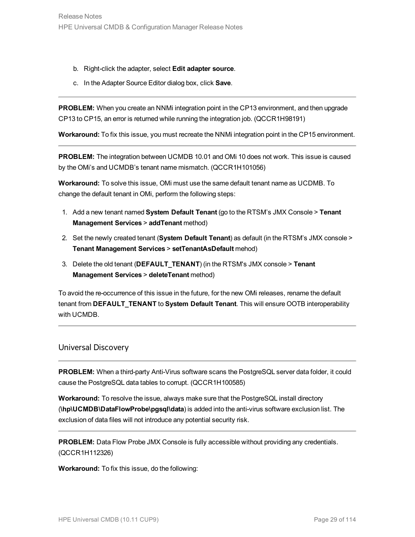- b. Right-click the adapter, select **Edit adapter source**.
- c. In the Adapter Source Editor dialog box, click **Save**.

**PROBLEM:** When you create an NNMi integration point in the CP13 environment, and then upgrade CP13 to CP15, an error is returned while running the integration job. (QCCR1H98191)

**Workaround:** To fix this issue, you must recreate the NNMi integration point in the CP15 environment.

**PROBLEM:** The integration between UCMDB 10.01 and OMi 10 does not work. This issue is caused by the OMi's and UCMDB's tenant name mismatch. (QCCR1H101056)

**Workaround:** To solve this issue, OMi must use the same default tenant name as UCDMB. To change the default tenant in OMi, perform the following steps:

- 1. Add a new tenant named **System Default Tenant** (go to the RTSM's JMX Console > **Tenant Management Services** > **addTenant** method)
- 2. Set the newly created tenant (**System Default Tenant**) as default (in the RTSM's JMX console > **Tenant Management Services** > **setTenantAsDefault** mehod)
- 3. Delete the old tenant (**DEFAULT\_TENANT**) (in the RTSM's JMX console > **Tenant Management Services** > **deleteTenant** method)

To avoid the re-occurrence of this issue in the future, for the new OMi releases, rename the default tenant from **DEFAULT\_TENANT** to **System Default Tenant**. This will ensure OOTB interoperability with UCMDB.

### <span id="page-28-0"></span>Universal Discovery

**PROBLEM:** When a third-party Anti-Virus software scans the PostgreSQL server data folder, it could cause the PostgreSQL data tables to corrupt. (QCCR1H100585)

**Workaround:** To resolve the issue, always make sure that the PostgreSQL install directory (**\hp\UCMDB\DataFlowProbe\pgsql\data**) is added into the anti-virus software exclusion list. The exclusion of data files will not introduce any potential security risk.

**PROBLEM:** Data Flow Probe JMX Console is fully accessible without providing any credentials. (QCCR1H112326)

**Workaround:** To fix this issue, do the following: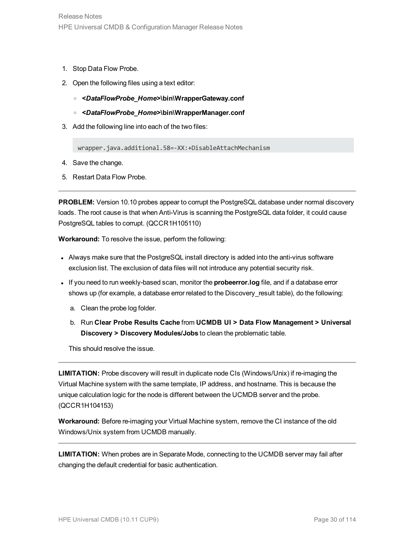- 1. Stop Data Flow Probe.
- 2. Open the following files using a text editor:
	- <sup>o</sup> *<DataFlowProbe\_Home>***\bin\WrapperGateway.conf**
	- <sup>o</sup> *<DataFlowProbe\_Home>***\bin\WrapperManager.conf**
- 3. Add the following line into each of the two files:

wrapper.java.additional.58=-XX:+DisableAttachMechanism

- 4. Save the change.
- 5. Restart Data Flow Probe.

**PROBLEM:** Version 10.10 probes appear to corrupt the PostgreSQL database under normal discovery loads. The root cause is that when Anti-Virus is scanning the PostgreSQL data folder, it could cause PostgreSQL tables to corrupt. (QCCR1H105110)

**Workaround:** To resolve the issue, perform the following:

- Always make sure that the PostgreSQL install directory is added into the anti-virus software exclusion list. The exclusion of data files will not introduce any potential security risk.
- <sup>l</sup> If you need to run weekly-based scan, monitor the **probeerror.log** file, and if a database error shows up (for example, a database error related to the Discovery\_result table), do the following:
	- a. Clean the probe log folder.
	- b. Run **Clear Probe Results Cache** from **UCMDB UI > Data Flow Management > Universal Discovery > Discovery Modules/Jobs** to clean the problematic table.

This should resolve the issue.

**LIMITATION:** Probe discovery will result in duplicate node CIs (Windows/Unix) if re-imaging the Virtual Machine system with the same template, IP address, and hostname. This is because the unique calculation logic for the node is different between the UCMDB server and the probe. (QCCR1H104153)

**Workaround:** Before re-imaging your Virtual Machine system, remove the CI instance of the old Windows/Unix system from UCMDB manually.

**LIMITATION:** When probes are in Separate Mode, connecting to the UCMDB server may fail after changing the default credential for basic authentication.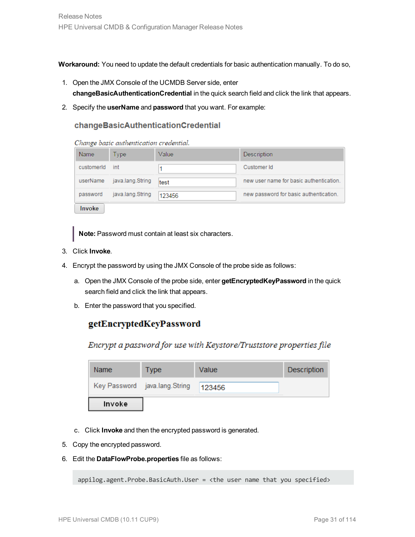**Workaround:** You need to update the default credentials for basic authentication manually. To do so,

- 1. Open the JMX Console of the UCMDB Server side, enter **changeBasicAuthenticationCredential** in the quick search field and click the link that appears.
- 2. Specify the **userName** and **password** that you want. For example:

### changeBasicAuthenticationCredential

Change basic authentication credential.

| Name          | Type             | Value  | Description                             |
|---------------|------------------|--------|-----------------------------------------|
| customerId    | int              |        | Customer Id                             |
| userName      | java.lang.String | test   | new user name for basic authentication. |
| password      | java.lang.String | 123456 | new password for basic authentication.  |
| <b>Invoke</b> |                  |        |                                         |

**Note:** Password must contain at least six characters.

- 3. Click **Invoke**.
- 4. Encrypt the password by using the JMX Console of the probe side as follows:
	- a. Open the JMX Console of the probe side, enter **getEncryptedKeyPassword** in the quick search field and click the link that appears.
	- b. Enter the password that you specified.

### getEncryptedKeyPassword

Encrypt a password for use with Keystore/Truststore properties file

| Name   | Type                          | Value  | <b>Description</b> |
|--------|-------------------------------|--------|--------------------|
|        | Key Password java.lang.String | 123456 |                    |
| Invoke |                               |        |                    |

- c. Click **Invoke** and then the encrypted password is generated.
- 5. Copy the encrypted password.
- 6. Edit the **DataFlowProbe.properties** file as follows:

appilog.agent.Probe.BasicAuth.User = <the user name that you specified>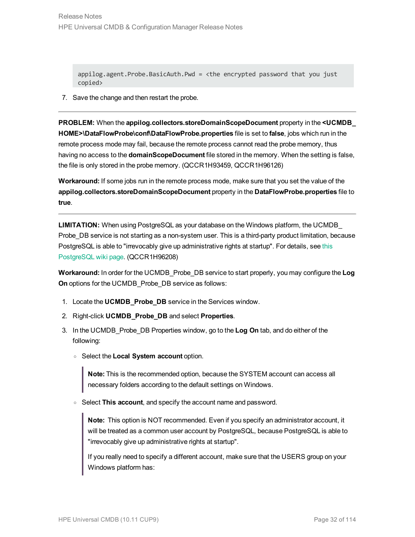appilog.agent.Probe.BasicAuth.Pwd = <the encrypted password that you just copied>

7. Save the change and then restart the probe.

**PROBLEM:** When the **appilog.collectors.storeDomainScopeDocument** property in the **<UCMDB\_ HOME>\DataFlowProbe\conf\DataFlowProbe.properties** file is set to **false**, jobs which run in the remote process mode may fail, because the remote process cannot read the probe memory, thus having no access to the **domainScopeDocument** file stored in the memory. When the setting is false, the file is only stored in the probe memory. (QCCR1H93459, QCCR1H96126)

**Workaround:** If some jobs run in the remote process mode, make sure that you set the value of the **appilog.collectors.storeDomainScopeDocument** property in the **DataFlowProbe.properties** file to **true**.

**LIMITATION:** When using PostgreSQL as your database on the Windows platform, the UCMDB\_ Probe DB service is not starting as a non-system user. This is a third-party product limitation, because PostgreSQL is able to "irrevocably give up administrative rights at startup". For details, see [this](https://wiki.postgresql.org/wiki/Running_&_Installing_PostgreSQL_On_Native_Windows#Why_do_I_need_a_non-administrator_account_to_run_PostgreSQL_under.3F) [PostgreSQL](https://wiki.postgresql.org/wiki/Running_&_Installing_PostgreSQL_On_Native_Windows#Why_do_I_need_a_non-administrator_account_to_run_PostgreSQL_under.3F) wiki page. (QCCR1H96208)

**Workaround:** In order for the UCMDB\_Probe\_DB service to start properly, you may configure the **Log On** options for the UCMDB\_Probe\_DB service as follows:

- 1. Locate the **UCMDB\_Probe\_DB** service in the Services window.
- 2. Right-click **UCMDB\_Probe\_DB** and select **Properties**.
- 3. In the UCMDB\_Probe\_DB Properties window, go to the **Log On** tab, and do either of the following:
	- <sup>o</sup> Select the **Local System account** option.

**Note:** This is the recommended option, because the SYSTEM account can access all necessary folders according to the default settings on Windows.

<sup>o</sup> Select **This account**, and specify the account name and password.

**Note:** This option is NOT recommended. Even if you specify an administrator account, it will be treated as a common user account by PostgreSQL, because PostgreSQL is able to "irrevocably give up administrative rights at startup".

If you really need to specify a different account, make sure that the USERS group on your Windows platform has: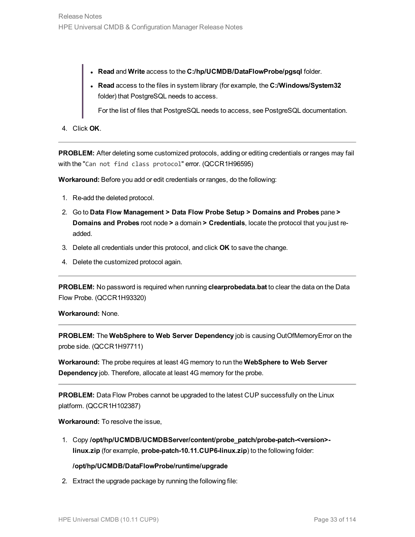- <sup>l</sup> **Read** and **Write** access to the **C:/hp/UCMDB/DataFlowProbe/pgsql** folder.
- <sup>l</sup> **Read** access to the files in system library (for example, the **C:/Windows/System32** folder) that PostgreSQL needs to access.

For the list of files that PostgreSQL needs to access, see PostgreSQL documentation.

4. Click **OK**.

**PROBLEM:** After deleting some customized protocols, adding or editing credentials or ranges may fail with the "Can not find class protocol" error. (QCCR1H96595)

**Workaround:** Before you add or edit credentials or ranges, do the following:

- 1. Re-add the deleted protocol.
- 2. Go to **Data Flow Management > Data Flow Probe Setup > Domains and Probes** pane **> Domains and Probes** root node **>** a domain **> Credentials**, locate the protocol that you just readded.
- 3. Delete all credentials under this protocol, and click **OK** to save the change.
- 4. Delete the customized protocol again.

**PROBLEM:** No password is required when running **clearprobedata.bat** to clear the data on the Data Flow Probe. (QCCR1H93320)

**Workaround:** None.

**PROBLEM:** The **WebSphere to Web Server Dependency** job is causing OutOfMemoryError on the probe side. (QCCR1H97711)

**Workaround:** The probe requires at least 4G memory to run the **WebSphere to Web Server Dependency** job. Therefore, allocate at least 4G memory for the probe.

**PROBLEM:** Data Flow Probes cannot be upgraded to the latest CUP successfully on the Linux platform. (QCCR1H102387)

**Workaround:** To resolve the issue,

1. Copy **/opt/hp/UCMDB/UCMDBServer/content/probe\_patch/probe-patch-<version> linux.zip** (for example, **probe-patch-10.11.CUP6-linux.zip**) to the following folder:

### **/opt/hp/UCMDB/DataFlowProbe/runtime/upgrade**

2. Extract the upgrade package by running the following file: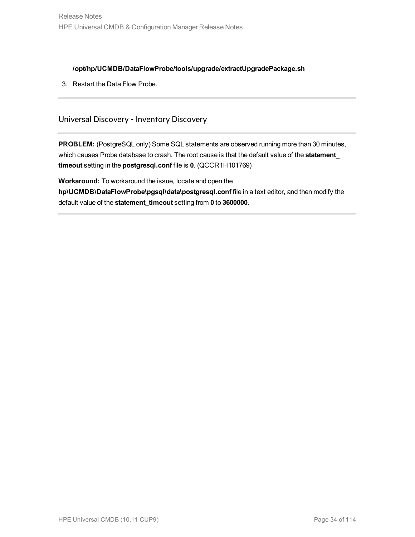### **/opt/hp/UCMDB/DataFlowProbe/tools/upgrade/extractUpgradePackage.sh**

3. Restart the Data Flow Probe.

### Universal Discovery - Inventory Discovery

**PROBLEM:** (PostgreSQL only) Some SQL statements are observed running more than 30 minutes, which causes Probe database to crash. The root cause is that the default value of the **statement\_ timeout** setting in the **postgresql.conf** file is **0**. (QCCR1H101769)

**Workaround:** To workaround the issue, locate and open the **hp\UCMDB\DataFlowProbe\pgsql\data\postgresql.conf** file in a text editor, and then modify the default value of the **statement\_timeout** setting from **0** to **3600000**.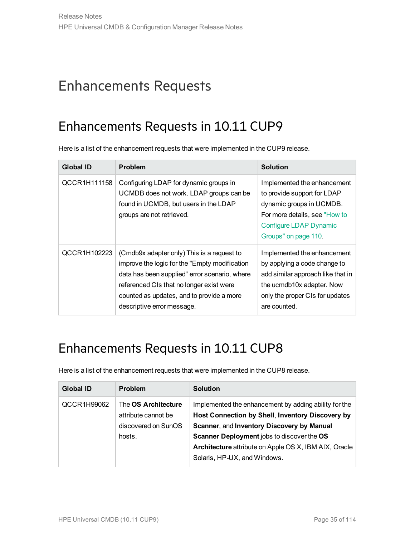# <span id="page-34-1"></span><span id="page-34-0"></span>Enhancements Requests

## Enhancements Requests in 10.11 CUP9

Here is a list of the enhancement requests that were implemented in the CUP9 release.

| <b>Global ID</b> | <b>Problem</b>                                                                                                                                                                                                                                                       | <b>Solution</b>                                                                                                                                                                  |
|------------------|----------------------------------------------------------------------------------------------------------------------------------------------------------------------------------------------------------------------------------------------------------------------|----------------------------------------------------------------------------------------------------------------------------------------------------------------------------------|
| QCCR1H111158     | Configuring LDAP for dynamic groups in<br>UCMDB does not work. LDAP groups can be<br>found in UCMDB, but users in the LDAP<br>groups are not retrieved.                                                                                                              | Implemented the enhancement<br>to provide support for LDAP<br>dynamic groups in UCMDB.<br>For more details, see "How to<br>Configure LDAP Dynamic<br>Groups" on page 110.        |
| QCCR1H102223     | (Cmdb9x adapter only) This is a request to<br>improve the logic for the "Empty modification"<br>data has been supplied" error scenario, where<br>referenced CIs that no longer exist were<br>counted as updates, and to provide a more<br>descriptive error message. | Implemented the enhancement<br>by applying a code change to<br>add similar approach like that in<br>the ucmdb10x adapter. Now<br>only the proper CIs for updates<br>are counted. |

## <span id="page-34-2"></span>Enhancements Requests in 10.11 CUP8

Here is a list of the enhancement requests that were implemented in the CUP8 release.

| <b>Global ID</b> | <b>Problem</b>                                                              | <b>Solution</b>                                                                                                                                                                                                                                                                                |
|------------------|-----------------------------------------------------------------------------|------------------------------------------------------------------------------------------------------------------------------------------------------------------------------------------------------------------------------------------------------------------------------------------------|
| QCCR1H99062      | The OS Architecture<br>attribute cannot be<br>discovered on SunOS<br>hosts. | Implemented the enhancement by adding ability for the<br>Host Connection by Shell, Inventory Discovery by<br>Scanner, and Inventory Discovery by Manual<br>Scanner Deployment jobs to discover the OS<br>Architecture attribute on Apple OS X, IBM AIX, Oracle<br>Solaris, HP-UX, and Windows. |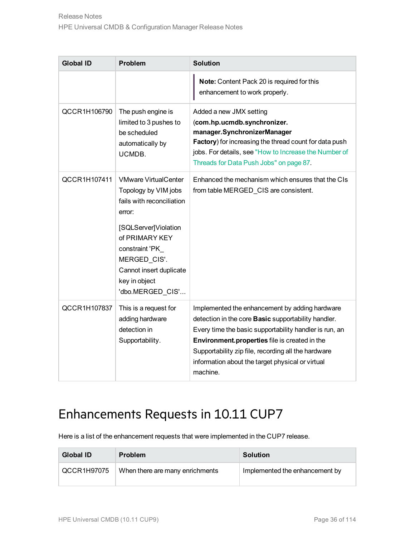| <b>Global ID</b> | <b>Problem</b>                                                                                                                                                                                                                         | <b>Solution</b>                                                                                                                                                                                                                                                                                                                                |
|------------------|----------------------------------------------------------------------------------------------------------------------------------------------------------------------------------------------------------------------------------------|------------------------------------------------------------------------------------------------------------------------------------------------------------------------------------------------------------------------------------------------------------------------------------------------------------------------------------------------|
|                  |                                                                                                                                                                                                                                        | Note: Content Pack 20 is required for this<br>enhancement to work properly.                                                                                                                                                                                                                                                                    |
| QCCR1H106790     | The push engine is<br>limited to 3 pushes to<br>be scheduled<br>automatically by<br>UCMDB.                                                                                                                                             | Added a new JMX setting<br>(com.hp.ucmdb.synchronizer.<br>manager.SynchronizerManager<br>Factory) for increasing the thread count for data push<br>jobs. For details, see "How to Increase the Number of<br>Threads for Data Push Jobs" on page 87.                                                                                            |
| QCCR1H107411     | <b>VMware VirtualCenter</b><br>Topology by VIM jobs<br>fails with reconciliation<br>error:<br>[SQLServer]Violation<br>of PRIMARY KEY<br>constraint 'PK<br>MERGED CIS'.<br>Cannot insert duplicate<br>key in object<br>'dbo.MERGED CIS' | Enhanced the mechanism which ensures that the CIs<br>from table MERGED_CIS are consistent.                                                                                                                                                                                                                                                     |
| QCCR1H107837     | This is a request for<br>adding hardware<br>detection in<br>Supportability.                                                                                                                                                            | Implemented the enhancement by adding hardware<br>detection in the core <b>Basic</b> supportability handler.<br>Every time the basic supportability handler is run, an<br>Environment.properties file is created in the<br>Supportability zip file, recording all the hardware<br>information about the target physical or virtual<br>machine. |

## <span id="page-35-0"></span>Enhancements Requests in 10.11 CUP7

Here is a list of the enhancement requests that were implemented in the CUP7 release.

| Global ID   | <b>Problem</b>                  | <b>Solution</b>                |
|-------------|---------------------------------|--------------------------------|
| QCCR1H97075 | When there are many enrichments | Implemented the enhancement by |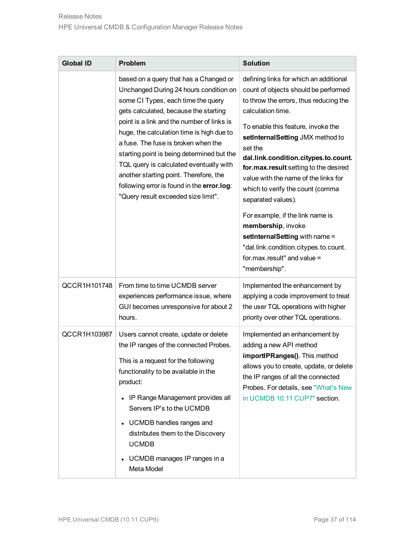| <b>Global ID</b> | <b>Problem</b>                                                                                                                                                                                                                                                                                                                                                                                                                                                                                                            | <b>Solution</b>                                                                                                                                                                                                                                                                                                                                                                                                                                                                                                                                                                                              |
|------------------|---------------------------------------------------------------------------------------------------------------------------------------------------------------------------------------------------------------------------------------------------------------------------------------------------------------------------------------------------------------------------------------------------------------------------------------------------------------------------------------------------------------------------|--------------------------------------------------------------------------------------------------------------------------------------------------------------------------------------------------------------------------------------------------------------------------------------------------------------------------------------------------------------------------------------------------------------------------------------------------------------------------------------------------------------------------------------------------------------------------------------------------------------|
|                  | based on a query that has a Changed or<br>Unchanged During 24 hours condition on<br>some CI Types, each time the query<br>gets calculated, because the starting<br>point is a link and the number of links is<br>huge, the calculation time is high due to<br>a fuse. The fuse is broken when the<br>starting point is being determined but the<br>TQL query is calculated eventually with<br>another starting point. Therefore, the<br>following error is found in the error.log:<br>"Query result exceeded size limit". | defining links for which an additional<br>count of objects should be performed<br>to throw the errors, thus reducing the<br>calculation time.<br>To enable this feature, invoke the<br>setInternalSetting JMX method to<br>set the<br>dal.link.condition.citypes.to.count.<br>for.max.result setting to the desired<br>value with the name of the links for<br>which to verify the count (comma<br>separated values).<br>For example, if the link name is<br>membership, invoke<br>setInternalSetting with name =<br>"dal.link.condition.citypes.to.count.<br>for $max$ result" and value =<br>"membership". |
| QCCR1H101748     | From time to time UCMDB server<br>experiences performance issue, where<br>GUI becomes unresponsive for about 2<br>hours.                                                                                                                                                                                                                                                                                                                                                                                                  | Implemented the enhancement by<br>applying a code improvement to treat<br>the user TQL operations with higher<br>priority over other TQL operations.                                                                                                                                                                                                                                                                                                                                                                                                                                                         |
| QCCR1H103987     | Users cannot create, update or delete<br>the IP ranges of the connected Probes.<br>This is a request for the following<br>functionality to be available in the<br>product:<br>• IP Range Management provides all<br>Servers IP's to the UCMDB<br>• UCMDB handles ranges and<br>distributes them to the Discovery<br><b>UCMDB</b><br>• UCMDB manages IP ranges in a<br>Meta Model                                                                                                                                          | Implemented an enhancement by<br>adding a new API method<br>importIPRanges(). This method<br>allows you to create, update, or delete<br>the IP ranges of all the connected<br>Probes. For details, see "What's New<br>in UCMDB 10.11 CUP7" section.                                                                                                                                                                                                                                                                                                                                                          |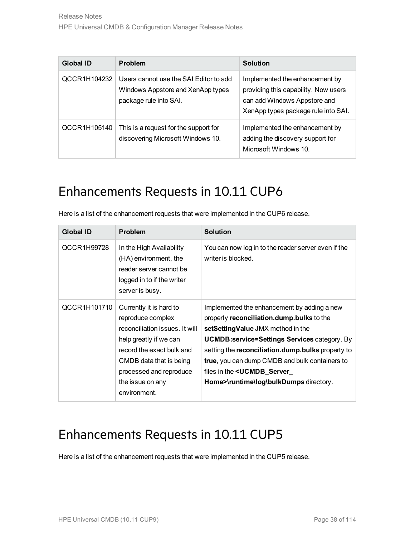| Global ID    | Problem                                                                                               | Solution                                                                                                                                      |
|--------------|-------------------------------------------------------------------------------------------------------|-----------------------------------------------------------------------------------------------------------------------------------------------|
| QCCR1H104232 | Users cannot use the SAI Editor to add<br>Windows Appstore and XenApp types<br>package rule into SAI. | Implemented the enhancement by<br>providing this capability. Now users<br>can add Windows Appstore and<br>XenApp types package rule into SAI. |
| QCCR1H105140 | This is a request for the support for<br>discovering Microsoft Windows 10.                            | Implemented the enhancement by<br>adding the discovery support for<br>Microsoft Windows 10.                                                   |

## Enhancements Requests in 10.11 CUP6

Here is a list of the enhancement requests that were implemented in the CUP6 release.

| <b>Global ID</b> | <b>Problem</b>                                                                                                                                                                                                                  | <b>Solution</b>                                                                                                                                                                                                                                                                                                                                                              |
|------------------|---------------------------------------------------------------------------------------------------------------------------------------------------------------------------------------------------------------------------------|------------------------------------------------------------------------------------------------------------------------------------------------------------------------------------------------------------------------------------------------------------------------------------------------------------------------------------------------------------------------------|
| QCCR1H99728      | In the High Availability<br>(HA) environment, the<br>reader server cannot be<br>logged in to if the writer<br>server is busy.                                                                                                   | You can now log in to the reader server even if the<br>writer is blocked.                                                                                                                                                                                                                                                                                                    |
| QCCR1H101710     | Currently it is hard to<br>reproduce complex<br>reconciliation issues. It will<br>help greatly if we can<br>record the exact bulk and<br>CMDB data that is being<br>processed and reproduce<br>the issue on any<br>environment. | Implemented the enhancement by adding a new<br>property reconciliation.dump.bulks to the<br>setSettingValue JMX method in the<br><b>UCMDB:service=Settings Services category. By</b><br>setting the reconciliation.dump.bulks property to<br>true, you can dump CMDB and bulk containers to<br>files in the < <b>UCMDB_Server_</b><br>Home>\runtime\log\bulkDumps directory. |

#### Enhancements Requests in 10.11 CUP5

Here is a list of the enhancement requests that were implemented in the CUP5 release.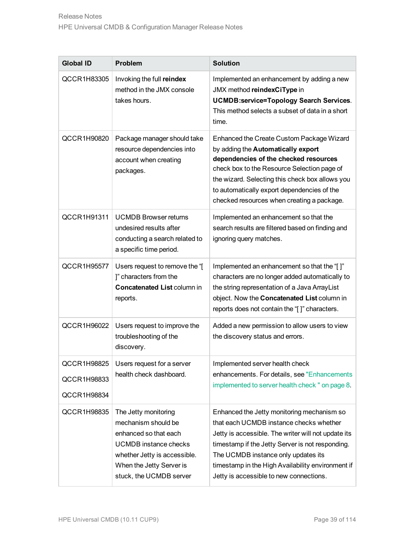| <b>Global ID</b>                          | <b>Problem</b>                                                                                                                                                                              | <b>Solution</b>                                                                                                                                                                                                                                                                                                                         |
|-------------------------------------------|---------------------------------------------------------------------------------------------------------------------------------------------------------------------------------------------|-----------------------------------------------------------------------------------------------------------------------------------------------------------------------------------------------------------------------------------------------------------------------------------------------------------------------------------------|
| QCCR1H83305                               | Invoking the full reindex<br>method in the JMX console<br>takes hours.                                                                                                                      | Implemented an enhancement by adding a new<br>JMX method reindexCiType in<br><b>UCMDB:service=Topology Search Services.</b><br>This method selects a subset of data in a short<br>time.                                                                                                                                                 |
| QCCR1H90820                               | Package manager should take<br>resource dependencies into<br>account when creating<br>packages.                                                                                             | Enhanced the Create Custom Package Wizard<br>by adding the Automatically export<br>dependencies of the checked resources<br>check box to the Resource Selection page of<br>the wizard. Selecting this check box allows you<br>to automatically export dependencies of the<br>checked resources when creating a package.                 |
| QCCR1H91311                               | <b>UCMDB Browser returns</b><br>undesired results after<br>conducting a search related to<br>a specific time period.                                                                        | Implemented an enhancement so that the<br>search results are filtered based on finding and<br>ignoring query matches.                                                                                                                                                                                                                   |
| QCCR1H95577                               | Users request to remove the "[<br>]" characters from the<br><b>Concatenated List column in</b><br>reports.                                                                                  | Implemented an enhancement so that the "[]"<br>characters are no longer added automatically to<br>the string representation of a Java ArrayList<br>object. Now the Concatenated List column in<br>reports does not contain the "[]" characters.                                                                                         |
| QCCR1H96022                               | Users request to improve the<br>troubleshooting of the<br>discovery.                                                                                                                        | Added a new permission to allow users to view<br>the discovery status and errors.                                                                                                                                                                                                                                                       |
| QCCR1H98825<br>QCCR1H98833<br>QCCR1H98834 | Users request for a server<br>health check dashboard.                                                                                                                                       | Implemented server health check<br>enhancements. For details, see "Enhancements<br>implemented to server health check " on page 8.                                                                                                                                                                                                      |
| QCCR1H98835                               | The Jetty monitoring<br>mechanism should be<br>enhanced so that each<br><b>UCMDB</b> instance checks<br>whether Jetty is accessible.<br>When the Jetty Server is<br>stuck, the UCMDB server | Enhanced the Jetty monitoring mechanism so<br>that each UCMDB instance checks whether<br>Jetty is accessible. The writer will not update its<br>timestamp if the Jetty Server is not responding.<br>The UCMDB instance only updates its<br>timestamp in the High Availability environment if<br>Jetty is accessible to new connections. |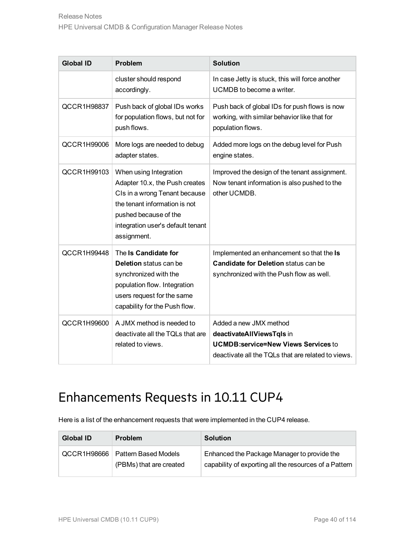| <b>Global ID</b> | <b>Problem</b>                                                                                                                                                                                          | <b>Solution</b>                                                                                                                                         |
|------------------|---------------------------------------------------------------------------------------------------------------------------------------------------------------------------------------------------------|---------------------------------------------------------------------------------------------------------------------------------------------------------|
|                  | cluster should respond<br>accordingly.                                                                                                                                                                  | In case Jetty is stuck, this will force another<br>UCMDB to become a writer.                                                                            |
| QCCR1H98837      | Push back of global IDs works<br>for population flows, but not for<br>push flows.                                                                                                                       | Push back of global IDs for push flows is now<br>working, with similar behavior like that for<br>population flows.                                      |
| QCCR1H99006      | More logs are needed to debug<br>adapter states.                                                                                                                                                        | Added more logs on the debug level for Push<br>engine states.                                                                                           |
| QCCR1H99103      | When using Integration<br>Adapter 10.x, the Push creates<br>CIs in a wrong Tenant because<br>the tenant information is not<br>pushed because of the<br>integration user's default tenant<br>assignment. | Improved the design of the tenant assignment.<br>Now tenant information is also pushed to the<br>other UCMDB.                                           |
| QCCR1H99448      | The Is Candidate for<br><b>Deletion</b> status can be<br>synchronized with the<br>population flow. Integration<br>users request for the same<br>capability for the Push flow.                           | Implemented an enhancement so that the Is<br>Candidate for Deletion status can be<br>synchronized with the Push flow as well.                           |
| QCCR1H99600      | A JMX method is needed to<br>deactivate all the TQLs that are<br>related to views.                                                                                                                      | Added a new JMX method<br>deactivateAllViewsTqls in<br><b>UCMDB:service=New Views Services to</b><br>deactivate all the TQLs that are related to views. |

#### Enhancements Requests in 10.11 CUP4

Here is a list of the enhancement requests that were implemented in the CUP4 release.

| Global ID   | <b>Problem</b>                                  | <b>Solution</b>                                                                                       |
|-------------|-------------------------------------------------|-------------------------------------------------------------------------------------------------------|
| QCCR1H98666 | Pattern Based Models<br>(PBMs) that are created | Enhanced the Package Manager to provide the<br>capability of exporting all the resources of a Pattern |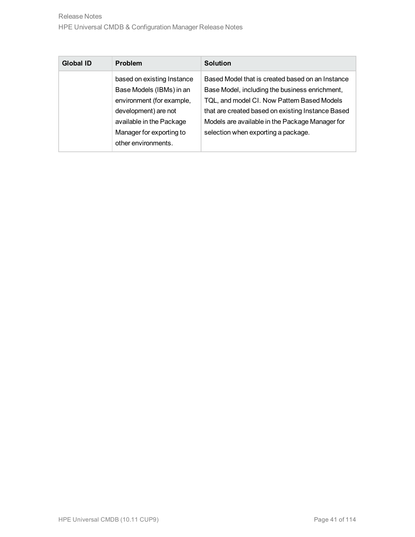| Global ID | <b>Problem</b>                                                                                                                                                                             | <b>Solution</b>                                                                                                                                                                                                                                                                                  |
|-----------|--------------------------------------------------------------------------------------------------------------------------------------------------------------------------------------------|--------------------------------------------------------------------------------------------------------------------------------------------------------------------------------------------------------------------------------------------------------------------------------------------------|
|           | based on existing Instance<br>Base Models (IBMs) in an<br>environment (for example,<br>development) are not<br>available in the Package<br>Manager for exporting to<br>other environments. | Based Model that is created based on an Instance<br>Base Model, including the business enrichment,<br>TQL, and model CI. Now Pattern Based Models<br>that are created based on existing Instance Based<br>Models are available in the Package Manager for<br>selection when exporting a package. |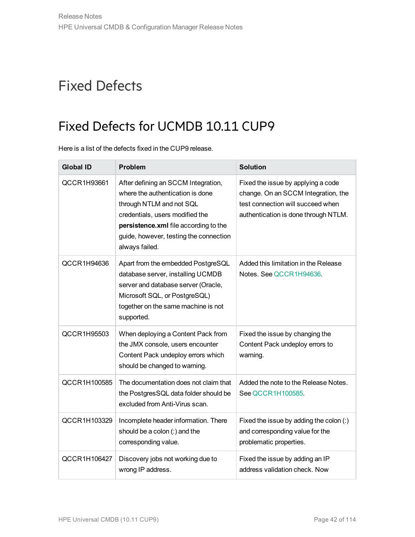# Fixed Defects

## Fixed Defects for UCMDB 10.11 CUP9

Here is a list of the defects fixed in the CUP9 release.

| <b>Global ID</b> | <b>Problem</b>                                                                                                                                                                                                                              | <b>Solution</b>                                                                                                                                        |
|------------------|---------------------------------------------------------------------------------------------------------------------------------------------------------------------------------------------------------------------------------------------|--------------------------------------------------------------------------------------------------------------------------------------------------------|
| QCCR1H93661      | After defining an SCCM Integration,<br>where the authentication is done<br>through NTLM and not SQL<br>credentials, users modified the<br>persistence.xml file according to the<br>guide, however, testing the connection<br>always failed. | Fixed the issue by applying a code<br>change. On an SCCM Integration, the<br>test connection will succeed when<br>authentication is done through NTLM. |
| QCCR1H94636      | Apart from the embedded PostgreSQL<br>database server, installing UCMDB<br>server and database server (Oracle,<br>Microsoft SQL, or PostgreSQL)<br>together on the same machine is not<br>supported.                                        | Added this limitation in the Release<br>Notes, See QCCR1H94636.                                                                                        |
| QCCR1H95503      | When deploying a Content Pack from<br>the JMX console, users encounter<br>Content Pack undeploy errors which<br>should be changed to warning.                                                                                               | Fixed the issue by changing the<br>Content Pack undeploy errors to<br>warning.                                                                         |
| QCCR1H100585     | The documentation does not claim that<br>the PostgresSQL data folder should be<br>excluded from Anti-Virus scan.                                                                                                                            | Added the note to the Release Notes.<br>See QCCR1H100585.                                                                                              |
| QCCR1H103329     | Incomplete header information. There<br>should be a colon (:) and the<br>corresponding value.                                                                                                                                               | Fixed the issue by adding the colon (:)<br>and corresponding value for the<br>problematic properties.                                                  |
| QCCR1H106427     | Discovery jobs not working due to<br>wrong IP address.                                                                                                                                                                                      | Fixed the issue by adding an IP<br>address validation check. Now                                                                                       |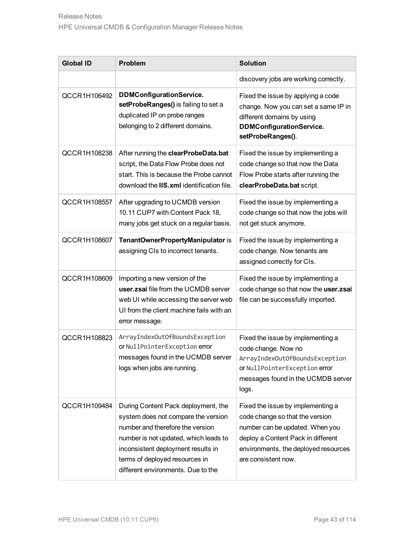| <b>Global ID</b> | Problem                                                                                                                                                                                                                                                               | <b>Solution</b>                                                                                                                                                                                              |
|------------------|-----------------------------------------------------------------------------------------------------------------------------------------------------------------------------------------------------------------------------------------------------------------------|--------------------------------------------------------------------------------------------------------------------------------------------------------------------------------------------------------------|
|                  |                                                                                                                                                                                                                                                                       | discovery jobs are working correctly.                                                                                                                                                                        |
| QCCR1H106492     | <b>DDMConfigurationService.</b><br>setProbeRanges() is failing to set a<br>duplicated IP on probe ranges<br>belonging to 2 different domains.                                                                                                                         | Fixed the issue by applying a code<br>change. Now you can set a same IP in<br>different domains by using<br><b>DDMConfigurationService.</b><br>setProbeRanges().                                             |
| QCCR1H108238     | After running the clearProbeData.bat<br>script, the Data Flow Probe does not<br>start. This is because the Probe cannot<br>download the IIS.xml identification file.                                                                                                  | Fixed the issue by implementing a<br>code change so that now the Data<br>Flow Probe starts after running the<br>clearProbeData.bat script.                                                                   |
| QCCR1H108557     | After upgrading to UCMDB version<br>10.11 CUP7 with Content Pack 18,<br>many jobs get stuck on a regular basis.                                                                                                                                                       | Fixed the issue by implementing a<br>code change so that now the jobs will<br>not get stuck anymore.                                                                                                         |
| QCCR1H108607     | TenantOwnerPropertyManipulator is<br>assigning CIs to incorrect tenants.                                                                                                                                                                                              | Fixed the issue by implementing a<br>code change. Now tenants are<br>assigned correctly for CIs.                                                                                                             |
| QCCR1H108609     | Importing a new version of the<br>user.zsai file from the UCMDB server<br>web UI while accessing the server web<br>UI from the client machine fails with an<br>error message.                                                                                         | Fixed the issue by implementing a<br>code change so that now the user.zsai<br>file can be successfully imported.                                                                                             |
| QCCR1H108823     | ArrayIndexOutOfBoundsException<br>or NullPointerException error<br>messages found in the UCMDB server<br>logs when jobs are running.                                                                                                                                  | Fixed the issue by implementing a<br>code change. Now no<br>ArrayIndexOutOfBoundsException<br>or NullPointerException error<br>messages found in the UCMDB server<br>logs.                                   |
| QCCR1H109484     | During Content Pack deployment, the<br>system does not compare the version<br>number and therefore the version<br>number is not updated, which leads to<br>inconsistent deployment results in<br>terms of deployed resources in<br>different environments. Due to the | Fixed the issue by implementing a<br>code change so that the version<br>number can be updated. When you<br>deploy a Content Pack in different<br>environments, the deployed resources<br>are consistent now. |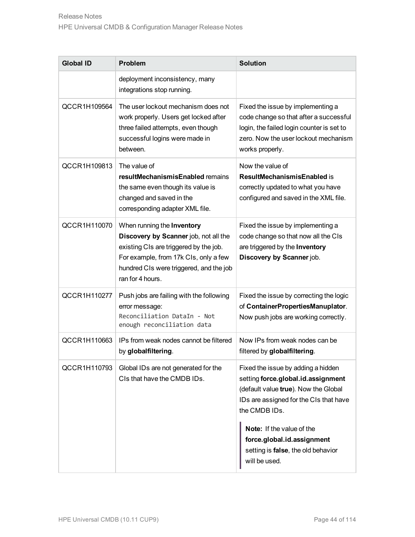| <b>Global ID</b> | <b>Problem</b>                                                                                                                                                                                                        | <b>Solution</b>                                                                                                                                                                                                                        |
|------------------|-----------------------------------------------------------------------------------------------------------------------------------------------------------------------------------------------------------------------|----------------------------------------------------------------------------------------------------------------------------------------------------------------------------------------------------------------------------------------|
|                  | deployment inconsistency, many<br>integrations stop running.                                                                                                                                                          |                                                                                                                                                                                                                                        |
| QCCR1H109564     | The user lockout mechanism does not<br>work properly. Users get locked after<br>three failed attempts, even though<br>successful logins were made in<br>between.                                                      | Fixed the issue by implementing a<br>code change so that after a successful<br>login, the failed login counter is set to<br>zero. Now the user lockout mechanism<br>works properly.                                                    |
| QCCR1H109813     | The value of<br>resultMechanismisEnabled remains<br>the same even though its value is<br>changed and saved in the<br>corresponding adapter XML file.                                                                  | Now the value of<br><b>ResultMechanismisEnabled is</b><br>correctly updated to what you have<br>configured and saved in the XML file.                                                                                                  |
| QCCR1H110070     | When running the Inventory<br>Discovery by Scanner job, not all the<br>existing CIs are triggered by the job.<br>For example, from 17k CIs, only a few<br>hundred CIs were triggered, and the job<br>ran for 4 hours. | Fixed the issue by implementing a<br>code change so that now all the CIs<br>are triggered by the Inventory<br>Discovery by Scanner job.                                                                                                |
| QCCR1H110277     | Push jobs are failing with the following<br>error message:<br>Reconciliation DataIn - Not<br>enough reconciliation data                                                                                               | Fixed the issue by correcting the logic<br>of ContainerPropertiesManuplator.<br>Now push jobs are working correctly.                                                                                                                   |
| QCCR1H110663     | IPs from weak nodes cannot be filtered<br>by globalfiltering.                                                                                                                                                         | Now IPs from weak nodes can be<br>filtered by globalfiltering.                                                                                                                                                                         |
| QCCR1H110793     | Global IDs are not generated for the<br>CIs that have the CMDB IDs.                                                                                                                                                   | Fixed the issue by adding a hidden<br>setting force.global.id.assignment<br>(default value true). Now the Global<br>IDs are assigned for the CIs that have<br>the CMDB IDs.<br>Note: If the value of the<br>force.global.id.assignment |
|                  |                                                                                                                                                                                                                       | setting is false, the old behavior<br>will be used.                                                                                                                                                                                    |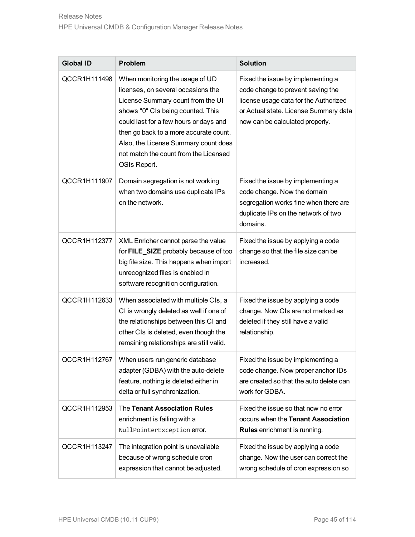| <b>Global ID</b> | <b>Problem</b>                                                                                                                                                                                                                                                                                                                       | <b>Solution</b>                                                                                                                                                                             |
|------------------|--------------------------------------------------------------------------------------------------------------------------------------------------------------------------------------------------------------------------------------------------------------------------------------------------------------------------------------|---------------------------------------------------------------------------------------------------------------------------------------------------------------------------------------------|
| QCCR1H111498     | When monitoring the usage of UD<br>licenses, on several occasions the<br>License Summary count from the UI<br>shows "0" CIs being counted. This<br>could last for a few hours or days and<br>then go back to a more accurate count.<br>Also, the License Summary count does<br>not match the count from the Licensed<br>OSIs Report. | Fixed the issue by implementing a<br>code change to prevent saving the<br>license usage data for the Authorized<br>or Actual state. License Summary data<br>now can be calculated properly. |
| QCCR1H111907     | Domain segregation is not working<br>when two domains use duplicate IPs<br>on the network.                                                                                                                                                                                                                                           | Fixed the issue by implementing a<br>code change. Now the domain<br>segregation works fine when there are<br>duplicate IPs on the network of two<br>domains.                                |
| QCCR1H112377     | XML Enricher cannot parse the value<br>for FILE_SIZE probably because of too<br>big file size. This happens when import<br>unrecognized files is enabled in<br>software recognition configuration.                                                                                                                                   | Fixed the issue by applying a code<br>change so that the file size can be<br>increased.                                                                                                     |
| QCCR1H112633     | When associated with multiple CIs, a<br>CI is wrongly deleted as well if one of<br>the relationships between this CI and<br>other CIs is deleted, even though the<br>remaining relationships are still valid.                                                                                                                        | Fixed the issue by applying a code<br>change. Now CIs are not marked as<br>deleted if they still have a valid<br>relationship.                                                              |
| QCCR1H112767     | When users run generic database<br>adapter (GDBA) with the auto-delete<br>feature, nothing is deleted either in<br>delta or full synchronization.                                                                                                                                                                                    | Fixed the issue by implementing a<br>code change. Now proper anchor IDs<br>are created so that the auto delete can<br>work for GDBA.                                                        |
| QCCR1H112953     | The Tenant Association Rules<br>enrichment is failing with a<br>NullPointerException error.                                                                                                                                                                                                                                          | Fixed the issue so that now no error<br>occurs when the Tenant Association<br><b>Rules</b> enrichment is running.                                                                           |
| QCCR1H113247     | The integration point is unavailable<br>because of wrong schedule cron<br>expression that cannot be adjusted.                                                                                                                                                                                                                        | Fixed the issue by applying a code<br>change. Now the user can correct the<br>wrong schedule of cron expression so                                                                          |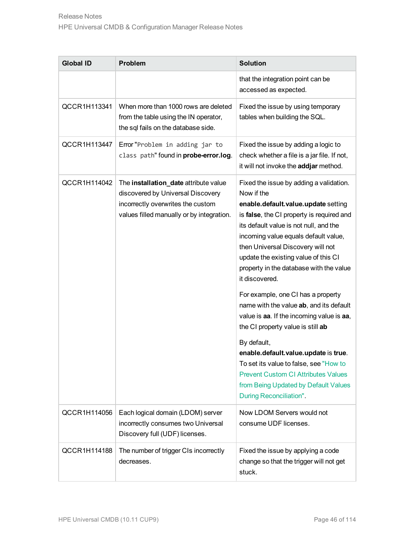| <b>Global ID</b> | Problem                                                                                                                                                      | <b>Solution</b>                                                                                                                                                                                                                                                                                                                                                                                                                                                                                                                                                                                                                                                                                                                                            |
|------------------|--------------------------------------------------------------------------------------------------------------------------------------------------------------|------------------------------------------------------------------------------------------------------------------------------------------------------------------------------------------------------------------------------------------------------------------------------------------------------------------------------------------------------------------------------------------------------------------------------------------------------------------------------------------------------------------------------------------------------------------------------------------------------------------------------------------------------------------------------------------------------------------------------------------------------------|
|                  |                                                                                                                                                              | that the integration point can be<br>accessed as expected.                                                                                                                                                                                                                                                                                                                                                                                                                                                                                                                                                                                                                                                                                                 |
| QCCR1H113341     | When more than 1000 rows are deleted<br>from the table using the IN operator,<br>the sql fails on the database side.                                         | Fixed the issue by using temporary<br>tables when building the SQL.                                                                                                                                                                                                                                                                                                                                                                                                                                                                                                                                                                                                                                                                                        |
| QCCR1H113447     | Error "Problem in adding jar to<br>class path" found in probe-error.log.                                                                                     | Fixed the issue by adding a logic to<br>check whether a file is a jar file. If not,<br>it will not invoke the addjar method.                                                                                                                                                                                                                                                                                                                                                                                                                                                                                                                                                                                                                               |
| QCCR1H114042     | The installation_date attribute value<br>discovered by Universal Discovery<br>incorrectly overwrites the custom<br>values filled manually or by integration. | Fixed the issue by adding a validation.<br>Now if the<br>enable.default.value.update setting<br>is false, the CI property is required and<br>its default value is not null, and the<br>incoming value equals default value,<br>then Universal Discovery will not<br>update the existing value of this CI<br>property in the database with the value<br>it discovered.<br>For example, one CI has a property<br>name with the value ab, and its default<br>value is aa. If the incoming value is aa,<br>the CI property value is still ab<br>By default,<br>enable.default.value.update is true.<br>To set its value to false, see "How to<br><b>Prevent Custom CI Attributes Values</b><br>from Being Updated by Default Values<br>During Reconciliation". |
| QCCR1H114056     | Each logical domain (LDOM) server<br>incorrectly consumes two Universal<br>Discovery full (UDF) licenses.                                                    | Now LDOM Servers would not<br>consume UDF licenses.                                                                                                                                                                                                                                                                                                                                                                                                                                                                                                                                                                                                                                                                                                        |
| QCCR1H114188     | The number of trigger CIs incorrectly<br>decreases.                                                                                                          | Fixed the issue by applying a code<br>change so that the trigger will not get<br>stuck.                                                                                                                                                                                                                                                                                                                                                                                                                                                                                                                                                                                                                                                                    |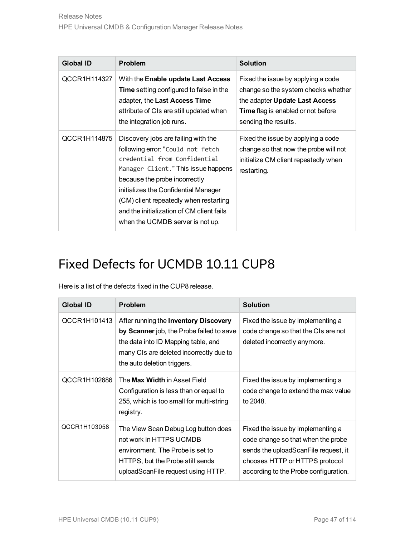| <b>Global ID</b> | Problem                                                                                                                                                                                                                                                                                                                                             | <b>Solution</b>                                                                                                                                                                  |
|------------------|-----------------------------------------------------------------------------------------------------------------------------------------------------------------------------------------------------------------------------------------------------------------------------------------------------------------------------------------------------|----------------------------------------------------------------------------------------------------------------------------------------------------------------------------------|
| QCCR1H114327     | With the Enable update Last Access<br><b>Time</b> setting configured to false in the<br>adapter, the Last Access Time<br>attribute of CIs are still updated when<br>the integration job runs.                                                                                                                                                       | Fixed the issue by applying a code<br>change so the system checks whether<br>the adapter Update Last Access<br><b>Time</b> flag is enabled or not before<br>sending the results. |
| QCCR1H114875     | Discovery jobs are failing with the<br>following error: "Could not fetch<br>credential from Confidential<br>Manager Client." This issue happens<br>because the probe incorrectly<br>initializes the Confidential Manager<br>(CM) client repeatedly when restarting<br>and the initialization of CM client fails<br>when the UCMDB server is not up. | Fixed the issue by applying a code<br>change so that now the probe will not<br>initialize CM client repeatedly when<br>restarting.                                               |

Here is a list of the defects fixed in the CUP8 release.

| <b>Global ID</b> | <b>Problem</b>                                                                                                                                                                                     | <b>Solution</b>                                                                                                                                                                            |
|------------------|----------------------------------------------------------------------------------------------------------------------------------------------------------------------------------------------------|--------------------------------------------------------------------------------------------------------------------------------------------------------------------------------------------|
| QCCR1H101413     | After running the Inventory Discovery<br>by Scanner job, the Probe failed to save<br>the data into ID Mapping table, and<br>many CIs are deleted incorrectly due to<br>the auto deletion triggers. | Fixed the issue by implementing a<br>code change so that the CIs are not<br>deleted incorrectly anymore.                                                                                   |
| QCCR1H102686     | The Max Width in Asset Field<br>Configuration is less than or equal to<br>255, which is too small for multi-string<br>registry.                                                                    | Fixed the issue by implementing a<br>code change to extend the max value<br>to 2048.                                                                                                       |
| QCCR1H103058     | The View Scan Debug Log button does<br>not work in HTTPS UCMDB<br>environment. The Probe is set to<br>HTTPS, but the Probe still sends<br>uploadScanFile request using HTTP.                       | Fixed the issue by implementing a<br>code change so that when the probe<br>sends the uploadScanFile request, it<br>chooses HTTP or HTTPS protocol<br>according to the Probe configuration. |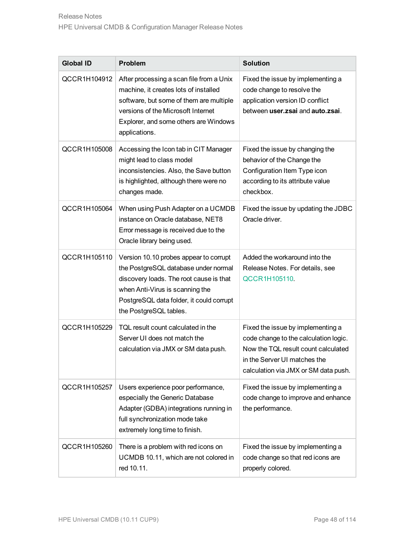| <b>Global ID</b> | <b>Problem</b>                                                                                                                                                                                                                     | <b>Solution</b>                                                                                                                                                                           |
|------------------|------------------------------------------------------------------------------------------------------------------------------------------------------------------------------------------------------------------------------------|-------------------------------------------------------------------------------------------------------------------------------------------------------------------------------------------|
| QCCR1H104912     | After processing a scan file from a Unix<br>machine, it creates lots of installed<br>software, but some of them are multiple<br>versions of the Microsoft Internet<br>Explorer, and some others are Windows<br>applications.       | Fixed the issue by implementing a<br>code change to resolve the<br>application version ID conflict<br>between user.zsai and auto.zsai.                                                    |
| QCCR1H105008     | Accessing the Icon tab in CIT Manager<br>might lead to class model<br>inconsistencies. Also, the Save button<br>is highlighted, although there were no<br>changes made.                                                            | Fixed the issue by changing the<br>behavior of the Change the<br>Configuration Item Type icon<br>according to its attribute value<br>checkbox.                                            |
| QCCR1H105064     | When using Push Adapter on a UCMDB<br>instance on Oracle database, NET8<br>Error message is received due to the<br>Oracle library being used.                                                                                      | Fixed the issue by updating the JDBC<br>Oracle driver.                                                                                                                                    |
| QCCR1H105110     | Version 10.10 probes appear to corrupt<br>the PostgreSQL database under normal<br>discovery loads. The root cause is that<br>when Anti-Virus is scanning the<br>PostgreSQL data folder, it could corrupt<br>the PostgreSQL tables. | Added the workaround into the<br>Release Notes. For details, see<br>QCCR1H105110.                                                                                                         |
| QCCR1H105229     | TQL result count calculated in the<br>Server UI does not match the<br>calculation via JMX or SM data push.                                                                                                                         | Fixed the issue by implementing a<br>code change to the calculation logic.<br>Now the TQL result count calculated<br>in the Server UI matches the<br>calculation via JMX or SM data push. |
| QCCR1H105257     | Users experience poor performance,<br>especially the Generic Database<br>Adapter (GDBA) integrations running in<br>full synchronization mode take<br>extremely long time to finish.                                                | Fixed the issue by implementing a<br>code change to improve and enhance<br>the performance.                                                                                               |
| QCCR1H105260     | There is a problem with red icons on<br>UCMDB 10.11, which are not colored in<br>red 10.11.                                                                                                                                        | Fixed the issue by implementing a<br>code change so that red icons are<br>properly colored.                                                                                               |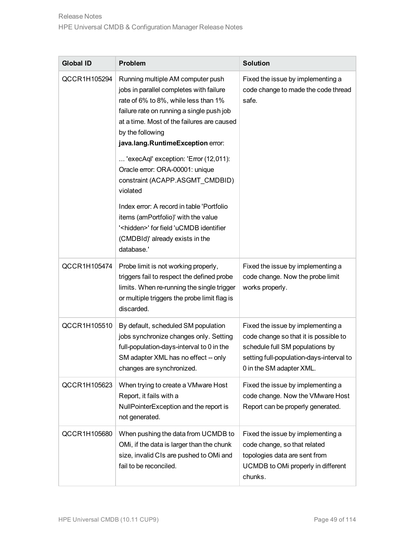| <b>Global ID</b> | Problem                                                                                                                                                                                                                                                                                                                                                                                                                                                                                                                                                                                        | <b>Solution</b>                                                                                                                                                                       |
|------------------|------------------------------------------------------------------------------------------------------------------------------------------------------------------------------------------------------------------------------------------------------------------------------------------------------------------------------------------------------------------------------------------------------------------------------------------------------------------------------------------------------------------------------------------------------------------------------------------------|---------------------------------------------------------------------------------------------------------------------------------------------------------------------------------------|
| QCCR1H105294     | Running multiple AM computer push<br>jobs in parallel completes with failure<br>rate of 6% to 8%, while less than 1%<br>failure rate on running a single push job<br>at a time. Most of the failures are caused<br>by the following<br>java.lang.RuntimeException error:<br>'execAql' exception: 'Error (12,011):<br>Oracle error: ORA-00001: unique<br>constraint (ACAPP.ASGMT_CMDBID)<br>violated<br>Index error: A record in table 'Portfolio<br>items (amPortfolio)' with the value<br>' <hidden>' for field 'uCMDB identifier<br/>(CMDBId)' already exists in the<br/>database.'</hidden> | Fixed the issue by implementing a<br>code change to made the code thread<br>safe.                                                                                                     |
| QCCR1H105474     | Probe limit is not working properly,<br>triggers fail to respect the defined probe<br>limits. When re-running the single trigger<br>or multiple triggers the probe limit flag is<br>discarded.                                                                                                                                                                                                                                                                                                                                                                                                 | Fixed the issue by implementing a<br>code change. Now the probe limit<br>works properly.                                                                                              |
| QCCR1H105510     | By default, scheduled SM population<br>jobs synchronize changes only. Setting<br>full-population-days-interval to 0 in the<br>SM adapter XML has no effect -- only<br>changes are synchronized.                                                                                                                                                                                                                                                                                                                                                                                                | Fixed the issue by implementing a<br>code change so that it is possible to<br>schedule full SM populations by<br>setting full-population-days-interval to<br>0 in the SM adapter XML. |
| QCCR1H105623     | When trying to create a VMware Host<br>Report, it fails with a<br>NullPointerException and the report is<br>not generated.                                                                                                                                                                                                                                                                                                                                                                                                                                                                     | Fixed the issue by implementing a<br>code change. Now the VMware Host<br>Report can be properly generated.                                                                            |
| QCCR1H105680     | When pushing the data from UCMDB to<br>OMi, if the data is larger than the chunk<br>size, invalid CIs are pushed to OMi and<br>fail to be reconciled.                                                                                                                                                                                                                                                                                                                                                                                                                                          | Fixed the issue by implementing a<br>code change, so that related<br>topologies data are sent from<br>UCMDB to OMi properly in different<br>chunks.                                   |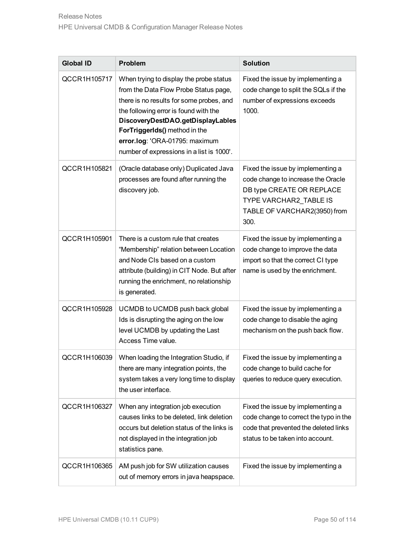| <b>Global ID</b> | Problem                                                                                                                                                                                                                                                                                                                    | <b>Solution</b>                                                                                                                                                        |
|------------------|----------------------------------------------------------------------------------------------------------------------------------------------------------------------------------------------------------------------------------------------------------------------------------------------------------------------------|------------------------------------------------------------------------------------------------------------------------------------------------------------------------|
| QCCR1H105717     | When trying to display the probe status<br>from the Data Flow Probe Status page,<br>there is no results for some probes, and<br>the following error is found with the<br>DiscoveryDestDAO.getDisplayLables<br>ForTriggerIds() method in the<br>error.log: 'ORA-01795: maximum<br>number of expressions in a list is 1000'. | Fixed the issue by implementing a<br>code change to split the SQLs if the<br>number of expressions exceeds<br>1000.                                                    |
| QCCR1H105821     | (Oracle database only) Duplicated Java<br>processes are found after running the<br>discovery job.                                                                                                                                                                                                                          | Fixed the issue by implementing a<br>code change to increase the Oracle<br>DB type CREATE OR REPLACE<br>TYPE VARCHAR2 TABLE IS<br>TABLE OF VARCHAR2(3950) from<br>300. |
| QCCR1H105901     | There is a custom rule that creates<br>"Membership" relation between Location<br>and Node CIs based on a custom<br>attribute (building) in CIT Node. But after<br>running the enrichment, no relationship<br>is generated.                                                                                                 | Fixed the issue by implementing a<br>code change to improve the data<br>import so that the correct CI type<br>name is used by the enrichment.                          |
| QCCR1H105928     | UCMDB to UCMDB push back global<br>Ids is disrupting the aging on the low<br>level UCMDB by updating the Last<br>Access Time value.                                                                                                                                                                                        | Fixed the issue by implementing a<br>code change to disable the aging<br>mechanism on the push back flow.                                                              |
|                  | QCCR1H106039   When loading the Integration Studio, if<br>there are many integration points, the<br>system takes a very long time to display<br>the user interface.                                                                                                                                                        | Fixed the issue by implementing a<br>code change to build cache for<br>queries to reduce query execution.                                                              |
| QCCR1H106327     | When any integration job execution<br>causes links to be deleted, link deletion<br>occurs but deletion status of the links is<br>not displayed in the integration job<br>statistics pane.                                                                                                                                  | Fixed the issue by implementing a<br>code change to correct the typo in the<br>code that prevented the deleted links<br>status to be taken into account.               |
| QCCR1H106365     | AM push job for SW utilization causes<br>out of memory errors in java heapspace.                                                                                                                                                                                                                                           | Fixed the issue by implementing a                                                                                                                                      |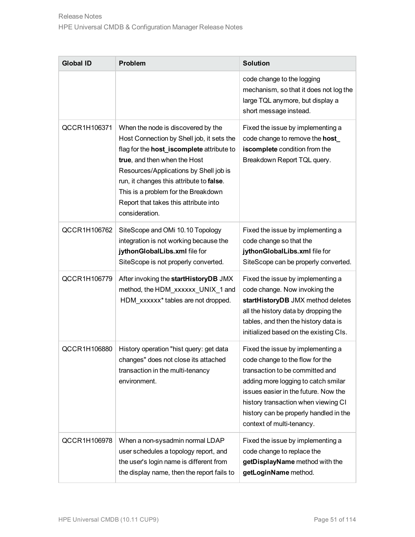| <b>Global ID</b> | <b>Problem</b>                                                                                                                                                                                                                                                                                                                                       | <b>Solution</b>                                                                                                                                                                                                                                                                                      |
|------------------|------------------------------------------------------------------------------------------------------------------------------------------------------------------------------------------------------------------------------------------------------------------------------------------------------------------------------------------------------|------------------------------------------------------------------------------------------------------------------------------------------------------------------------------------------------------------------------------------------------------------------------------------------------------|
|                  |                                                                                                                                                                                                                                                                                                                                                      | code change to the logging<br>mechanism, so that it does not log the<br>large TQL anymore, but display a<br>short message instead.                                                                                                                                                                   |
| QCCR1H106371     | When the node is discovered by the<br>Host Connection by Shell job, it sets the<br>flag for the host_iscomplete attribute to<br>true, and then when the Host<br>Resources/Applications by Shell job is<br>run, it changes this attribute to false.<br>This is a problem for the Breakdown<br>Report that takes this attribute into<br>consideration. | Fixed the issue by implementing a<br>code change to remove the host_<br>iscomplete condition from the<br>Breakdown Report TQL query.                                                                                                                                                                 |
| QCCR1H106762     | SiteScope and OMi 10.10 Topology<br>integration is not working because the<br>jythonGlobalLibs.xml file for<br>SiteScope is not properly converted.                                                                                                                                                                                                  | Fixed the issue by implementing a<br>code change so that the<br>jythonGlobalLibs.xml file for<br>SiteScope can be properly converted.                                                                                                                                                                |
| QCCR1H106779     | After invoking the startHistoryDB JMX<br>method, the HDM_xxxxxx_UNIX_1 and<br>HDM_xxxxxx* tables are not dropped.                                                                                                                                                                                                                                    | Fixed the issue by implementing a<br>code change. Now invoking the<br>startHistoryDB JMX method deletes<br>all the history data by dropping the<br>tables, and then the history data is<br>initialized based on the existing CIs.                                                                    |
| QCCR1H106880     | History operation "hist query: get data<br>changes" does not close its attached<br>transaction in the multi-tenancy<br>environment.                                                                                                                                                                                                                  | Fixed the issue by implementing a<br>code change to the flow for the<br>transaction to be committed and<br>adding more logging to catch smilar<br>issues easier in the future. Now the<br>history transaction when viewing CI<br>history can be properly handled in the<br>context of multi-tenancy. |
| QCCR1H106978     | When a non-sysadmin normal LDAP<br>user schedules a topology report, and<br>the user's login name is different from<br>the display name, then the report fails to                                                                                                                                                                                    | Fixed the issue by implementing a<br>code change to replace the<br>getDisplayName method with the<br>getLoginName method.                                                                                                                                                                            |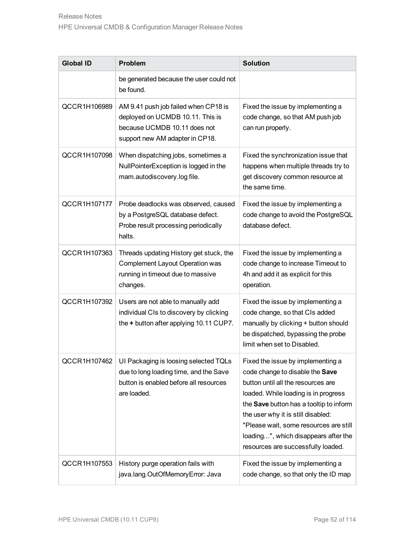| <b>Global ID</b> | <b>Problem</b>                                                                                                                              | <b>Solution</b>                                                                                                                                                                                                                                                                                                                                             |
|------------------|---------------------------------------------------------------------------------------------------------------------------------------------|-------------------------------------------------------------------------------------------------------------------------------------------------------------------------------------------------------------------------------------------------------------------------------------------------------------------------------------------------------------|
|                  | be generated because the user could not<br>be found.                                                                                        |                                                                                                                                                                                                                                                                                                                                                             |
| QCCR1H106989     | AM 9.41 push job failed when CP18 is<br>deployed on UCMDB 10.11. This is<br>because UCMDB 10.11 does not<br>support new AM adapter in CP18. | Fixed the issue by implementing a<br>code change, so that AM push job<br>can run properly.                                                                                                                                                                                                                                                                  |
| QCCR1H107098     | When dispatching jobs, sometimes a<br>NullPointerException is logged in the<br>mam.autodiscovery.log file.                                  | Fixed the synchronization issue that<br>happens when multiple threads try to<br>get discovery common resource at<br>the same time.                                                                                                                                                                                                                          |
| QCCR1H107177     | Probe deadlocks was observed, caused<br>by a PostgreSQL database defect.<br>Probe result processing periodically<br>halts.                  | Fixed the issue by implementing a<br>code change to avoid the PostgreSQL<br>database defect.                                                                                                                                                                                                                                                                |
| QCCR1H107363     | Threads updating History get stuck, the<br>Complement Layout Operation was<br>running in timeout due to massive<br>changes.                 | Fixed the issue by implementing a<br>code change to increase Timeout to<br>4h and add it as explicit for this<br>operation.                                                                                                                                                                                                                                 |
| QCCR1H107392     | Users are not able to manually add<br>individual CIs to discovery by clicking<br>the + button after applying 10.11 CUP7.                    | Fixed the issue by implementing a<br>code change, so that CIs added<br>manually by clicking + button should<br>be dispatched, bypassing the probe<br>limit when set to Disabled.                                                                                                                                                                            |
| QCCR1H107462     | UI Packaging is loosing selected TQLs<br>due to long loading time, and the Save<br>button is enabled before all resources<br>are loaded.    | Fixed the issue by implementing a<br>code change to disable the Save<br>button until all the resources are<br>loaded. While loading is in progress<br>the Save button has a tooltip to inform<br>the user why it is still disabled:<br>"Please wait, some resources are still<br>loading", which disappears after the<br>resources are successfully loaded. |
| QCCR1H107553     | History purge operation fails with<br>java.lang.OutOfMemoryError: Java                                                                      | Fixed the issue by implementing a<br>code change, so that only the ID map                                                                                                                                                                                                                                                                                   |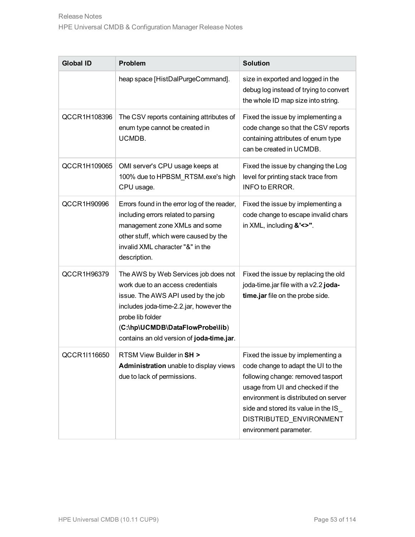| <b>Global ID</b> | <b>Problem</b>                                                                                                                                                                                                                                                 | <b>Solution</b>                                                                                                                                                                                                                                                                       |
|------------------|----------------------------------------------------------------------------------------------------------------------------------------------------------------------------------------------------------------------------------------------------------------|---------------------------------------------------------------------------------------------------------------------------------------------------------------------------------------------------------------------------------------------------------------------------------------|
|                  | heap space [HistDalPurgeCommand].                                                                                                                                                                                                                              | size in exported and logged in the<br>debug log instead of trying to convert<br>the whole ID map size into string.                                                                                                                                                                    |
| QCCR1H108396     | The CSV reports containing attributes of<br>enum type cannot be created in<br>UCMDB.                                                                                                                                                                           | Fixed the issue by implementing a<br>code change so that the CSV reports<br>containing attributes of enum type<br>can be created in UCMDB.                                                                                                                                            |
| QCCR1H109065     | OMI server's CPU usage keeps at<br>100% due to HPBSM_RTSM.exe's high<br>CPU usage.                                                                                                                                                                             | Fixed the issue by changing the Log<br>level for printing stack trace from<br>INFO to ERROR.                                                                                                                                                                                          |
| QCCR1H90996      | Errors found in the error log of the reader,<br>including errors related to parsing<br>management zone XMLs and some<br>other stuff, which were caused by the<br>invalid XML character "&" in the<br>description.                                              | Fixed the issue by implementing a<br>code change to escape invalid chars<br>in XML, including &'<>".                                                                                                                                                                                  |
| QCCR1H96379      | The AWS by Web Services job does not<br>work due to an access credentials<br>issue. The AWS API used by the job<br>includes joda-time-2.2.jar, however the<br>probe lib folder<br>(C:\hp\UCMDB\DataFlowProbe\lib)<br>contains an old version of joda-time.jar. | Fixed the issue by replacing the old<br>joda-time.jar file with a v2.2 joda-<br>time.jar file on the probe side.                                                                                                                                                                      |
| QCCR1I116650     | RTSM View Builder in SH ><br>Administration unable to display views<br>due to lack of permissions.                                                                                                                                                             | Fixed the issue by implementing a<br>code change to adapt the UI to the<br>following change: removed tasport<br>usage from UI and checked if the<br>environment is distributed on server<br>side and stored its value in the IS_<br>DISTRIBUTED_ENVIRONMENT<br>environment parameter. |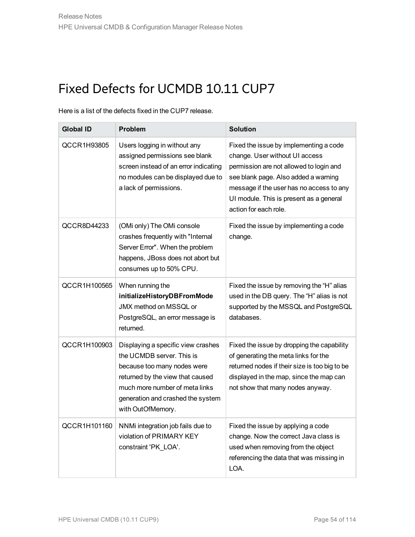Here is a list of the defects fixed in the CUP7 release.

| <b>Global ID</b> | <b>Problem</b>                                                                                                                                                                                                                 | <b>Solution</b>                                                                                                                                                                                                                                                             |
|------------------|--------------------------------------------------------------------------------------------------------------------------------------------------------------------------------------------------------------------------------|-----------------------------------------------------------------------------------------------------------------------------------------------------------------------------------------------------------------------------------------------------------------------------|
| QCCR1H93805      | Users logging in without any<br>assigned permissions see blank<br>screen instead of an error indicating<br>no modules can be displayed due to<br>a lack of permissions.                                                        | Fixed the issue by implementing a code<br>change. User without UI access<br>permission are not allowed to login and<br>see blank page. Also added a warning<br>message if the user has no access to any<br>UI module. This is present as a general<br>action for each role. |
| QCCR8D44233      | (OMi only) The OMi console<br>crashes frequently with "Internal<br>Server Error". When the problem<br>happens, JBoss does not abort but<br>consumes up to 50% CPU.                                                             | Fixed the issue by implementing a code<br>change.                                                                                                                                                                                                                           |
| QCCR1H100565     | When running the<br>initializeHistoryDBFromMode<br>JMX method on MSSQL or<br>PostgreSQL, an error message is<br>returned.                                                                                                      | Fixed the issue by removing the "H" alias<br>used in the DB query. The "H" alias is not<br>supported by the MSSQL and PostgreSQL<br>databases.                                                                                                                              |
| QCCR1H100903     | Displaying a specific view crashes<br>the UCMDB server. This is<br>because too many nodes were<br>returned by the view that caused<br>much more number of meta links<br>generation and crashed the system<br>with OutOfMemory. | Fixed the issue by dropping the capability<br>of generating the meta links for the<br>returned nodes if their size is too big to be<br>displayed in the map, since the map can<br>not show that many nodes anyway.                                                          |
| QCCR1H101160     | NNMi integration job fails due to<br>violation of PRIMARY KEY<br>constraint 'PK_LOA'.                                                                                                                                          | Fixed the issue by applying a code<br>change. Now the correct Java class is<br>used when removing from the object<br>referencing the data that was missing in<br>LOA.                                                                                                       |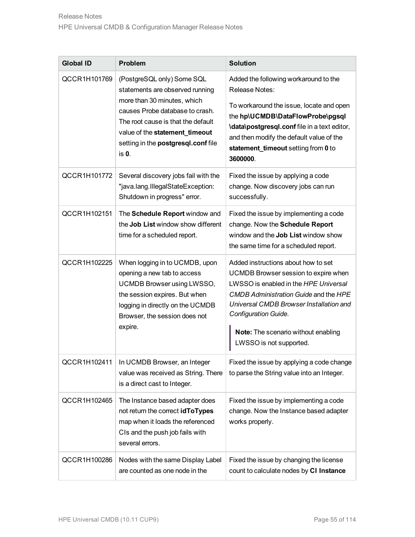| <b>Global ID</b> | <b>Problem</b>                                                                                                                                                                                                                                          | <b>Solution</b>                                                                                                                                                                                                                                                                                                  |
|------------------|---------------------------------------------------------------------------------------------------------------------------------------------------------------------------------------------------------------------------------------------------------|------------------------------------------------------------------------------------------------------------------------------------------------------------------------------------------------------------------------------------------------------------------------------------------------------------------|
| QCCR1H101769     | (PostgreSQL only) Some SQL<br>statements are observed running<br>more than 30 minutes, which<br>causes Probe database to crash.<br>The root cause is that the default<br>value of the statement_timeout<br>setting in the postgresql.conf file<br>is 0. | Added the following workaround to the<br><b>Release Notes:</b><br>To workaround the issue, locate and open<br>the hp\UCMDB\DataFlowProbe\pgsql<br><b>\data\postgresql.conf</b> file in a text editor,<br>and then modify the default value of the<br>statement_timeout setting from 0 to<br>3600000.             |
| QCCR1H101772     | Several discovery jobs fail with the<br>"java.lang.IllegalStateException:<br>Shutdown in progress" error.                                                                                                                                               | Fixed the issue by applying a code<br>change. Now discovery jobs can run<br>successfully.                                                                                                                                                                                                                        |
| QCCR1H102151     | The Schedule Report window and<br>the Job List window show different<br>time for a scheduled report.                                                                                                                                                    | Fixed the issue by implementing a code<br>change. Now the Schedule Report<br>window and the Job List window show<br>the same time for a scheduled report.                                                                                                                                                        |
| QCCR1H102225     | When logging in to UCMDB, upon<br>opening a new tab to access<br>UCMDB Browser using LWSSO,<br>the session expires. But when<br>logging in directly on the UCMDB<br>Browser, the session does not<br>expire.                                            | Added instructions about how to set<br>UCMDB Browser session to expire when<br>LWSSO is enabled in the HPE Universal<br><b>CMDB Administration Guide and the HPE</b><br>Universal CMDB Browser Installation and<br><b>Configuration Guide.</b><br>Note: The scenario without enabling<br>LWSSO is not supported. |
| QCCR1H102411     | In UCMDB Browser, an Integer<br>value was received as String. There<br>is a direct cast to Integer.                                                                                                                                                     | Fixed the issue by applying a code change<br>to parse the String value into an Integer.                                                                                                                                                                                                                          |
| QCCR1H102465     | The Instance based adapter does<br>not return the correct idToTypes<br>map when it loads the referenced<br>CIs and the push job fails with<br>several errors.                                                                                           | Fixed the issue by implementing a code<br>change. Now the Instance based adapter<br>works properly.                                                                                                                                                                                                              |
| QCCR1H100286     | Nodes with the same Display Label<br>are counted as one node in the                                                                                                                                                                                     | Fixed the issue by changing the license<br>count to calculate nodes by CI Instance                                                                                                                                                                                                                               |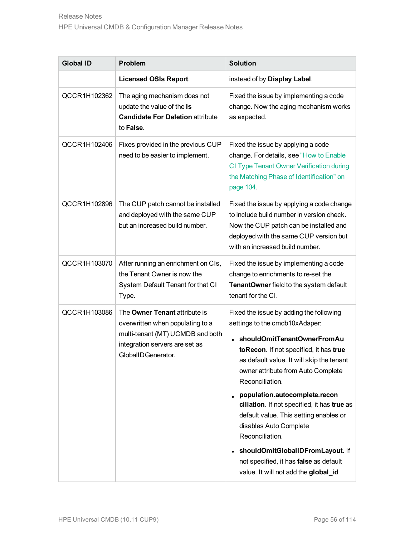| <b>Global ID</b> | <b>Problem</b>                                                                                                                                                | <b>Solution</b>                                                                                                                                                                                                                                                                                                                                                                                                                                                                                                                                         |
|------------------|---------------------------------------------------------------------------------------------------------------------------------------------------------------|---------------------------------------------------------------------------------------------------------------------------------------------------------------------------------------------------------------------------------------------------------------------------------------------------------------------------------------------------------------------------------------------------------------------------------------------------------------------------------------------------------------------------------------------------------|
|                  | <b>Licensed OSIs Report.</b>                                                                                                                                  | instead of by Display Label.                                                                                                                                                                                                                                                                                                                                                                                                                                                                                                                            |
| QCCR1H102362     | The aging mechanism does not<br>update the value of the Is<br><b>Candidate For Deletion attribute</b><br>to False.                                            | Fixed the issue by implementing a code<br>change. Now the aging mechanism works<br>as expected.                                                                                                                                                                                                                                                                                                                                                                                                                                                         |
| QCCR1H102406     | Fixes provided in the previous CUP<br>need to be easier to implement.                                                                                         | Fixed the issue by applying a code<br>change. For details, see "How to Enable<br>CI Type Tenant Owner Verification during<br>the Matching Phase of Identification" on<br>page 104.                                                                                                                                                                                                                                                                                                                                                                      |
| QCCR1H102896     | The CUP patch cannot be installed<br>and deployed with the same CUP<br>but an increased build number.                                                         | Fixed the issue by applying a code change<br>to include build number in version check.<br>Now the CUP patch can be installed and<br>deployed with the same CUP version but<br>with an increased build number.                                                                                                                                                                                                                                                                                                                                           |
| QCCR1H103070     | After running an enrichment on CIs,<br>the Tenant Owner is now the<br>System Default Tenant for that CI<br>Type.                                              | Fixed the issue by implementing a code<br>change to enrichments to re-set the<br>TenantOwner field to the system default<br>tenant for the CI.                                                                                                                                                                                                                                                                                                                                                                                                          |
| QCCR1H103086     | The Owner Tenant attribute is<br>overwritten when populating to a<br>multi-tenant (MT) UCMDB and both<br>integration servers are set as<br>GlobalIDGenerator. | Fixed the issue by adding the following<br>settings to the cmdb10xAdaper:<br>shouldOmitTenantOwnerFromAu<br>toRecon. If not specified, it has true<br>as default value. It will skip the tenant<br>owner attribute from Auto Complete<br>Reconciliation.<br>population.autocomplete.recon<br>ciliation. If not specified, it has true as<br>default value. This setting enables or<br>disables Auto Complete<br>Reconciliation.<br>• shouldOmitGlobalIDFromLayout. If<br>not specified, it has false as default<br>value. It will not add the global_id |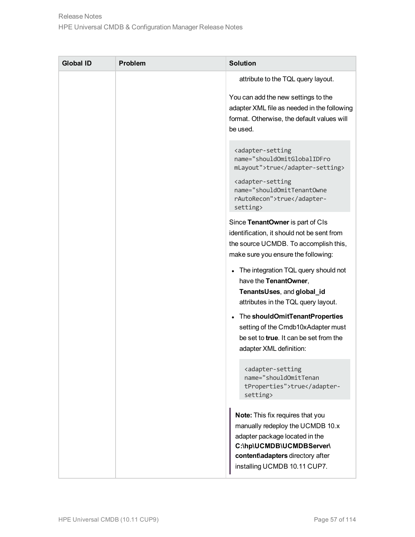| <b>Global ID</b> | <b>Problem</b> | <b>Solution</b>                                                                                                                                                                                        |
|------------------|----------------|--------------------------------------------------------------------------------------------------------------------------------------------------------------------------------------------------------|
|                  |                | attribute to the TQL query layout.                                                                                                                                                                     |
|                  |                | You can add the new settings to the<br>adapter XML file as needed in the following<br>format. Otherwise, the default values will<br>be used.                                                           |
|                  |                | <adapter-setting<br>name="shouldOmitGlobalIDFro<br/>mLayout"&gt;true<br/><adapter-setting<br>name="shouldOmitTenantOwne<br/>rAutoRecon"&gt;truesetting&gt;</adapter-setting<br></adapter-setting<br>   |
|                  |                | Since TenantOwner is part of CIs<br>identification, it should not be sent from<br>the source UCMDB. To accomplish this,<br>make sure you ensure the following:                                         |
|                  |                | The integration TQL query should not<br>have the TenantOwner,<br>TenantsUses, and global_id<br>attributes in the TQL query layout.                                                                     |
|                  |                | The shouldOmitTenantProperties<br>setting of the Cmdb10xAdapter must<br>be set to <b>true</b> . It can be set from the<br>adapter XML definition:                                                      |
|                  |                | <adapter-setting<br>name="shouldOmitTenan<br/>tProperties"&gt;truesetting&gt;</adapter-setting<br>                                                                                                     |
|                  |                | Note: This fix requires that you<br>manually redeploy the UCMDB 10.x<br>adapter package located in the<br>C:\hp\UCMDB\UCMDBServer\<br>content\adapters directory after<br>installing UCMDB 10.11 CUP7. |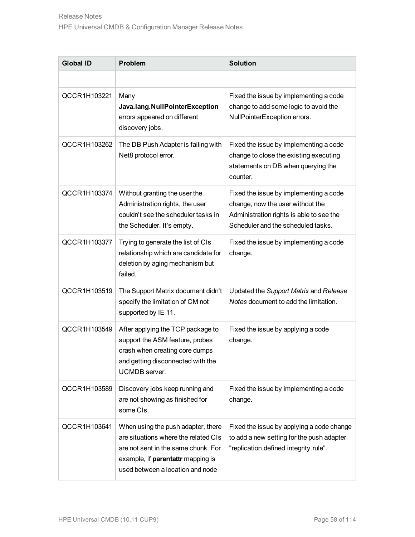| <b>Global ID</b> | <b>Problem</b>                                                                                                                                                                             | <b>Solution</b>                                                                                                                                              |
|------------------|--------------------------------------------------------------------------------------------------------------------------------------------------------------------------------------------|--------------------------------------------------------------------------------------------------------------------------------------------------------------|
|                  |                                                                                                                                                                                            |                                                                                                                                                              |
| QCCR1H103221     | Many<br>Java.lang.NullPointerException<br>errors appeared on different<br>discovery jobs.                                                                                                  | Fixed the issue by implementing a code<br>change to add some logic to avoid the<br>NullPointerException errors.                                              |
| QCCR1H103262     | The DB Push Adapter is failing with<br>Net8 protocol error.                                                                                                                                | Fixed the issue by implementing a code<br>change to close the existing executing<br>statements on DB when querying the<br>counter.                           |
| QCCR1H103374     | Without granting the user the<br>Administration rights, the user<br>couldn't see the scheduler tasks in<br>the Scheduler. It's empty.                                                      | Fixed the issue by implementing a code<br>change, now the user without the<br>Administration rights is able to see the<br>Scheduler and the scheduled tasks. |
| QCCR1H103377     | Trying to generate the list of CIs<br>relationship which are candidate for<br>deletion by aging mechanism but<br>failed.                                                                   | Fixed the issue by implementing a code<br>change.                                                                                                            |
| QCCR1H103519     | The Support Matrix document didn't<br>specify the limitation of CM not<br>supported by IE 11.                                                                                              | Updated the Support Matrix and Release<br>Notes document to add the limitation.                                                                              |
| QCCR1H103549     | After applying the TCP package to<br>support the ASM feature, probes<br>crash when creating core dumps<br>and getting disconnected with the<br>UCMDB server.                               | Fixed the issue by applying a code<br>change.                                                                                                                |
| QCCR1H103589     | Discovery jobs keep running and<br>are not showing as finished for<br>some CIs.                                                                                                            | Fixed the issue by implementing a code<br>change.                                                                                                            |
| QCCR1H103641     | When using the push adapter, there<br>are situations where the related CIs<br>are not sent in the same chunk. For<br>example, if parentattr mapping is<br>used between a location and node | Fixed the issue by applying a code change<br>to add a new setting for the push adapter<br>"replication.defined.integrity.rule".                              |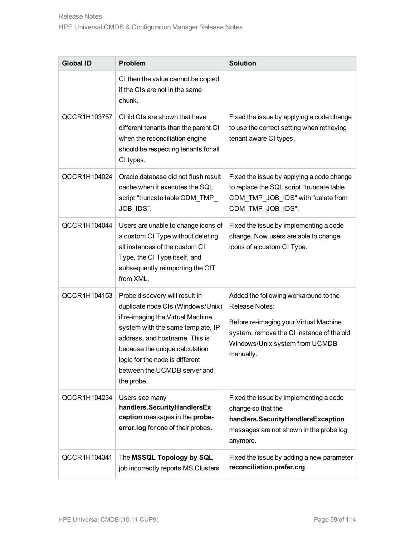| <b>Global ID</b> | <b>Problem</b>                                                                                                                                                                                                                                                                                     | <b>Solution</b>                                                                                                                                                                               |
|------------------|----------------------------------------------------------------------------------------------------------------------------------------------------------------------------------------------------------------------------------------------------------------------------------------------------|-----------------------------------------------------------------------------------------------------------------------------------------------------------------------------------------------|
|                  | CI then the value cannot be copied<br>if the CIs are not in the same<br>chunk.                                                                                                                                                                                                                     |                                                                                                                                                                                               |
| QCCR1H103757     | Child CIs are shown that have<br>different tenants than the parent CI<br>when the reconciliation engine<br>should be respecting tenants for all<br>CI types.                                                                                                                                       | Fixed the issue by applying a code change<br>to use the correct setting when retrieving<br>tenant aware CI types.                                                                             |
| QCCR1H104024     | Oracle database did not flush result<br>cache when it executes the SQL<br>script "truncate table CDM_TMP_<br>JOB_IDS".                                                                                                                                                                             | Fixed the issue by applying a code change<br>to replace the SQL script "truncate table<br>CDM_TMP_JOB_IDS" with "delete from<br>CDM_TMP_JOB_IDS".                                             |
| QCCR1H104044     | Users are unable to change icons of<br>a custom CI Type without deleting<br>all instances of the custom CI<br>Type, the CI Type itself, and<br>subsequently reimporting the CIT<br>from XML.                                                                                                       | Fixed the issue by implementing a code<br>change. Now users are able to change<br>icons of a custom CI Type.                                                                                  |
| QCCR1H104153     | Probe discovery will result in<br>duplicate node CIs (Windows/Unix)<br>if re-imaging the Virtual Machine<br>system with the same template, IP<br>address, and hostname. This is<br>because the unique calculation<br>logic for the node is different<br>between the UCMDB server and<br>the probe. | Added the following workaround to the<br>Release Notes:<br>Before re-imaging your Virtual Machine<br>system, remove the CI instance of the old<br>Windows/Unix system from UCMDB<br>manually. |
| QCCR1H104234     | Users see many<br>handlers.SecurityHandlersEx<br>ception messages in the probe-<br>error.log for one of their probes.                                                                                                                                                                              | Fixed the issue by implementing a code<br>change so that the<br>handlers.SecurityHandlersException<br>messages are not shown in the probe log<br>anymore.                                     |
| QCCR1H104341     | The MSSQL Topology by SQL<br>job incorrectly reports MS Clusters                                                                                                                                                                                                                                   | Fixed the issue by adding a new parameter<br>reconciliation.prefer.crg                                                                                                                        |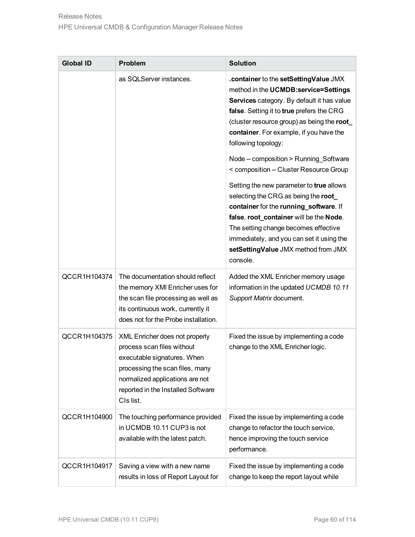| <b>Global ID</b> | <b>Problem</b>                                                                                                                                                                                                       | <b>Solution</b>                                                                                                                                                                                                                                                                                                                                                                                                                                                                                                                                                                                                                                                                               |
|------------------|----------------------------------------------------------------------------------------------------------------------------------------------------------------------------------------------------------------------|-----------------------------------------------------------------------------------------------------------------------------------------------------------------------------------------------------------------------------------------------------------------------------------------------------------------------------------------------------------------------------------------------------------------------------------------------------------------------------------------------------------------------------------------------------------------------------------------------------------------------------------------------------------------------------------------------|
|                  | as SQLServer instances.                                                                                                                                                                                              | .container to the setSettingValue JMX<br>method in the UCMDB:service=Settings<br>Services category. By default it has value<br>false. Setting it to true prefers the CRG<br>(cluster resource group) as being the root<br>container. For example, if you have the<br>following topology:<br>Node -- composition > Running_Software<br>< composition -- Cluster Resource Group<br>Setting the new parameter to true allows<br>selecting the CRG as being the root<br>container for the running_software. If<br>false, root_container will be the Node.<br>The setting change becomes effective<br>immediately, and you can set it using the<br>setSettingValue JMX method from JMX<br>console. |
| QCCR1H104374     | The documentation should reflect<br>the memory XMI Enricher uses for<br>the scan file processing as well as<br>its continuous work, currently it<br>does not for the Probe installation.                             | Added the XML Enricher memory usage<br>information in the updated UCMDB 10.11<br>Support Matrix document.                                                                                                                                                                                                                                                                                                                                                                                                                                                                                                                                                                                     |
| QCCR1H104375     | XML Enricher does not properly<br>process scan files without<br>executable signatures. When<br>processing the scan files, many<br>normalized applications are not<br>reported in the Installed Software<br>CIs list. | Fixed the issue by implementing a code<br>change to the XML Enricher logic.                                                                                                                                                                                                                                                                                                                                                                                                                                                                                                                                                                                                                   |
| QCCR1H104900     | The touching performance provided<br>in UCMDB 10.11 CUP3 is not<br>available with the latest patch.                                                                                                                  | Fixed the issue by implementing a code<br>change to refactor the touch service,<br>hence improving the touch service<br>performance.                                                                                                                                                                                                                                                                                                                                                                                                                                                                                                                                                          |
| QCCR1H104917     | Saving a view with a new name<br>results in loss of Report Layout for                                                                                                                                                | Fixed the issue by implementing a code<br>change to keep the report layout while                                                                                                                                                                                                                                                                                                                                                                                                                                                                                                                                                                                                              |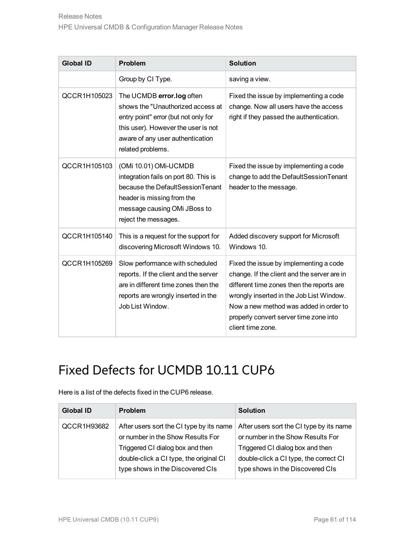| <b>Global ID</b> | Problem                                                                                                                                                                                                | <b>Solution</b>                                                                                                                                                                                                                                                                         |
|------------------|--------------------------------------------------------------------------------------------------------------------------------------------------------------------------------------------------------|-----------------------------------------------------------------------------------------------------------------------------------------------------------------------------------------------------------------------------------------------------------------------------------------|
|                  | Group by CI Type.                                                                                                                                                                                      | saving a view.                                                                                                                                                                                                                                                                          |
| QCCR1H105023     | The UCMDB error.log often<br>shows the "Unauthorized access at<br>entry point" error (but not only for<br>this user). However the user is not<br>aware of any user authentication<br>related problems. | Fixed the issue by implementing a code<br>change. Now all users have the access<br>right if they passed the authentication.                                                                                                                                                             |
| QCCR1H105103     | (OMi 10.01) OMi-UCMDB<br>integration fails on port 80. This is<br>because the DefaultSessionTenant<br>header is missing from the<br>message causing OMi JBoss to<br>reject the messages.               | Fixed the issue by implementing a code<br>change to add the DefaultSessionTenant<br>header to the message.                                                                                                                                                                              |
| QCCR1H105140     | This is a request for the support for<br>discovering Microsoft Windows 10.                                                                                                                             | Added discovery support for Microsoft<br>Windows 10.                                                                                                                                                                                                                                    |
| QCCR1H105269     | Slow performance with scheduled<br>reports. If the client and the server<br>are in different time zones then the<br>reports are wrongly inserted in the<br>Job List Window.                            | Fixed the issue by implementing a code<br>change. If the client and the server are in<br>different time zones then the reports are<br>wrongly inserted in the Job List Window.<br>Now a new method was added in order to<br>properly convert server time zone into<br>client time zone. |

Here is a list of the defects fixed in the CUP6 release.

| <b>Global ID</b> | <b>Problem</b>                                                                                                                                                                                   | <b>Solution</b>                                                                                                                                                                                 |
|------------------|--------------------------------------------------------------------------------------------------------------------------------------------------------------------------------------------------|-------------------------------------------------------------------------------------------------------------------------------------------------------------------------------------------------|
| QCCR1H93682      | After users sort the CI type by its name<br>or number in the Show Results For<br>Triggered CI dialog box and then<br>double-click a CI type, the original CI<br>type shows in the Discovered CIs | After users sort the CI type by its name<br>or number in the Show Results For<br>Triggered CI dialog box and then<br>double-click a CI type, the correct CI<br>type shows in the Discovered CIs |
|                  |                                                                                                                                                                                                  |                                                                                                                                                                                                 |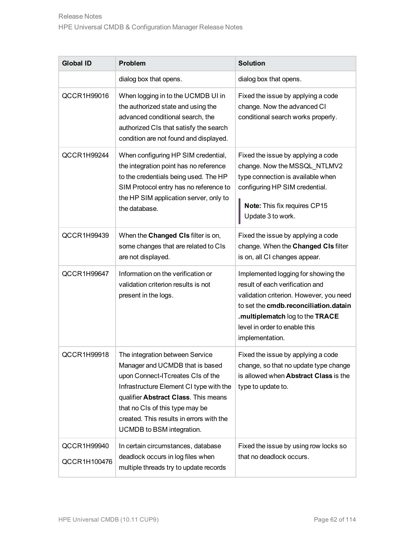| <b>Global ID</b>            | Problem                                                                                                                                                                                                                                                                                                | <b>Solution</b>                                                                                                                                                                                                                                   |
|-----------------------------|--------------------------------------------------------------------------------------------------------------------------------------------------------------------------------------------------------------------------------------------------------------------------------------------------------|---------------------------------------------------------------------------------------------------------------------------------------------------------------------------------------------------------------------------------------------------|
|                             | dialog box that opens.                                                                                                                                                                                                                                                                                 | dialog box that opens.                                                                                                                                                                                                                            |
| QCCR1H99016                 | When logging in to the UCMDB UI in<br>the authorized state and using the<br>advanced conditional search, the<br>authorized CIs that satisfy the search<br>condition are not found and displayed.                                                                                                       | Fixed the issue by applying a code<br>change. Now the advanced CI<br>conditional search works properly.                                                                                                                                           |
| QCCR1H99244                 | When configuring HP SIM credential,<br>the integration point has no reference<br>to the credentials being used. The HP<br>SIM Protocol entry has no reference to<br>the HP SIM application server, only to<br>the database.                                                                            | Fixed the issue by applying a code<br>change. Now the MSSQL_NTLMV2<br>type connection is available when<br>configuring HP SIM credential.<br>Note: This fix requires CP15<br>Update 3 to work.                                                    |
| QCCR1H99439                 | When the Changed CIs filter is on,<br>some changes that are related to CIs<br>are not displayed.                                                                                                                                                                                                       | Fixed the issue by applying a code<br>change. When the Changed CIs filter<br>is on, all CI changes appear.                                                                                                                                        |
| QCCR1H99647                 | Information on the verification or<br>validation criterion results is not<br>present in the logs.                                                                                                                                                                                                      | Implemented logging for showing the<br>result of each verification and<br>validation criterion. However, you need<br>to set the cmdb.reconciliation.datain<br>.multiplematch log to the TRACE<br>level in order to enable this<br>implementation. |
| QCCR1H99918                 | The integration between Service<br>Manager and UCMDB that is based<br>upon Connect-ITcreates CIs of the<br>Infrastructure Element CI type with the<br>qualifier Abstract Class. This means<br>that no CIs of this type may be<br>created. This results in errors with the<br>UCMDB to BSM integration. | Fixed the issue by applying a code<br>change, so that no update type change<br>is allowed when Abstract Class is the<br>type to update to.                                                                                                        |
| QCCR1H99940<br>QCCR1H100476 | In certain circumstances, database<br>deadlock occurs in log files when<br>multiple threads try to update records                                                                                                                                                                                      | Fixed the issue by using row locks so<br>that no deadlock occurs.                                                                                                                                                                                 |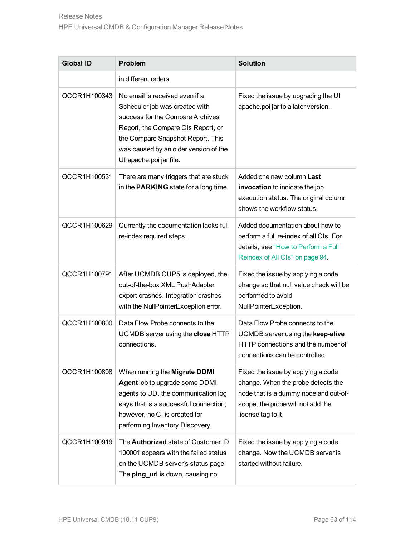| <b>Global ID</b> | <b>Problem</b>                                                                                                                                                                                                                                      | <b>Solution</b>                                                                                                                                                              |
|------------------|-----------------------------------------------------------------------------------------------------------------------------------------------------------------------------------------------------------------------------------------------------|------------------------------------------------------------------------------------------------------------------------------------------------------------------------------|
|                  | in different orders.                                                                                                                                                                                                                                |                                                                                                                                                                              |
| QCCR1H100343     | No email is received even if a<br>Scheduler job was created with<br>success for the Compare Archives<br>Report, the Compare CIs Report, or<br>the Compare Snapshot Report. This<br>was caused by an older version of the<br>UI apache poi jar file. | Fixed the issue by upgrading the UI<br>apache.poi jar to a later version.                                                                                                    |
| QCCR1H100531     | There are many triggers that are stuck<br>in the <b>PARKING</b> state for a long time.                                                                                                                                                              | Added one new column Last<br>invocation to indicate the job<br>execution status. The original column<br>shows the workflow status.                                           |
| QCCR1H100629     | Currently the documentation lacks full<br>re-index required steps.                                                                                                                                                                                  | Added documentation about how to<br>perform a full re-index of all CIs. For<br>details, see "How to Perform a Full<br>Reindex of All CIs" on page 94.                        |
| QCCR1H100791     | After UCMDB CUP5 is deployed, the<br>out-of-the-box XML PushAdapter<br>export crashes. Integration crashes<br>with the NullPointerException error.                                                                                                  | Fixed the issue by applying a code<br>change so that null value check will be<br>performed to avoid<br>NullPointerException.                                                 |
| QCCR1H100800     | Data Flow Probe connects to the<br>UCMDB server using the close HTTP<br>connections.                                                                                                                                                                | Data Flow Probe connects to the<br>UCMDB server using the keep-alive<br>HTTP connections and the number of<br>connections can be controlled.                                 |
| QCCR1H100808     | When running the Migrate DDMI<br>Agent job to upgrade some DDMI<br>agents to UD, the communication log<br>says that is a successful connection;<br>however, no CI is created for<br>performing Inventory Discovery.                                 | Fixed the issue by applying a code<br>change. When the probe detects the<br>node that is a dummy node and out-of-<br>scope, the probe will not add the<br>license tag to it. |
| QCCR1H100919     | The Authorized state of Customer ID<br>100001 appears with the failed status<br>on the UCMDB server's status page.<br>The ping_url is down, causing no                                                                                              | Fixed the issue by applying a code<br>change. Now the UCMDB server is<br>started without failure.                                                                            |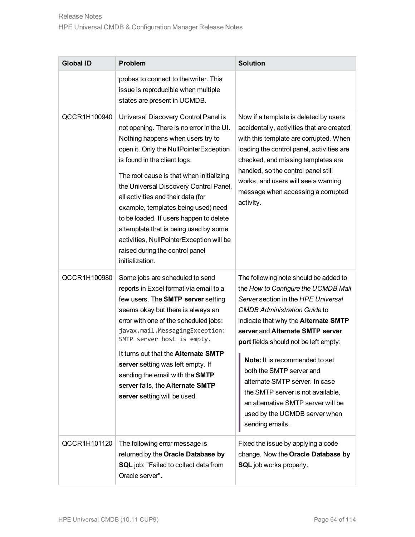| <b>Global ID</b> | Problem                                                                                                                                                                                                                                                                                                                                                                                                                                                                                                                                                   | <b>Solution</b>                                                                                                                                                                                                                                                                                                                                                                                                                                                                                                |
|------------------|-----------------------------------------------------------------------------------------------------------------------------------------------------------------------------------------------------------------------------------------------------------------------------------------------------------------------------------------------------------------------------------------------------------------------------------------------------------------------------------------------------------------------------------------------------------|----------------------------------------------------------------------------------------------------------------------------------------------------------------------------------------------------------------------------------------------------------------------------------------------------------------------------------------------------------------------------------------------------------------------------------------------------------------------------------------------------------------|
|                  | probes to connect to the writer. This<br>issue is reproducible when multiple<br>states are present in UCMDB.                                                                                                                                                                                                                                                                                                                                                                                                                                              |                                                                                                                                                                                                                                                                                                                                                                                                                                                                                                                |
| QCCR1H100940     | Universal Discovery Control Panel is<br>not opening. There is no error in the UI.<br>Nothing happens when users try to<br>open it. Only the NullPointerException<br>is found in the client logs.<br>The root cause is that when initializing<br>the Universal Discovery Control Panel,<br>all activities and their data (for<br>example, templates being used) need<br>to be loaded. If users happen to delete<br>a template that is being used by some<br>activities, NullPointerException will be<br>raised during the control panel<br>initialization. | Now if a template is deleted by users<br>accidentally, activities that are created<br>with this template are corrupted. When<br>loading the control panel, activities are<br>checked, and missing templates are<br>handled, so the control panel still<br>works, and users will see a warning<br>message when accessing a corrupted<br>activity.                                                                                                                                                               |
| QCCR1H100980     | Some jobs are scheduled to send<br>reports in Excel format via email to a<br>few users. The <b>SMTP</b> server setting<br>seems okay but there is always an<br>error with one of the scheduled jobs:<br>javax.mail.MessagingException:<br>SMTP server host is empty.<br>It turns out that the <b>Alternate SMTP</b><br>server setting was left empty. If<br>sending the email with the SMTP<br>server fails, the Alternate SMTP<br>server setting will be used.                                                                                           | The following note should be added to<br>the How to Configure the UCMDB Mail<br>Server section in the HPE Universal<br><b>CMDB Administration Guide to</b><br>indicate that why the Alternate SMTP<br>server and Alternate SMTP server<br>port fields should not be left empty:<br>Note: It is recommended to set<br>both the SMTP server and<br>alternate SMTP server. In case<br>the SMTP server is not available,<br>an alternative SMTP server will be<br>used by the UCMDB server when<br>sending emails. |
| QCCR1H101120     | The following error message is<br>returned by the Oracle Database by<br><b>SQL</b> job: "Failed to collect data from<br>Oracle server".                                                                                                                                                                                                                                                                                                                                                                                                                   | Fixed the issue by applying a code<br>change. Now the Oracle Database by<br><b>SQL</b> job works properly.                                                                                                                                                                                                                                                                                                                                                                                                     |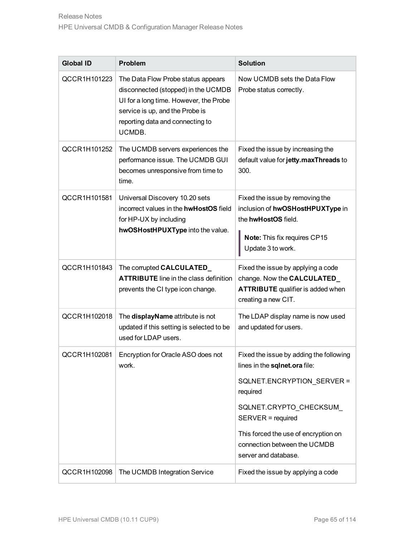| <b>Global ID</b> | <b>Problem</b>                                                                                                                                                                                       | <b>Solution</b>                                                                                                                                                                                                                                                    |
|------------------|------------------------------------------------------------------------------------------------------------------------------------------------------------------------------------------------------|--------------------------------------------------------------------------------------------------------------------------------------------------------------------------------------------------------------------------------------------------------------------|
| QCCR1H101223     | The Data Flow Probe status appears<br>disconnected (stopped) in the UCMDB<br>UI for a long time. However, the Probe<br>service is up, and the Probe is<br>reporting data and connecting to<br>UCMDB. | Now UCMDB sets the Data Flow<br>Probe status correctly.                                                                                                                                                                                                            |
| QCCR1H101252     | The UCMDB servers experiences the<br>performance issue. The UCMDB GUI<br>becomes unresponsive from time to<br>time.                                                                                  | Fixed the issue by increasing the<br>default value for jetty.maxThreads to<br>300.                                                                                                                                                                                 |
| QCCR1H101581     | Universal Discovery 10.20 sets<br>incorrect values in the hwHostOS field<br>for HP-UX by including<br>hwOSHostHPUXType into the value.                                                               | Fixed the issue by removing the<br>inclusion of hwOSHostHPUXType in<br>the hwHostOS field.<br>Note: This fix requires CP15<br>Update 3 to work.                                                                                                                    |
| QCCR1H101843     | The corrupted CALCULATED_<br><b>ATTRIBUTE</b> line in the class definition<br>prevents the CI type icon change.                                                                                      | Fixed the issue by applying a code<br>change. Now the CALCULATED_<br><b>ATTRIBUTE</b> qualifier is added when<br>creating a new CIT.                                                                                                                               |
| QCCR1H102018     | The displayName attribute is not<br>updated if this setting is selected to be<br>used for LDAP users.                                                                                                | The LDAP display name is now used<br>and updated for users.                                                                                                                                                                                                        |
| QCCR1H102081     | Encryption for Oracle ASO does not<br>work.                                                                                                                                                          | Fixed the issue by adding the following<br>lines in the sqlnet.ora file:<br>SQLNET.ENCRYPTION SERVER =<br>required<br>SQLNET.CRYPTO_CHECKSUM_<br>SERVER = required<br>This forced the use of encryption on<br>connection between the UCMDB<br>server and database. |
| QCCR1H102098     | The UCMDB Integration Service                                                                                                                                                                        | Fixed the issue by applying a code                                                                                                                                                                                                                                 |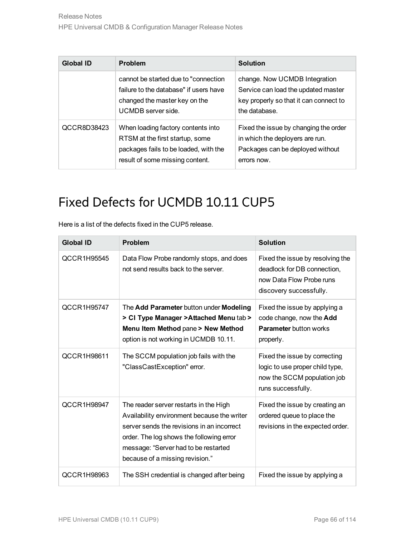| Global ID   | <b>Problem</b>                                                                                                                                    | Solution                                                                                                                        |
|-------------|---------------------------------------------------------------------------------------------------------------------------------------------------|---------------------------------------------------------------------------------------------------------------------------------|
|             | cannot be started due to "connection"<br>failure to the database" if users have<br>changed the master key on the<br>UCMDB server side.            | change. Now UCMDB Integration<br>Service can load the updated master<br>key properly so that it can connect to<br>the database. |
| QCCR8D38423 | When loading factory contents into<br>RTSM at the first startup, some<br>packages fails to be loaded, with the<br>result of some missing content. | Fixed the issue by changing the order<br>in which the deployers are run.<br>Packages can be deployed without<br>errors now.     |

| <b>Global ID</b> | <b>Problem</b>                                                                                                                                                                                                                                             | <b>Solution</b>                                                                                                        |
|------------------|------------------------------------------------------------------------------------------------------------------------------------------------------------------------------------------------------------------------------------------------------------|------------------------------------------------------------------------------------------------------------------------|
| QCCR1H95545      | Data Flow Probe randomly stops, and does<br>not send results back to the server.                                                                                                                                                                           | Fixed the issue by resolving the<br>deadlock for DB connection,<br>now Data Flow Probe runs<br>discovery successfully. |
| QCCR1H95747      | The Add Parameter button under Modeling<br>> CI Type Manager > Attached Menu tab ><br>Menu Item Method pane > New Method<br>option is not working in UCMDB 10.11.                                                                                          | Fixed the issue by applying a<br>code change, now the Add<br><b>Parameter button works</b><br>properly.                |
| QCCR1H98611      | The SCCM population job fails with the<br>"ClassCastException" error.                                                                                                                                                                                      | Fixed the issue by correcting<br>logic to use proper child type,<br>now the SCCM population job<br>runs successfully.  |
| QCCR1H98947      | The reader server restarts in the High<br>Availability environment because the writer<br>server sends the revisions in an incorrect<br>order. The log shows the following error<br>message: "Server had to be restarted<br>because of a missing revision." | Fixed the issue by creating an<br>ordered queue to place the<br>revisions in the expected order.                       |
| QCCR1H98963      | The SSH credential is changed after being                                                                                                                                                                                                                  | Fixed the issue by applying a                                                                                          |

Here is a list of the defects fixed in the CUP5 release.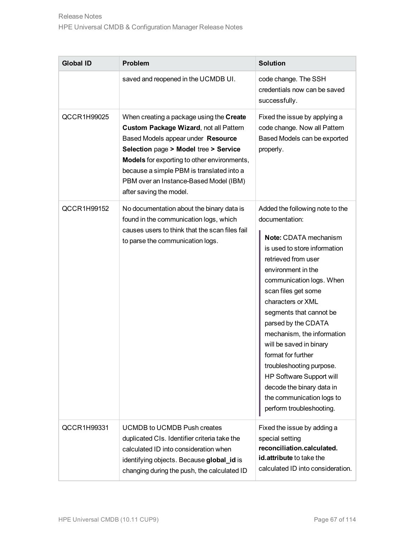| <b>Global ID</b> | <b>Problem</b>                                                                                                                                                                                                                                                                                                                            | <b>Solution</b>                                                                                                                                                                                                                                                                                                                                                                                                                                                                                                |
|------------------|-------------------------------------------------------------------------------------------------------------------------------------------------------------------------------------------------------------------------------------------------------------------------------------------------------------------------------------------|----------------------------------------------------------------------------------------------------------------------------------------------------------------------------------------------------------------------------------------------------------------------------------------------------------------------------------------------------------------------------------------------------------------------------------------------------------------------------------------------------------------|
|                  | saved and reopened in the UCMDB UI.                                                                                                                                                                                                                                                                                                       | code change. The SSH<br>credentials now can be saved<br>successfully.                                                                                                                                                                                                                                                                                                                                                                                                                                          |
| QCCR1H99025      | When creating a package using the Create<br>Custom Package Wizard, not all Pattern<br>Based Models appear under Resource<br>Selection page > Model tree > Service<br><b>Models</b> for exporting to other environments,<br>because a simple PBM is translated into a<br>PBM over an Instance-Based Model (IBM)<br>after saving the model. | Fixed the issue by applying a<br>code change. Now all Pattern<br>Based Models can be exported<br>properly.                                                                                                                                                                                                                                                                                                                                                                                                     |
| QCCR1H99152      | No documentation about the binary data is<br>found in the communication logs, which<br>causes users to think that the scan files fail<br>to parse the communication logs.                                                                                                                                                                 | Added the following note to the<br>documentation:<br>Note: CDATA mechanism<br>is used to store information<br>retrieved from user<br>environment in the<br>communication logs. When<br>scan files get some<br>characters or XML<br>segments that cannot be<br>parsed by the CDATA<br>mechanism, the information<br>will be saved in binary<br>format for further<br>troubleshooting purpose.<br>HP Software Support will<br>decode the binary data in<br>the communication logs to<br>perform troubleshooting. |
| QCCR1H99331      | <b>UCMDB to UCMDB Push creates</b><br>duplicated CIs. Identifier criteria take the<br>calculated ID into consideration when<br>identifying objects. Because global_id is<br>changing during the push, the calculated ID                                                                                                                   | Fixed the issue by adding a<br>special setting<br>reconciliation.calculated.<br>id.attribute to take the<br>calculated ID into consideration.                                                                                                                                                                                                                                                                                                                                                                  |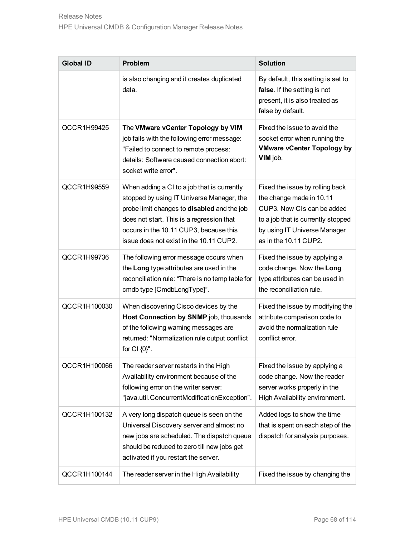| <b>Global ID</b> | <b>Problem</b>                                                                                                                                                                                                                                                                   | <b>Solution</b>                                                                                                                                                                          |
|------------------|----------------------------------------------------------------------------------------------------------------------------------------------------------------------------------------------------------------------------------------------------------------------------------|------------------------------------------------------------------------------------------------------------------------------------------------------------------------------------------|
|                  | is also changing and it creates duplicated<br>data.                                                                                                                                                                                                                              | By default, this setting is set to<br>false. If the setting is not<br>present, it is also treated as<br>false by default.                                                                |
| QCCR1H99425      | The VMware vCenter Topology by VIM<br>job fails with the following error message:<br>"Failed to connect to remote process:<br>details: Software caused connection abort:<br>socket write error".                                                                                 | Fixed the issue to avoid the<br>socket error when running the<br><b>VMware vCenter Topology by</b><br>VIM job.                                                                           |
| QCCR1H99559      | When adding a CI to a job that is currently<br>stopped by using IT Universe Manager, the<br>probe limit changes to <b>disabled</b> and the job<br>does not start. This is a regression that<br>occurs in the 10.11 CUP3, because this<br>issue does not exist in the 10.11 CUP2. | Fixed the issue by rolling back<br>the change made in 10.11<br>CUP3. Now CIs can be added<br>to a job that is currently stopped<br>by using IT Universe Manager<br>as in the 10.11 CUP2. |
| QCCR1H99736      | The following error message occurs when<br>the Long type attributes are used in the<br>reconciliation rule: "There is no temp table for<br>cmdb type [CmdbLongType]".                                                                                                            | Fixed the issue by applying a<br>code change. Now the Long<br>type attributes can be used in<br>the reconciliation rule.                                                                 |
| QCCR1H100030     | When discovering Cisco devices by the<br>Host Connection by SNMP job, thousands<br>of the following warning messages are<br>returned: "Normalization rule output conflict<br>for CI {0}".                                                                                        | Fixed the issue by modifying the<br>attribute comparison code to<br>avoid the normalization rule<br>conflict error.                                                                      |
| QCCR1H100066     | The reader server restarts in the High<br>Availability environment because of the<br>following error on the writer server:<br>"java.util.ConcurrentModificationException".                                                                                                       | Fixed the issue by applying a<br>code change. Now the reader<br>server works properly in the<br>High Availability environment.                                                           |
| QCCR1H100132     | A very long dispatch queue is seen on the<br>Universal Discovery server and almost no<br>new jobs are scheduled. The dispatch queue<br>should be reduced to zero till new jobs get<br>activated if you restart the server.                                                       | Added logs to show the time<br>that is spent on each step of the<br>dispatch for analysis purposes.                                                                                      |
| QCCR1H100144     | The reader server in the High Availability                                                                                                                                                                                                                                       | Fixed the issue by changing the                                                                                                                                                          |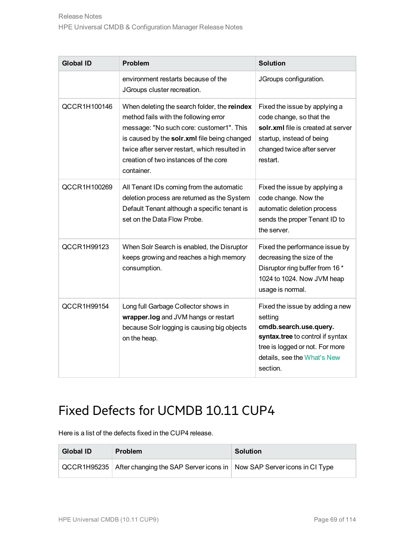| <b>Global ID</b> | <b>Problem</b>                                                                                                                                                                                                                                                                            | <b>Solution</b>                                                                                                                                                                        |
|------------------|-------------------------------------------------------------------------------------------------------------------------------------------------------------------------------------------------------------------------------------------------------------------------------------------|----------------------------------------------------------------------------------------------------------------------------------------------------------------------------------------|
|                  | environment restarts because of the<br>JGroups cluster recreation.                                                                                                                                                                                                                        | JGroups configuration.                                                                                                                                                                 |
| QCCR1H100146     | When deleting the search folder, the reindex<br>method fails with the following error<br>message: "No such core: customer1". This<br>is caused by the solr.xml file being changed<br>twice after server restart, which resulted in<br>creation of two instances of the core<br>container. | Fixed the issue by applying a<br>code change, so that the<br>solr.xml file is created at server<br>startup, instead of being<br>changed twice after server<br>restart.                 |
| QCCR1H100269     | All Tenant IDs coming from the automatic<br>deletion process are returned as the System<br>Default Tenant although a specific tenant is<br>set on the Data Flow Probe.                                                                                                                    | Fixed the issue by applying a<br>code change. Now the<br>automatic deletion process<br>sends the proper Tenant ID to<br>the server.                                                    |
| QCCR1H99123      | When Solr Search is enabled, the Disruptor<br>keeps growing and reaches a high memory<br>consumption.                                                                                                                                                                                     | Fixed the performance issue by<br>decreasing the size of the<br>Disruptor ring buffer from 16 *<br>1024 to 1024. Now JVM heap<br>usage is normal.                                      |
| QCCR1H99154      | Long full Garbage Collector shows in<br>wrapper.log and JVM hangs or restart<br>because Solr logging is causing big objects<br>on the heap.                                                                                                                                               | Fixed the issue by adding a new<br>setting<br>cmdb.search.use.query.<br>syntax.tree to control if syntax<br>tree is logged or not. For more<br>details, see the What's New<br>section. |

Here is a list of the defects fixed in the CUP4 release.

| <b>Global ID</b> | <b>Problem</b>                                                                         | <b>Solution</b> |
|------------------|----------------------------------------------------------------------------------------|-----------------|
|                  | QCCR1H95235   After changing the SAP Server icons in   Now SAP Server icons in CI Type |                 |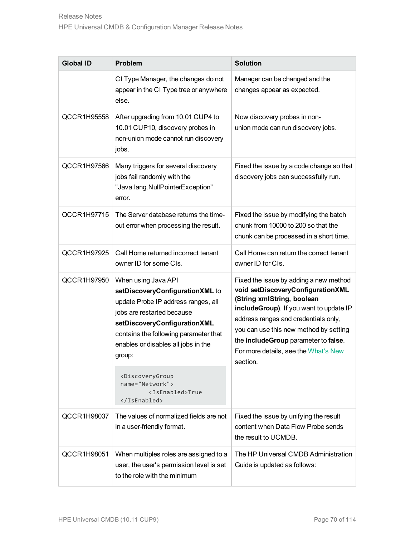| <b>Global ID</b> | <b>Problem</b>                                                                                                                                                                                                                                        | <b>Solution</b>                                                                                                                                                                                                                                                                                                                    |
|------------------|-------------------------------------------------------------------------------------------------------------------------------------------------------------------------------------------------------------------------------------------------------|------------------------------------------------------------------------------------------------------------------------------------------------------------------------------------------------------------------------------------------------------------------------------------------------------------------------------------|
|                  | CI Type Manager, the changes do not<br>appear in the CI Type tree or anywhere<br>else.                                                                                                                                                                | Manager can be changed and the<br>changes appear as expected.                                                                                                                                                                                                                                                                      |
| QCCR1H95558      | After upgrading from 10.01 CUP4 to<br>10.01 CUP10, discovery probes in<br>non-union mode cannot run discovery<br>jobs.                                                                                                                                | Now discovery probes in non-<br>union mode can run discovery jobs.                                                                                                                                                                                                                                                                 |
| QCCR1H97566      | Many triggers for several discovery<br>jobs fail randomly with the<br>"Java.lang.NullPointerException"<br>error.                                                                                                                                      | Fixed the issue by a code change so that<br>discovery jobs can successfully run.                                                                                                                                                                                                                                                   |
| QCCR1H97715      | The Server database returns the time-<br>out error when processing the result.                                                                                                                                                                        | Fixed the issue by modifying the batch<br>chunk from 10000 to 200 so that the<br>chunk can be processed in a short time.                                                                                                                                                                                                           |
| QCCR1H97925      | Call Home returned incorrect tenant<br>owner ID for some CIs.                                                                                                                                                                                         | Call Home can return the correct tenant<br>owner ID for CIs.                                                                                                                                                                                                                                                                       |
| QCCR1H97950      | When using Java API<br>setDiscoveryConfigurationXML to<br>update Probe IP address ranges, all<br>jobs are restarted because<br>setDiscoveryConfigurationXML<br>contains the following parameter that<br>enables or disables all jobs in the<br>group: | Fixed the issue by adding a new method<br>void setDiscoveryConfigurationXML<br>(String xmlString, boolean<br>includeGroup). If you want to update IP<br>address ranges and credentials only,<br>you can use this new method by setting<br>the includeGroup parameter to false.<br>For more details, see the What's New<br>section. |
|                  | <discoverygroup<br>name="Network"&gt;<br/><isenabled>True<br/></isenabled></discoverygroup<br>                                                                                                                                                        |                                                                                                                                                                                                                                                                                                                                    |
| QCCR1H98037      | The values of normalized fields are not<br>in a user-friendly format.                                                                                                                                                                                 | Fixed the issue by unifying the result<br>content when Data Flow Probe sends<br>the result to UCMDB.                                                                                                                                                                                                                               |
| QCCR1H98051      | When multiples roles are assigned to a<br>user, the user's permission level is set<br>to the role with the minimum                                                                                                                                    | The HP Universal CMDB Administration<br>Guide is updated as follows:                                                                                                                                                                                                                                                               |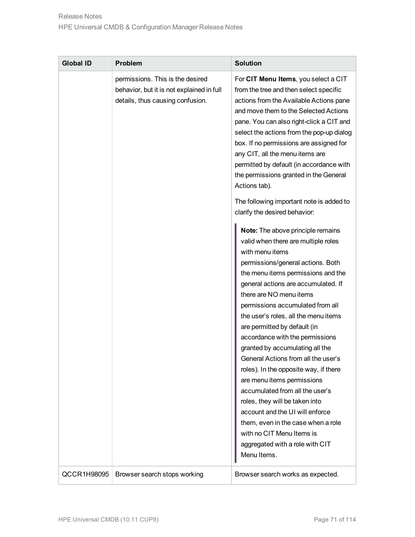| <b>Global ID</b> | <b>Problem</b>                                                                                                    | <b>Solution</b>                                                                                                                                                                                                                                                                                                                                                                                                                                                                                                                                                                                                                                                                                                                                                       |
|------------------|-------------------------------------------------------------------------------------------------------------------|-----------------------------------------------------------------------------------------------------------------------------------------------------------------------------------------------------------------------------------------------------------------------------------------------------------------------------------------------------------------------------------------------------------------------------------------------------------------------------------------------------------------------------------------------------------------------------------------------------------------------------------------------------------------------------------------------------------------------------------------------------------------------|
|                  | permissions. This is the desired<br>behavior, but it is not explained in full<br>details, thus causing confusion. | For CIT Menu Items, you select a CIT<br>from the tree and then select specific<br>actions from the Available Actions pane<br>and move them to the Selected Actions<br>pane. You can also right-click a CIT and<br>select the actions from the pop-up dialog<br>box. If no permissions are assigned for<br>any CIT, all the menu items are<br>permitted by default (in accordance with<br>the permissions granted in the General<br>Actions tab).                                                                                                                                                                                                                                                                                                                      |
|                  |                                                                                                                   | The following important note is added to<br>clarify the desired behavior:                                                                                                                                                                                                                                                                                                                                                                                                                                                                                                                                                                                                                                                                                             |
|                  |                                                                                                                   | Note: The above principle remains<br>valid when there are multiple roles<br>with menu items<br>permissions/general actions. Both<br>the menu items permissions and the<br>general actions are accumulated. If<br>there are NO menu items<br>permissions accumulated from all<br>the user's roles, all the menu items<br>are permitted by default (in<br>accordance with the permissions<br>granted by accumulating all the<br>General Actions from all the user's<br>roles). In the opposite way, if there<br>are menu items permissions<br>accumulated from all the user's<br>roles, they will be taken into<br>account and the UI will enforce<br>them, even in the case when a role<br>with no CIT Menu Items is<br>aggregated with a role with CIT<br>Menu Items. |
| QCCR1H98095      | Browser search stops working                                                                                      | Browser search works as expected.                                                                                                                                                                                                                                                                                                                                                                                                                                                                                                                                                                                                                                                                                                                                     |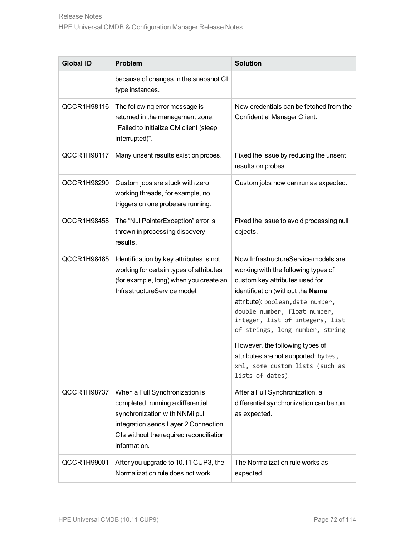| <b>Global ID</b>   | <b>Problem</b>                                                                                                                                                                                           | <b>Solution</b>                                                                                                                                                                                                                                                                                                                                                                                                                 |
|--------------------|----------------------------------------------------------------------------------------------------------------------------------------------------------------------------------------------------------|---------------------------------------------------------------------------------------------------------------------------------------------------------------------------------------------------------------------------------------------------------------------------------------------------------------------------------------------------------------------------------------------------------------------------------|
|                    | because of changes in the snapshot CI<br>type instances.                                                                                                                                                 |                                                                                                                                                                                                                                                                                                                                                                                                                                 |
| QCCR1H98116        | The following error message is<br>returned in the management zone:<br>"Failed to initialize CM client (sleep<br>interrupted)".                                                                           | Now credentials can be fetched from the<br>Confidential Manager Client.                                                                                                                                                                                                                                                                                                                                                         |
| QCCR1H98117        | Many unsent results exist on probes.                                                                                                                                                                     | Fixed the issue by reducing the unsent<br>results on probes.                                                                                                                                                                                                                                                                                                                                                                    |
| QCCR1H98290        | Custom jobs are stuck with zero<br>working threads, for example, no<br>triggers on one probe are running.                                                                                                | Custom jobs now can run as expected.                                                                                                                                                                                                                                                                                                                                                                                            |
| <b>QCCR1H98458</b> | The "NullPointerException" error is<br>thrown in processing discovery<br>results.                                                                                                                        | Fixed the issue to avoid processing null<br>objects.                                                                                                                                                                                                                                                                                                                                                                            |
| QCCR1H98485        | Identification by key attributes is not<br>working for certain types of attributes<br>(for example, long) when you create an<br>InfrastructureService model.                                             | Now InfrastructureService models are<br>working with the following types of<br>custom key attributes used for<br>identification (without the Name<br>attribute): boolean, date number,<br>double number, float number,<br>integer, list of integers, list<br>of strings, long number, string.<br>However, the following types of<br>attributes are not supported: bytes,<br>xml, some custom lists (such as<br>lists of dates). |
| QCCR1H98737        | When a Full Synchronization is<br>completed, running a differential<br>synchronization with NNMi pull<br>integration sends Layer 2 Connection<br>CIs without the required reconciliation<br>information. | After a Full Synchronization, a<br>differential synchronization can be run<br>as expected.                                                                                                                                                                                                                                                                                                                                      |
| QCCR1H99001        | After you upgrade to 10.11 CUP3, the<br>Normalization rule does not work.                                                                                                                                | The Normalization rule works as<br>expected.                                                                                                                                                                                                                                                                                                                                                                                    |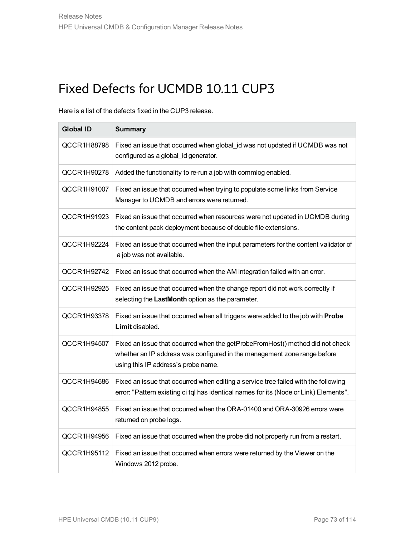# Fixed Defects for UCMDB 10.11 CUP3

Here is a list of the defects fixed in the CUP3 release.

| <b>Global ID</b> | <b>Summary</b>                                                                                                                                                                                   |
|------------------|--------------------------------------------------------------------------------------------------------------------------------------------------------------------------------------------------|
| QCCR1H88798      | Fixed an issue that occurred when global_id was not updated if UCMDB was not<br>configured as a global_id generator.                                                                             |
| QCCR1H90278      | Added the functionality to re-run a job with commlog enabled.                                                                                                                                    |
| QCCR1H91007      | Fixed an issue that occurred when trying to populate some links from Service<br>Manager to UCMDB and errors were returned.                                                                       |
| QCCR1H91923      | Fixed an issue that occurred when resources were not updated in UCMDB during<br>the content pack deployment because of double file extensions.                                                   |
| QCCR1H92224      | Fixed an issue that occurred when the input parameters for the content validator of<br>a job was not available.                                                                                  |
| QCCR1H92742      | Fixed an issue that occurred when the AM integration failed with an error.                                                                                                                       |
| QCCR1H92925      | Fixed an issue that occurred when the change report did not work correctly if<br>selecting the LastMonth option as the parameter.                                                                |
| QCCR1H93378      | Fixed an issue that occurred when all triggers were added to the job with Probe<br>Limit disabled.                                                                                               |
| QCCR1H94507      | Fixed an issue that occurred when the getProbeFromHost() method did not check<br>whether an IP address was configured in the management zone range before<br>using this IP address's probe name. |
| QCCR1H94686      | Fixed an issue that occurred when editing a service tree failed with the following<br>error: "Pattern existing ci tql has identical names for its (Node or Link) Elements".                      |
| QCCR1H94855      | Fixed an issue that occurred when the ORA-01400 and ORA-30926 errors were<br>returned on probe logs.                                                                                             |
| QCCR1H94956      | Fixed an issue that occurred when the probe did not properly run from a restart.                                                                                                                 |
| QCCR1H95112      | Fixed an issue that occurred when errors were returned by the Viewer on the<br>Windows 2012 probe.                                                                                               |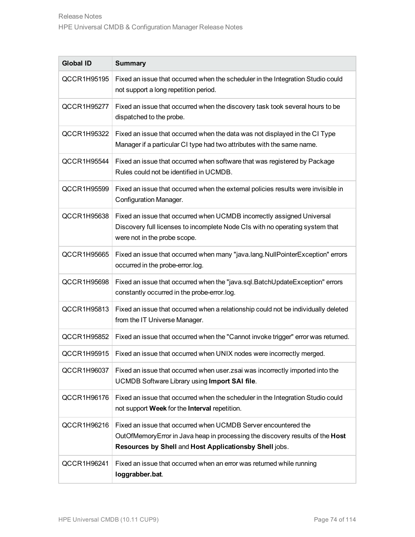| <b>Global ID</b> | <b>Summary</b>                                                                                                                                                                                             |
|------------------|------------------------------------------------------------------------------------------------------------------------------------------------------------------------------------------------------------|
| QCCR1H95195      | Fixed an issue that occurred when the scheduler in the Integration Studio could<br>not support a long repetition period.                                                                                   |
| QCCR1H95277      | Fixed an issue that occurred when the discovery task took several hours to be<br>dispatched to the probe.                                                                                                  |
| QCCR1H95322      | Fixed an issue that occurred when the data was not displayed in the CI Type<br>Manager if a particular CI type had two attributes with the same name.                                                      |
| QCCR1H95544      | Fixed an issue that occurred when software that was registered by Package<br>Rules could not be identified in UCMDB.                                                                                       |
| QCCR1H95599      | Fixed an issue that occurred when the external policies results were invisible in<br>Configuration Manager.                                                                                                |
| QCCR1H95638      | Fixed an issue that occurred when UCMDB incorrectly assigned Universal<br>Discovery full licenses to incomplete Node CIs with no operating system that<br>were not in the probe scope.                     |
| QCCR1H95665      | Fixed an issue that occurred when many "java.lang. NullPointerException" errors<br>occurred in the probe-error.log.                                                                                        |
| QCCR1H95698      | Fixed an issue that occurred when the "java.sql.BatchUpdateException" errors<br>constantly occurred in the probe-error.log.                                                                                |
| QCCR1H95813      | Fixed an issue that occurred when a relationship could not be individually deleted<br>from the IT Universe Manager.                                                                                        |
| QCCR1H95852      | Fixed an issue that occurred when the "Cannot invoke trigger" error was returned.                                                                                                                          |
| QCCR1H95915      | Fixed an issue that occurred when UNIX nodes were incorrectly merged.                                                                                                                                      |
| QCCR1H96037      | Fixed an issue that occurred when user zsai was incorrectly imported into the<br>UCMDB Software Library using Import SAI file.                                                                             |
| QCCR1H96176      | Fixed an issue that occurred when the scheduler in the Integration Studio could<br>not support Week for the Interval repetition.                                                                           |
| QCCR1H96216      | Fixed an issue that occurred when UCMDB Server encountered the<br>OutOfMemory Error in Java heap in processing the discovery results of the Host<br>Resources by Shell and Host Applicationsby Shell jobs. |
| QCCR1H96241      | Fixed an issue that occurred when an error was returned while running<br>loggrabber.bat.                                                                                                                   |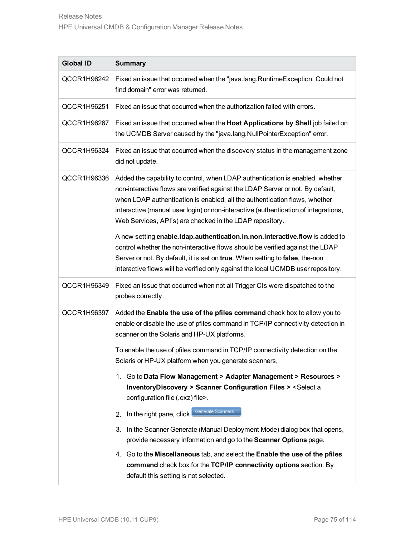| <b>Global ID</b> | <b>Summary</b>                                                                                                                                                                                                                                                                                                                                                                                                                                                                                                                                                                                                                                                                                                                              |
|------------------|---------------------------------------------------------------------------------------------------------------------------------------------------------------------------------------------------------------------------------------------------------------------------------------------------------------------------------------------------------------------------------------------------------------------------------------------------------------------------------------------------------------------------------------------------------------------------------------------------------------------------------------------------------------------------------------------------------------------------------------------|
| QCCR1H96242      | Fixed an issue that occurred when the "java.lang. Runtime Exception: Could not<br>find domain" error was returned.                                                                                                                                                                                                                                                                                                                                                                                                                                                                                                                                                                                                                          |
| QCCR1H96251      | Fixed an issue that occurred when the authorization failed with errors.                                                                                                                                                                                                                                                                                                                                                                                                                                                                                                                                                                                                                                                                     |
| QCCR1H96267      | Fixed an issue that occurred when the Host Applications by Shell job failed on<br>the UCMDB Server caused by the "java.lang.NullPointerException" error.                                                                                                                                                                                                                                                                                                                                                                                                                                                                                                                                                                                    |
| QCCR1H96324      | Fixed an issue that occurred when the discovery status in the management zone<br>did not update.                                                                                                                                                                                                                                                                                                                                                                                                                                                                                                                                                                                                                                            |
| QCCR1H96336      | Added the capability to control, when LDAP authentication is enabled, whether<br>non-interactive flows are verified against the LDAP Server or not. By default,<br>when LDAP authentication is enabled, all the authentication flows, whether<br>interactive (manual user login) or non-interactive (authentication of integrations,<br>Web Services, API's) are checked in the LDAP repository.<br>A new setting enable. Idap. authentication. in. non. interactive. flow is added to<br>control whether the non-interactive flows should be verified against the LDAP<br>Server or not. By default, it is set on true. When setting to false, the-non<br>interactive flows will be verified only against the local UCMDB user repository. |
| QCCR1H96349      | Fixed an issue that occurred when not all Trigger CIs were dispatched to the<br>probes correctly.                                                                                                                                                                                                                                                                                                                                                                                                                                                                                                                                                                                                                                           |
| QCCR1H96397      | Added the Enable the use of the pfiles command check box to allow you to<br>enable or disable the use of pfiles command in TCP/IP connectivity detection in<br>scanner on the Solaris and HP-UX platforms.<br>To enable the use of pfiles command in TCP/IP connectivity detection on the                                                                                                                                                                                                                                                                                                                                                                                                                                                   |
|                  | Solaris or HP-UX platform when you generate scanners,<br>1. Go to Data Flow Management > Adapter Management > Resources ><br>InventoryDiscovery > Scanner Configuration Files > <select a<br="">configuration file (.cxz) file&gt;.<br/>Generate Scanners<br/>2. In the right pane, click<br/>In the Scanner Generate (Manual Deployment Mode) dialog box that opens,<br/>З.<br/>provide necessary information and go to the Scanner Options page.<br/>4. Go to the Miscellaneous tab, and select the Enable the use of the pfiles<br/>command check box for the TCP/IP connectivity options section. By<br/>default this setting is not selected.</select>                                                                                 |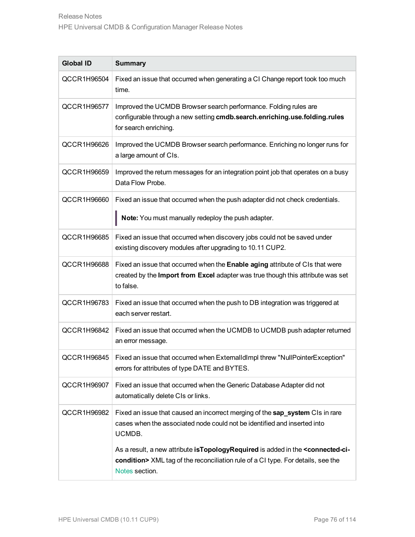| <b>Global ID</b> | <b>Summary</b>                                                                                                                                                                                                |
|------------------|---------------------------------------------------------------------------------------------------------------------------------------------------------------------------------------------------------------|
| QCCR1H96504      | Fixed an issue that occurred when generating a CI Change report took too much<br>time.                                                                                                                        |
| QCCR1H96577      | Improved the UCMDB Browser search performance. Folding rules are<br>configurable through a new setting cmdb.search.enriching.use.folding.rules<br>for search enriching.                                       |
| QCCR1H96626      | Improved the UCMDB Browser search performance. Enriching no longer runs for<br>a large amount of CIs.                                                                                                         |
| QCCR1H96659      | Improved the return messages for an integration point job that operates on a busy<br>Data Flow Probe.                                                                                                         |
| QCCR1H96660      | Fixed an issue that occurred when the push adapter did not check credentials.<br>Note: You must manually redeploy the push adapter.                                                                           |
| QCCR1H96685      | Fixed an issue that occurred when discovery jobs could not be saved under<br>existing discovery modules after upgrading to 10.11 CUP2.                                                                        |
| QCCR1H96688      | Fixed an issue that occurred when the Enable aging attribute of CIs that were<br>created by the Import from Excel adapter was true though this attribute was set<br>to false.                                 |
| QCCR1H96783      | Fixed an issue that occurred when the push to DB integration was triggered at<br>each server restart.                                                                                                         |
| QCCR1H96842      | Fixed an issue that occurred when the UCMDB to UCMDB push adapter returned<br>an error message.                                                                                                               |
| QCCR1H96845      | Fixed an issue that occurred when ExternalldImpl threw "NullPointerException"<br>errors for attributes of type DATE and BYTES.                                                                                |
| QCCR1H96907      | Fixed an issue that occurred when the Generic Database Adapter did not<br>automatically delete CIs or links.                                                                                                  |
| QCCR1H96982      | Fixed an issue that caused an incorrect merging of the sap_system CIs in rare<br>cases when the associated node could not be identified and inserted into<br>UCMDB.                                           |
|                  | As a result, a new attribute is Topology Required is added in the <connected-ci-<br>condition&gt; XML tag of the reconciliation rule of a CI type. For details, see the<br/>Notes section.</connected-ci-<br> |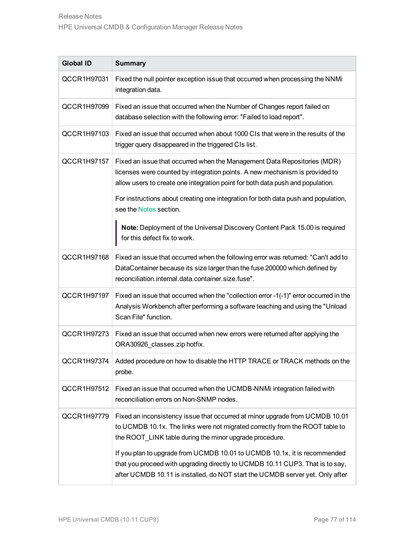| <b>Global ID</b> | <b>Summary</b>                                                                                                                                                                                                                                                                                                                                                                                                                                                         |
|------------------|------------------------------------------------------------------------------------------------------------------------------------------------------------------------------------------------------------------------------------------------------------------------------------------------------------------------------------------------------------------------------------------------------------------------------------------------------------------------|
| QCCR1H97031      | Fixed the null pointer exception issue that occurred when processing the NNMi<br>integration data.                                                                                                                                                                                                                                                                                                                                                                     |
| QCCR1H97099      | Fixed an issue that occurred when the Number of Changes report failed on<br>database selection with the following error: "Failed to load report".                                                                                                                                                                                                                                                                                                                      |
| QCCR1H97103      | Fixed an issue that occurred when about 1000 CIs that were in the results of the<br>trigger query disappeared in the triggered CIs list.                                                                                                                                                                                                                                                                                                                               |
| QCCR1H97157      | Fixed an issue that occurred when the Management Data Repositories (MDR)<br>licenses were counted by integration points. A new mechanism is provided to<br>allow users to create one integration point for both data push and population.<br>For instructions about creating one integration for both data push and population,                                                                                                                                        |
|                  | see the Notes section.<br>Note: Deployment of the Universal Discovery Content Pack 15.00 is required<br>for this defect fix to work.                                                                                                                                                                                                                                                                                                                                   |
| QCCR1H97168      | Fixed an issue that occurred when the following error was returned: "Can't add to<br>DataContainer because its size larger than the fuse 200000 which defined by<br>reconciliation.internal.data.container.size.fuse".                                                                                                                                                                                                                                                 |
| QCCR1H97197      | Fixed an issue that occurred when the "collection error -1(-1)" error occurred in the<br>Analysis Workbench after performing a software teaching and using the "Unload<br>Scan File" function.                                                                                                                                                                                                                                                                         |
| QCCR1H97273      | Fixed an issue that occurred when new errors were returned after applying the<br>ORA30926_classes.zip hotfix.                                                                                                                                                                                                                                                                                                                                                          |
| QCCR1H97374      | Added procedure on how to disable the HTTP TRACE or TRACK methods on the<br>probe.                                                                                                                                                                                                                                                                                                                                                                                     |
| QCCR1H97512      | Fixed an issue that occurred when the UCMDB-NNMi integration failed with<br>reconciliation errors on Non-SNMP nodes.                                                                                                                                                                                                                                                                                                                                                   |
| QCCR1H97779      | Fixed an inconsistency issue that occurred at minor upgrade from UCMDB 10.01<br>to UCMDB 10.1x. The links were not migrated correctly from the ROOT table to<br>the ROOT_LINK table during the minor upgrade procedure.<br>If you plan to upgrade from UCMDB 10.01 to UCMDB 10.1x, it is recommended<br>that you proceed with upgrading directly to UCMDB 10.11 CUP3. That is to say,<br>after UCMDB 10.11 is installed, do NOT start the UCMDB server yet. Only after |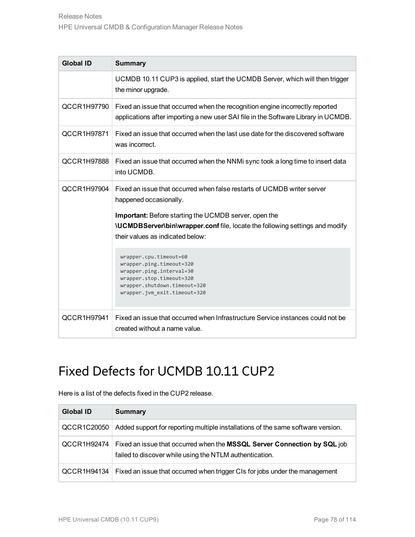| <b>Global ID</b> | <b>Summary</b>                                                                                                                                                                          |
|------------------|-----------------------------------------------------------------------------------------------------------------------------------------------------------------------------------------|
|                  | UCMDB 10.11 CUP3 is applied, start the UCMDB Server, which will then trigger<br>the minor upgrade.                                                                                      |
| QCCR1H97790      | Fixed an issue that occurred when the recognition engine incorrectly reported<br>applications after importing a new user SAI file in the Software Library in UCMDB.                     |
| QCCR1H97871      | Fixed an issue that occurred when the last use date for the discovered software<br>was incorrect.                                                                                       |
| QCCR1H97888      | Fixed an issue that occurred when the NNM sync took a long time to insert data<br>into UCMDB.                                                                                           |
| QCCR1H97904      | Fixed an issue that occurred when false restarts of UCMDB writer server<br>happened occasionally.                                                                                       |
|                  | <b>Important:</b> Before starting the UCMDB server, open the<br><b>\UCMDBServer\bin\wrapper.conf</b> file, locate the following settings and modify<br>their values as indicated below: |
|                  | wrapper.cpu.timeout=60<br>wrapper.ping.timeout=320<br>wrapper.ping.interval=30<br>wrapper.stop.timeout=320<br>wrapper.shutdown.timeout=320<br>wrapper.jvm_exit.timeout=320              |
| QCCR1H97941      | Fixed an issue that occurred when Infrastructure Service instances could not be<br>created without a name value.                                                                        |

# Fixed Defects for UCMDB 10.11 CUP2

Here is a list of the defects fixed in the CUP2 release.

| <b>Global ID</b> | <b>Summary</b>                                                                                                                      |
|------------------|-------------------------------------------------------------------------------------------------------------------------------------|
| QCCR1C20050      | Added support for reporting multiple installations of the same software version.                                                    |
| QCCR1H92474      | Fixed an issue that occurred when the MSSQL Server Connection by SQL job<br>failed to discover while using the NTLM authentication. |
| QCCR1H94134      | Fixed an issue that occurred when trigger CIs for jobs under the management                                                         |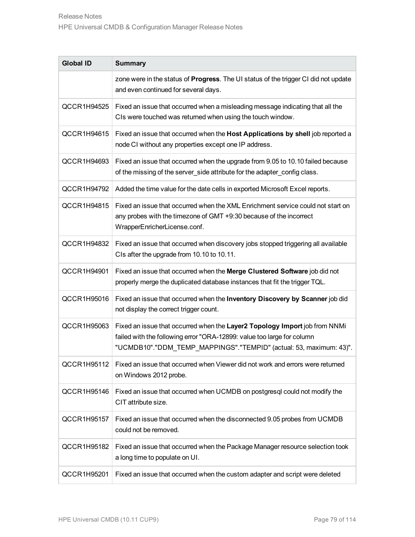| <b>Global ID</b> | <b>Summary</b>                                                                                                                                                                                                             |
|------------------|----------------------------------------------------------------------------------------------------------------------------------------------------------------------------------------------------------------------------|
|                  | zone were in the status of Progress. The UI status of the trigger CI did not update<br>and even continued for several days.                                                                                                |
| QCCR1H94525      | Fixed an issue that occurred when a misleading message indicating that all the<br>CIs were touched was returned when using the touch window.                                                                               |
| QCCR1H94615      | Fixed an issue that occurred when the Host Applications by shell job reported a<br>node CI without any properties except one IP address.                                                                                   |
| QCCR1H94693      | Fixed an issue that occurred when the upgrade from 9.05 to 10.10 failed because<br>of the missing of the server_side attribute for the adapter_config class.                                                               |
| QCCR1H94792      | Added the time value for the date cells in exported Microsoft Excel reports.                                                                                                                                               |
| QCCR1H94815      | Fixed an issue that occurred when the XML Enrichment service could not start on<br>any probes with the timezone of GMT +9:30 because of the incorrect<br>WrapperEnricherLicense.conf.                                      |
| QCCR1H94832      | Fixed an issue that occurred when discovery jobs stopped triggering all available<br>CIs after the upgrade from 10.10 to 10.11.                                                                                            |
| QCCR1H94901      | Fixed an issue that occurred when the Merge Clustered Software job did not<br>properly merge the duplicated database instances that fit the trigger TQL.                                                                   |
| QCCR1H95016      | Fixed an issue that occurred when the Inventory Discovery by Scanner job did<br>not display the correct trigger count.                                                                                                     |
| QCCR1H95063      | Fixed an issue that occurred when the Layer2 Topology Import job from NNMi<br>failed with the following error "ORA-12899: value too large for column<br>"UCMDB10"."DDM_TEMP_MAPPINGS"."TEMPID" (actual: 53, maximum: 43)". |
| QCCR1H95112      | Fixed an issue that occurred when Viewer did not work and errors were returned<br>on Windows 2012 probe.                                                                                                                   |
| QCCR1H95146      | Fixed an issue that occurred when UCMDB on postgresql could not modify the<br>CIT attribute size.                                                                                                                          |
| QCCR1H95157      | Fixed an issue that occurred when the disconnected 9.05 probes from UCMDB<br>could not be removed.                                                                                                                         |
| QCCR1H95182      | Fixed an issue that occurred when the Package Manager resource selection took<br>a long time to populate on UI.                                                                                                            |
| QCCR1H95201      | Fixed an issue that occurred when the custom adapter and script were deleted                                                                                                                                               |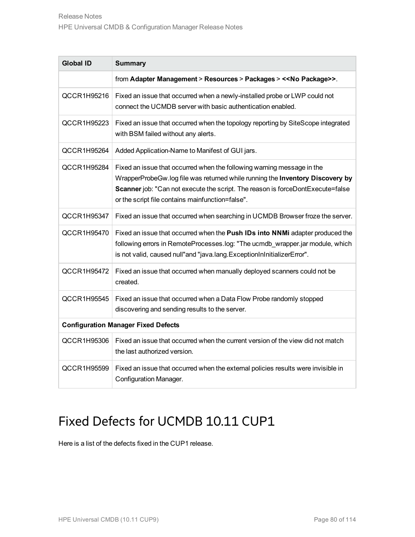| <b>Global ID</b> | <b>Summary</b>                                                                                                                                                                                                                                                                                |  |
|------------------|-----------------------------------------------------------------------------------------------------------------------------------------------------------------------------------------------------------------------------------------------------------------------------------------------|--|
|                  | from Adapter Management > Resources > Packages > << No Package>>.                                                                                                                                                                                                                             |  |
| QCCR1H95216      | Fixed an issue that occurred when a newly-installed probe or LWP could not<br>connect the UCMDB server with basic authentication enabled.                                                                                                                                                     |  |
| QCCR1H95223      | Fixed an issue that occurred when the topology reporting by SiteScope integrated<br>with BSM failed without any alerts.                                                                                                                                                                       |  |
| QCCR1H95264      | Added Application-Name to Manifest of GUI jars.                                                                                                                                                                                                                                               |  |
| QCCR1H95284      | Fixed an issue that occurred when the following warning message in the<br>WrapperProbeGw.log file was returned while running the Inventory Discovery by<br>Scanner job: "Can not execute the script. The reason is forceDontExecute=false<br>or the script file contains mainfunction=false". |  |
| QCCR1H95347      | Fixed an issue that occurred when searching in UCMDB Browser froze the server.                                                                                                                                                                                                                |  |
| QCCR1H95470      | Fixed an issue that occurred when the Push IDs into NNMi adapter produced the<br>following errors in RemoteProcesses.log: "The ucmdb_wrapper.jar module, which<br>is not valid, caused null"and "java.lang.ExceptionInInitializerError".                                                      |  |
| QCCR1H95472      | Fixed an issue that occurred when manually deployed scanners could not be<br>created.                                                                                                                                                                                                         |  |
| QCCR1H95545      | Fixed an issue that occurred when a Data Flow Probe randomly stopped<br>discovering and sending results to the server.                                                                                                                                                                        |  |
|                  | <b>Configuration Manager Fixed Defects</b>                                                                                                                                                                                                                                                    |  |
| QCCR1H95306      | Fixed an issue that occurred when the current version of the view did not match<br>the last authorized version.                                                                                                                                                                               |  |
| QCCR1H95599      | Fixed an issue that occurred when the external policies results were invisible in<br>Configuration Manager.                                                                                                                                                                                   |  |

# Fixed Defects for UCMDB 10.11 CUP1

Here is a list of the defects fixed in the CUP1 release.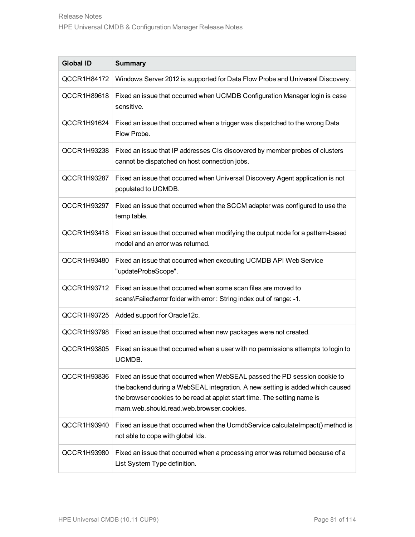| <b>Global ID</b> | <b>Summary</b>                                                                                                                                                                                                                                                                     |
|------------------|------------------------------------------------------------------------------------------------------------------------------------------------------------------------------------------------------------------------------------------------------------------------------------|
| QCCR1H84172      | Windows Server 2012 is supported for Data Flow Probe and Universal Discovery.                                                                                                                                                                                                      |
| QCCR1H89618      | Fixed an issue that occurred when UCMDB Configuration Manager login is case<br>sensitive.                                                                                                                                                                                          |
| QCCR1H91624      | Fixed an issue that occurred when a trigger was dispatched to the wrong Data<br>Flow Probe.                                                                                                                                                                                        |
| QCCR1H93238      | Fixed an issue that IP addresses CIs discovered by member probes of clusters<br>cannot be dispatched on host connection jobs.                                                                                                                                                      |
| QCCR1H93287      | Fixed an issue that occurred when Universal Discovery Agent application is not<br>populated to UCMDB.                                                                                                                                                                              |
| QCCR1H93297      | Fixed an issue that occurred when the SCCM adapter was configured to use the<br>temp table.                                                                                                                                                                                        |
| QCCR1H93418      | Fixed an issue that occurred when modifying the output node for a pattern-based<br>model and an error was returned.                                                                                                                                                                |
| QCCR1H93480      | Fixed an issue that occurred when executing UCMDB API Web Service<br>"updateProbeScope".                                                                                                                                                                                           |
| QCCR1H93712      | Fixed an issue that occurred when some scan files are moved to<br>scans\Failed\error folder with error: String index out of range: -1.                                                                                                                                             |
| QCCR1H93725      | Added support for Oracle12c.                                                                                                                                                                                                                                                       |
| QCCR1H93798      | Fixed an issue that occurred when new packages were not created.                                                                                                                                                                                                                   |
| QCCR1H93805      | Fixed an issue that occurred when a user with no permissions attempts to login to<br>UCMDB.                                                                                                                                                                                        |
| QCCR1H93836      | Fixed an issue that occurred when WebSEAL passed the PD session cookie to<br>the backend during a WebSEAL integration. A new setting is added which caused<br>the browser cookies to be read at applet start time. The setting name is<br>mam.web.should.read.web.browser.cookies. |
| QCCR1H93940      | Fixed an issue that occurred when the UcmdbService calculate Impact() method is<br>not able to cope with global Ids.                                                                                                                                                               |
| QCCR1H93980      | Fixed an issue that occurred when a processing error was returned because of a<br>List System Type definition.                                                                                                                                                                     |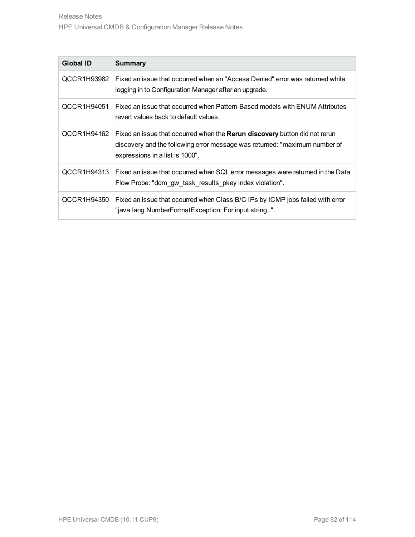| <b>Global ID</b> | <b>Summary</b>                                                                                                                                                                              |
|------------------|---------------------------------------------------------------------------------------------------------------------------------------------------------------------------------------------|
| QCCR1H93982      | Fixed an issue that occurred when an "Access Denied" error was returned while<br>logging in to Configuration Manager after an upgrade.                                                      |
| QCCR1H94051      | Fixed an issue that occurred when Pattern-Based models with ENUM Attributes<br>revert values back to default values.                                                                        |
| QCCR1H94162      | Fixed an issue that occurred when the Rerun discovery button did not rerun<br>discovery and the following error message was returned: "maximum number of<br>expressions in a list is 1000". |
| QCCR1H94313      | Fixed an issue that occurred when SQL error messages were returned in the Data<br>Flow Probe: "ddm gw task results pkey index violation".                                                   |
| QCCR1H94350      | Fixed an issue that occurred when Class B/C IPs by ICMP jobs failed with error<br>"java.lang.NumberFormatException: For input string".                                                      |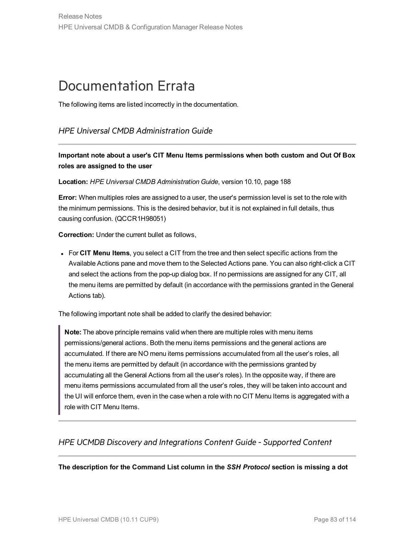# Documentation Errata

The following items are listed incorrectly in the documentation.

### *HPE Universal CMDB Administration Guide*

**Important note about a user's CIT Menu Items permissions when both custom and Out Of Box roles are assigned to the user**

**Location:** *HPE Universal CMDB Administration Guide*, version 10.10, page 188

**Error:** When multiples roles are assigned to a user, the user's permission level is set to the role with the minimum permissions. This is the desired behavior, but it is not explained in full details, thus causing confusion. (QCCR1H98051)

**Correction:** Under the current bullet as follows,

<sup>l</sup> For **CIT Menu Items**, you select a CIT from the tree and then select specific actions from the Available Actions pane and move them to the Selected Actions pane. You can also right-click a CIT and select the actions from the pop-up dialog box. If no permissions are assigned for any CIT, all the menu items are permitted by default (in accordance with the permissions granted in the General Actions tab).

The following important note shall be added to clarify the desired behavior:

**Note:** The above principle remains valid when there are multiple roles with menu items permissions/general actions. Both the menu items permissions and the general actions are accumulated. If there are NO menu items permissions accumulated from all the user's roles, all the menu items are permitted by default (in accordance with the permissions granted by accumulating all the General Actions from all the user's roles). In the opposite way, if there are menu items permissions accumulated from all the user's roles, they will be taken into account and the UI will enforce them, even in the case when a role with no CIT Menu Items is aggregated with a role with CIT Menu Items.

### *HPE UCMDB Discovery and Integrations Content Guide - Supported Content*

**The description for the Command List column in the** *SSH Protocol* **section is missing a dot**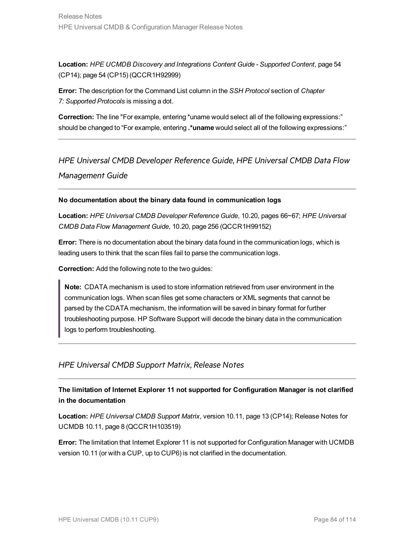**Location:** *HPE UCMDB Discovery and Integrations Content Guide - Supported Content*, page 54 (CP14); page 54 (CP15) (QCCR1H92999)

**Error:** The description for the Command List column in the *SSH Protocol* section of *Chapter 7: Supported Protocols* is missing a dot.

**Correction:** The line "For example, entering \*uname would select all of the following expressions:" should be changed to "For example, entering **.\*uname** would select all of the following expressions:"

*HPE Universal CMDB Developer Reference Guide*, *HPE Universal CMDB Data Flow Management Guide*

#### **No documentation about the binary data found in communication logs**

**Location:** *HPE Universal CMDB Developer Reference Guide*, 10.20, pages 66~67; *HPE Universal CMDB Data Flow Management Guide*, 10.20, page 256 (QCCR1H99152)

**Error:** There is no documentation about the binary data found in the communication logs, which is leading users to think that the scan files fail to parse the communication logs.

**Correction:** Add the following note to the two guides:

**Note:** CDATA mechanism is used to store information retrieved from user environment in the communication logs. When scan files get some characters or XML segments that cannot be parsed by the CDATA mechanism, the information will be saved in binary format for further troubleshooting purpose. HP Software Support will decode the binary data in the communication logs to perform troubleshooting.

### *HPE Universal CMDB Support Matrix*, *Release Notes*

**The limitation of Internet Explorer 11 not supported for Configuration Manager is not clarified in the documentation**

**Location:** *HPE Universal CMDB Support Matrix*, version 10.11, page 13 (CP14); Release Notes for UCMDB 10.11, page 8 (QCCR1H103519)

**Error:** The limitation that Internet Explorer 11 is not supported for Configuration Manager with UCMDB version 10.11 (or with a CUP, up to CUP6) is not clarified in the documentation.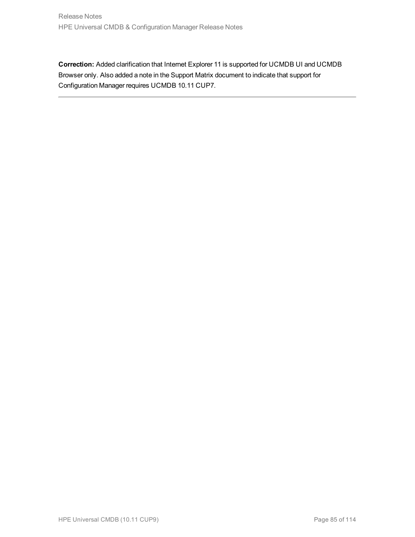**Correction:** Added clarification that Internet Explorer 11 is supported for UCMDB UI and UCMDB Browser only. Also added a note in the Support Matrix document to indicate that support for Configuration Manager requires UCMDB 10.11 CUP7.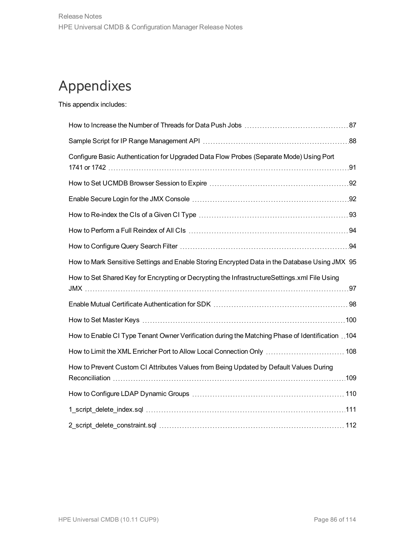# Appendixes

This appendix includes:

| Configure Basic Authentication for Upgraded Data Flow Probes (Separate Mode) Using Port         |  |
|-------------------------------------------------------------------------------------------------|--|
|                                                                                                 |  |
|                                                                                                 |  |
|                                                                                                 |  |
|                                                                                                 |  |
|                                                                                                 |  |
| How to Mark Sensitive Settings and Enable Storing Encrypted Data in the Database Using JMX 95   |  |
| How to Set Shared Key for Encrypting or Decrypting the InfrastructureSettings.xml File Using    |  |
|                                                                                                 |  |
|                                                                                                 |  |
| How to Enable CI Type Tenant Owner Verification during the Matching Phase of Identification 104 |  |
| How to Limit the XML Enricher Port to Allow Local Connection Only  108                          |  |
| How to Prevent Custom CI Attributes Values from Being Updated by Default Values During          |  |
|                                                                                                 |  |
|                                                                                                 |  |
|                                                                                                 |  |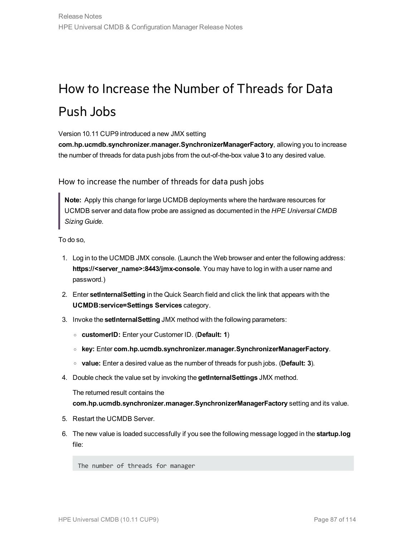# <span id="page-86-0"></span>How to Increase the Number of Threads for Data Push Jobs

Version 10.11 CUP9 introduced a new JMX setting

**com.hp.ucmdb.synchronizer.manager.SynchronizerManagerFactory**, allowing you to increase the number of threads for data push jobs from the out-of-the-box value **3** to any desired value.

How to increase the number of threads for data push jobs

**Note:** Apply this change for large UCMDB deployments where the hardware resources for UCMDB server and data flow probe are assigned as documented in the *HPE Universal CMDB Sizing Guide*.

To do so,

- 1. Log in to the UCMDB JMX console. (Launch the Web browser and enter the following address: **https://<server\_name>:8443/jmx-console**. You may have to log in with a user name and password.)
- 2. Enter **setInternalSetting** in the Quick Search field and click the link that appears with the **UCMDB:service=Settings Services** category.
- 3. Invoke the **setInternalSetting** JMX method with the following parameters:
	- <sup>o</sup> **customerID:** Enter your Customer ID. (**Default: 1**)
	- <sup>o</sup> **key:** Enter **com.hp.ucmdb.synchronizer.manager.SynchronizerManagerFactory**.
	- <sup>o</sup> **value:** Enter a desired value as the number of threads for push jobs. (**Default: 3**).
- 4. Double check the value set by invoking the **getInternalSettings** JMX method.

The returned result contains the **com.hp.ucmdb.synchronizer.manager.SynchronizerManagerFactory** setting and its value.

- 5. Restart the UCMDB Server.
- 6. The new value is loaded successfully if you see the following message logged in the **startup.log** file:

The number of threads for manager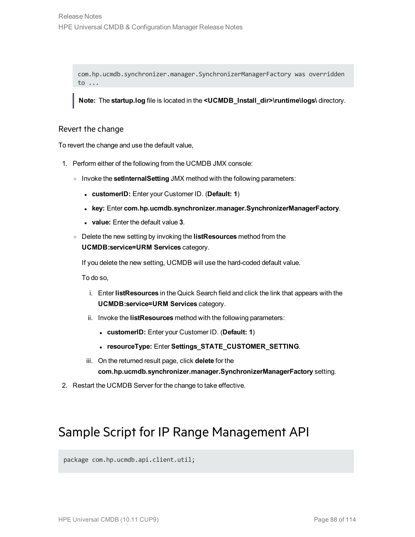com.hp.ucmdb.synchronizer.manager.SynchronizerManagerFactory was overridden to ...

**Note:** The **startup.log** file is located in the **<UCMDB\_Install\_dir>\runtime\logs\** directory.

#### Revert the change

To revert the change and use the default value,

- 1. Perform either of the following from the UCMDB JMX console:
	- <sup>o</sup> Invoke the **setInternalSetting** JMX method with the following parameters:
		- <sup>l</sup> **customerID:** Enter your Customer ID. (**Default: 1**)
		- <sup>l</sup> **key:** Enter **com.hp.ucmdb.synchronizer.manager.SynchronizerManagerFactory**.
		- <sup>l</sup> **value:** Enter the default value **3**.
	- <sup>o</sup> Delete the new setting by invoking the **listResources** method from the **UCMDB:service=URM Services** category.

If you delete the new setting, UCMDB will use the hard-coded default value.

To do so,

- i. Enter **listResources** in the Quick Search field and click the link that appears with the **UCMDB:service=URM Services** category.
- ii. Invoke the **listResources** method with the following parameters:
	- <sup>l</sup> **customerID:** Enter your Customer ID. (**Default: 1**)
	- <sup>l</sup> **resourceType:** Enter **Settings\_STATE\_CUSTOMER\_SETTING**.
- iii. On the returned result page, click **delete** for the **com.hp.ucmdb.synchronizer.manager.SynchronizerManagerFactory** setting.
- <span id="page-87-0"></span>2. Restart the UCMDB Server for the change to take effective.

## Sample Script for IP Range Management API

package com.hp.ucmdb.api.client.util;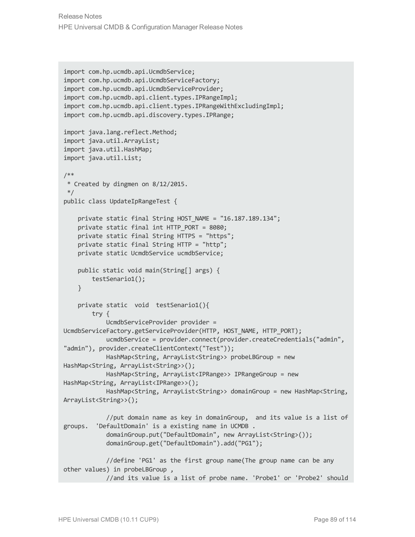Release Notes HPE Universal CMDB & Configuration Manager Release Notes

```
import com.hp.ucmdb.api.UcmdbService;
import com.hp.ucmdb.api.UcmdbServiceFactory;
import com.hp.ucmdb.api.UcmdbServiceProvider;
import com.hp.ucmdb.api.client.types.IPRangeImpl;
import com.hp.ucmdb.api.client.types.IPRangeWithExcludingImpl;
import com.hp.ucmdb.api.discovery.types.IPRange;
import java.lang.reflect.Method;
import java.util.ArrayList;
import java.util.HashMap;
import java.util.List;
/**
* Created by dingmen on 8/12/2015.
*/
public class UpdateIpRangeTest {
    private static final String HOST NAME = "16.187.189.134";
    private static final int HTTP PORT = 8080;
    private static final String HTTPS = "https";
    private static final String HTTP = "http";
    private static UcmdbService ucmdbService;
    public static void main(String[] args) {
       testSenario1();
    }
    private static void testSenario1(){
       try {
            UcmdbServiceProvider provider =
UcmdbServiceFactory.getServiceProvider(HTTP, HOST_NAME, HTTP_PORT);
            ucmdbService = provider.connect(provider.createCredentials("admin",
"admin"), provider.createClientContext("Test"));
            HashMap<String, ArrayList<String>> probeLBGroup = new
HashMap<String, ArrayList<String>>();
            HashMap<String, ArrayList<IPRange>> IPRangeGroup = new
HashMap<String, ArrayList<IPRange>>();
            HashMap<String, ArrayList<String>> domainGroup = new HashMap<String,
ArrayList<String>>();
            //put domain name as key in domainGroup, and its value is a list of
groups. 'DefaultDomain' is a existing name in UCMDB .
            domainGroup.put("DefaultDomain", new ArrayList<String>());
            domainGroup.get("DefaultDomain").add("PG1");
            //define 'PG1' as the first group name(The group name can be any
other values) in probeLBGroup ,
            //and its value is a list of probe name. 'Probe1' or 'Probe2' should
```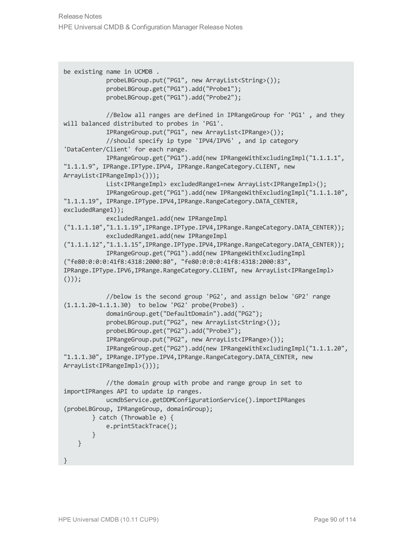```
be existing name in UCMDB .
            probeLBGroup.put("PG1", new ArrayList<String>());
            probeLBGroup.get("PG1").add("Probe1");
            probeLBGroup.get("PG1").add("Probe2");
            //Below all ranges are defined in IPRangeGroup for 'PG1' , and they
will balanced distributed to probes in 'PG1'.
            IPRangeGroup.put("PG1", new ArrayList<IPRange>());
            //should specify ip type 'IPV4/IPV6' , and ip category
'DataCenter/Client' for each range.
            IPRangeGroup.get("PG1").add(new IPRangeWithExcludingImpl("1.1.1.1",
"1.1.1.9", IPRange.IPType.IPV4, IPRange.RangeCategory.CLIENT, new
ArrayList<IPRangeImpl>()));
            List<IPRangeImpl> excludedRange1=new ArrayList<IPRangeImpl>();
            IPRangeGroup.get("PG1").add(new IPRangeWithExcludingImpl("1.1.1.10",
"1.1.1.19", IPRange.IPType.IPV4,IPRange.RangeCategory.DATA_CENTER,
excludedRange1));
            excludedRange1.add(new IPRangeImpl
("1.1.1.10","1.1.1.19",IPRange.IPType.IPV4,IPRange.RangeCategory.DATA_CENTER));
            excludedRange1.add(new IPRangeImpl
("1.1.1.12","1.1.1.15",IPRange.IPType.IPV4,IPRange.RangeCategory.DATA_CENTER));
            IPRangeGroup.get("PG1").add(new IPRangeWithExcludingImpl
("fe80:0:0:0:41f8:4318:2000:80", "fe80:0:0:0:41f8:4318:2000:83",
IPRange.IPType.IPV6,IPRange.RangeCategory.CLIENT, new ArrayList<IPRangeImpl>
());
            //below is the second group 'PG2', and assign below 'GP2' range
(1.1.1.20~1.1.1.30) to below 'PG2' probe(Probe3) .
            domainGroup.get("DefaultDomain").add("PG2");
            probeLBGroup.put("PG2", new ArrayList<String>());
            probeLBGroup.get("PG2").add("Probe3");
            IPRangeGroup.put("PG2", new ArrayList<IPRange>());
            IPRangeGroup.get("PG2").add(new IPRangeWithExcludingImpl("1.1.1.20",
"1.1.1.30", IPRange.IPType.IPV4,IPRange.RangeCategory.DATA_CENTER, new
ArrayList<IPRangeImpl>()));
            //the domain group with probe and range group in set to
importIPRanges API to update ip ranges.
            ucmdbService.getDDMConfigurationService().importIPRanges
(probeLBGroup, IPRangeGroup, domainGroup);
       } catch (Throwable e) {
            e.printStackTrace();
       }
    }
}
```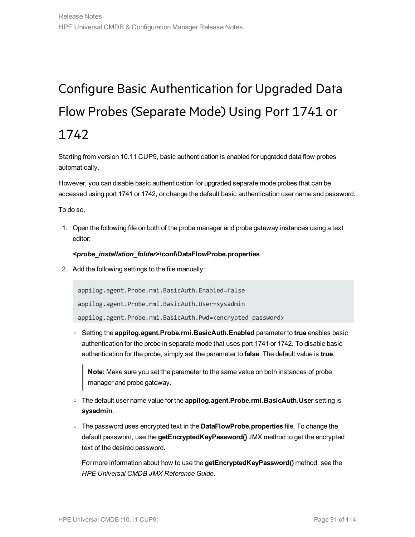# <span id="page-90-0"></span>Configure Basic Authentication for Upgraded Data Flow Probes (Separate Mode) Using Port 1741 or 1742

Starting from version 10.11 CUP9, basic authentication is enabled for upgraded data flow probes automatically.

However, you can disable basic authentication for upgraded separate mode probes that can be accessed using port 1741 or 1742, or change the default basic authentication user name and password.

To do so,

1. Open the following file on both of the probe manager and probe gateway instances using a text editor:

#### *<probe\_installation\_folder>***\conf\DataFlowProbe.properties**

2. Add the following settings to the file manually:

appilog.agent.Probe.rmi.BasicAuth.Enabled=false

```
appilog.agent.Probe.rmi.BasicAuth.User=sysadmin
```
appilog.agent.Probe.rmi.BasicAuth.Pwd=<encrypted password>

<sup>o</sup> Setting the **appilog.agent.Probe.rmi.BasicAuth.Enabled** parameter to **true** enables basic authentication for the probe in separate mode that uses port 1741 or 1742. To disable basic authentication for the probe, simply set the parameter to **false**. The default value is **true**.

**Note:** Make sure you set the parameter to the same value on both instances of probe manager and probe gateway.

- <sup>o</sup> The default user name value for the **appilog.agent.Probe.rmi.BasicAuth.User** setting is **sysadmin**.
- <sup>o</sup> The password uses encrypted text in the **DataFlowProbe.properties** file. To change the default password, use the **getEncryptedKeyPassword()** JMX method to get the encrypted text of the desired password.

For more information about how to use the **getEncryptedKeyPassword()** method, see the *HPE Universal CMDB JMX Reference Guide*.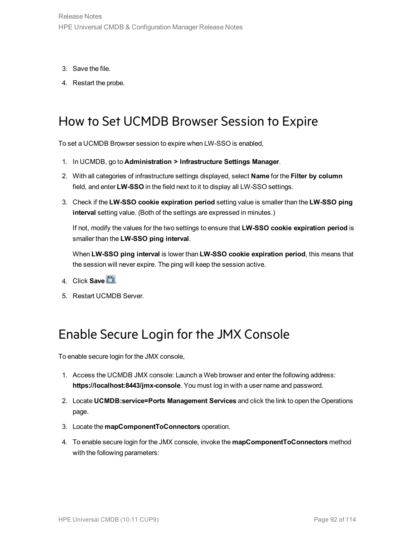- 3. Save the file.
- <span id="page-91-0"></span>4. Restart the probe.

# How to Set UCMDB Browser Session to Expire

To set a UCMDB Browser session to expire when LW-SSO is enabled,

- 1. In UCMDB, go to **Administration > Infrastructure Settings Manager**.
- 2. With all categories of infrastructure settings displayed, select **Name** for the **Filter by column** field, and enter **LW-SSO** in the field next to it to display all LW-SSO settings.
- 3. Check if the **LW-SSO cookie expiration period** setting value is smaller than the **LW-SSO ping interval** setting value. (Both of the settings are expressed in minutes.)

If not, modify the values for the two settings to ensure that **LW-SSO cookie expiration period** is smaller than the **LW-SSO ping interval**.

When **LW-SSO ping interval** is lower than **LW-SSO cookie expiration period**, this means that the session will never expire. The ping will keep the session active.

- 4. Click **Save ...**
- <span id="page-91-1"></span>5. Restart UCMDB Server.

# Enable Secure Login for the JMX Console

To enable secure login for the JMX console,

- 1. Access the UCMDB JMX console: Launch a Web browser and enter the following address: **https://localhost:8443/jmx-console**. You must log in with a user name and password.
- 2. Locate **UCMDB:service=Ports Management Services** and click the link to open the Operations page.
- 3. Locate the **mapComponentToConnectors** operation.
- 4. To enable secure login for the JMX console, invoke the **mapComponentToConnectors** method with the following parameters: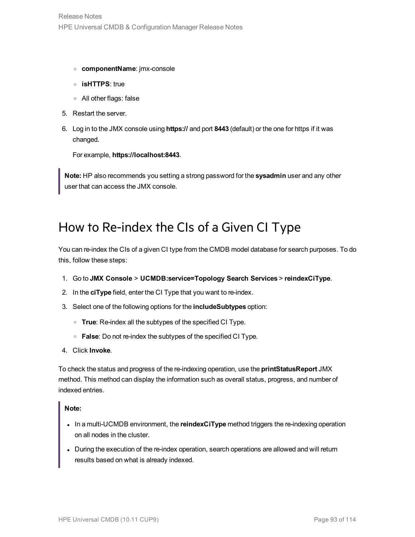- <sup>o</sup> **componentName**: jmx-console
- <sup>o</sup> **isHTTPS**: true
- <sup>o</sup> All other flags: false
- 5. Restart the server.
- 6. Log in to the JMX console using **https://** and port **8443** (default) or the one for https if it was changed.

For example, **https://localhost:8443**.

<span id="page-92-0"></span>**Note:** HP also recommends you setting a strong password for the **sysadmin** user and any other user that can access the JMX console.

## How to Re-index the CIs of a Given CI Type

You can re-index the CIs of a given CI type from the CMDB model database for search purposes. To do this, follow these steps:

- 1. Go to **JMX Console** > **UCMDB:service=Topology Search Services** > **reindexCiType**.
- 2. In the **ciType** field, enter the CI Type that you want to re-index.
- 3. Select one of the following options for the **includeSubtypes** option:
	- <sup>o</sup> **True**: Re-index all the subtypes of the specified CI Type.
	- <sup>o</sup> **False**: Do not re-index the subtypes of the specified CI Type.
- 4. Click **Invoke**.

To check the status and progress of the re-indexing operation, use the **printStatusReport** JMX method. This method can display the information such as overall status, progress, and number of indexed entries.

#### **Note:**

- . In a multi-UCMDB environment, the **reindexCiType** method triggers the re-indexing operation on all nodes in the cluster.
- During the execution of the re-index operation, search operations are allowed and will return results based on what is already indexed.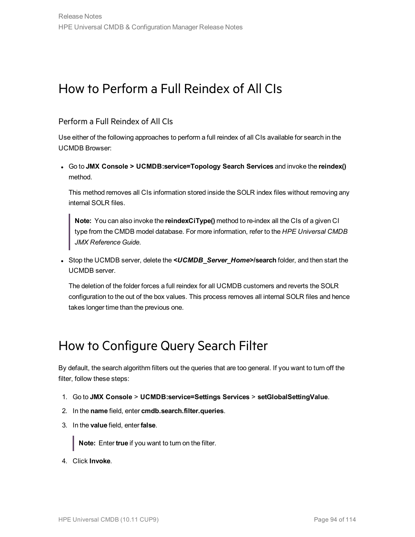# <span id="page-93-0"></span>How to Perform a Full Reindex of All CIs

### Perform a Full Reindex of All CIs

Use either of the following approaches to perform a full reindex of all CIs available for search in the UCMDB Browser:

<sup>l</sup> Go to **JMX Console > UCMDB:service=Topology Search Services** and invoke the **reindex()** method.

This method removes all CIs information stored inside the SOLR index files without removing any internal SOLR files.

**Note:** You can also invoke the **reindexCiType()** method to re-index all the CIs of a given CI type from the CMDB model database. For more information, refer to the *HPE Universal CMDB JMX Reference Guide*.

<sup>l</sup> Stop the UCMDB server, delete the *<UCMDB\_Server\_Home>***/search** folder, and then start the UCMDB server.

The deletion of the folder forces a full reindex for all UCMDB customers and reverts the SOLR configuration to the out of the box values. This process removes all internal SOLR files and hence takes longer time than the previous one.

## <span id="page-93-1"></span>How to Configure Query Search Filter

By default, the search algorithm filters out the queries that are too general. If you want to turn off the filter, follow these steps:

- 1. Go to **JMX Console** > **UCMDB:service=Settings Services** > **setGlobalSettingValue**.
- 2. In the **name** field, enter **cmdb.search.filter.queries**.
- 3. In the **value** field, enter **false**.

**Note:** Enter **true** if you want to turn on the filter.

4. Click **Invoke**.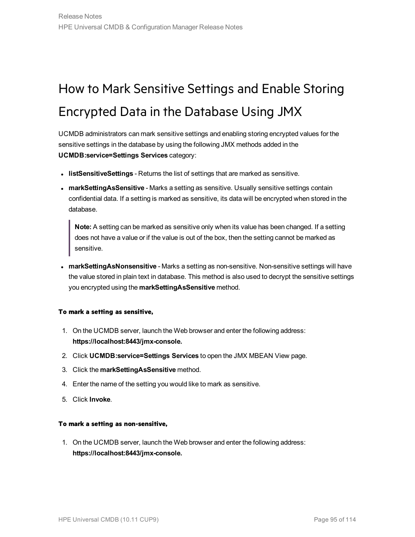# <span id="page-94-0"></span>How to Mark Sensitive Settings and Enable Storing Encrypted Data in the Database Using JMX

UCMDB administrators can mark sensitive settings and enabling storing encrypted values for the sensitive settings in the database by using the following JMX methods added in the **UCMDB:service=Settings Services** category:

- **IIstSensitiveSettings** Returns the list of settings that are marked as sensitive.
- **· markSettingAsSensitive** Marks a setting as sensitive. Usually sensitive settings contain confidential data. If a setting is marked as sensitive, its data will be encrypted when stored in the database.

**Note:** A setting can be marked as sensitive only when its value has been changed. If a setting does not have a value or if the value is out of the box, then the setting cannot be marked as sensitive.

**narkSettingAsNonsensitive** - Marks a setting as non-sensitive. Non-sensitive settings will have the value stored in plain text in database. This method is also used to decrypt the sensitive settings you encrypted using the **markSettingAsSensitive** method.

#### **To mark a setting as sensitive,**

- 1. On the UCMDB server, launch the Web browser and enter the following address: **https://localhost:8443/jmx-console.**
- 2. Click **UCMDB:service=Settings Services** to open the JMX MBEAN View page.
- 3. Click the **markSettingAsSensitive** method.
- 4. Enter the name of the setting you would like to mark as sensitive.
- 5. Click **Invoke**.

#### **To mark a setting as non-sensitive,**

1. On the UCMDB server, launch the Web browser and enter the following address: **https://localhost:8443/jmx-console.**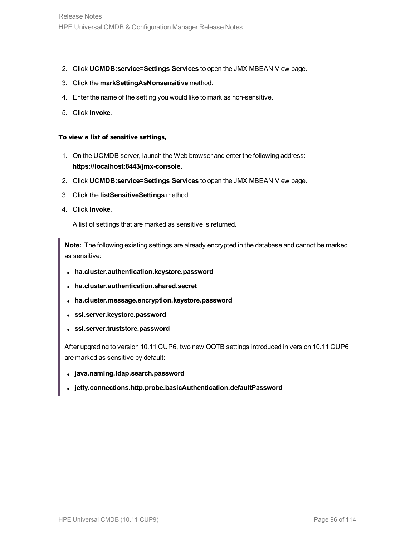- 2. Click **UCMDB:service=Settings Services** to open the JMX MBEAN View page.
- 3. Click the **markSettingAsNonsensitive** method.
- 4. Enter the name of the setting you would like to mark as non-sensitive.
- 5. Click **Invoke**.

#### **To view a list of sensitive settings,**

- 1. On the UCMDB server, launch the Web browser and enter the following address: **https://localhost:8443/jmx-console.**
- 2. Click **UCMDB:service=Settings Services** to open the JMX MBEAN View page.
- 3. Click the **listSensitiveSettings** method.
- 4. Click **Invoke**.

A list of settings that are marked as sensitive is returned.

**Note:** The following existing settings are already encrypted in the database and cannot be marked as sensitive:

- <sup>l</sup> **ha.cluster.authentication.keystore.password**
- <sup>l</sup> **ha.cluster.authentication.shared.secret**
- $\bullet$  ha.cluster.message.encryption.keystore.password
- <sup>l</sup> **ssl.server.keystore.password**
- <sup>l</sup> **ssl.server.truststore.password**

After upgrading to version 10.11 CUP6, two new OOTB settings introduced in version 10.11 CUP6 are marked as sensitive by default:

- <sup>l</sup> **java.naming.ldap.search.password**
- <sup>l</sup> **jetty.connections.http.probe.basicAuthentication.defaultPassword**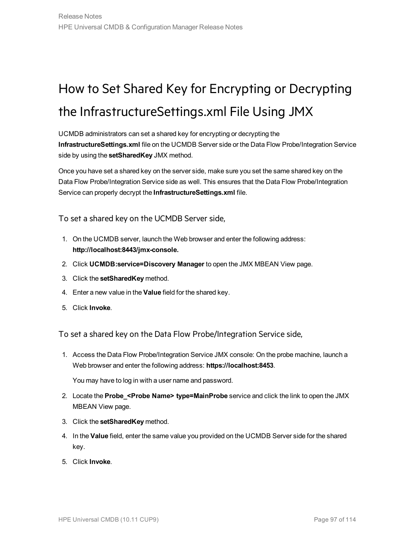# <span id="page-96-0"></span>How to Set Shared Key for Encrypting or Decrypting the InfrastructureSettings.xml File Using JMX

UCMDB administrators can set a shared key for encrypting or decrypting the **InfrastructureSettings.xml** file on the UCMDB Server side or the Data Flow Probe/Integration Service side by using the **setSharedKey** JMX method.

Once you have set a shared key on the server side, make sure you set the same shared key on the Data Flow Probe/Integration Service side as well. This ensures that the Data Flow Probe/Integration Service can properly decrypt the **InfrastructureSettings.xml** file.

To set a shared key on the UCMDB Server side,

- 1. On the UCMDB server, launch the Web browser and enter the following address: **http://localhost:8443/jmx-console.**
- 2. Click **UCMDB:service=Discovery Manager** to open the JMX MBEAN View page.
- 3. Click the **setSharedKey** method.
- 4. Enter a new value in the **Value** field for the shared key.
- 5. Click **Invoke**.

To set a shared key on the Data Flow Probe/Integration Service side,

1. Access the Data Flow Probe/Integration Service JMX console: On the probe machine, launch a Web browser and enter the following address: **https://localhost:8453**.

You may have to log in with a user name and password.

- 2. Locate the **Probe\_<Probe Name> type=MainProbe** service and click the link to open the JMX MBEAN View page.
- 3. Click the **setSharedKey** method.
- 4. In the **Value** field, enter the same value you provided on the UCMDB Server side for the shared key.
- 5. Click **Invoke**.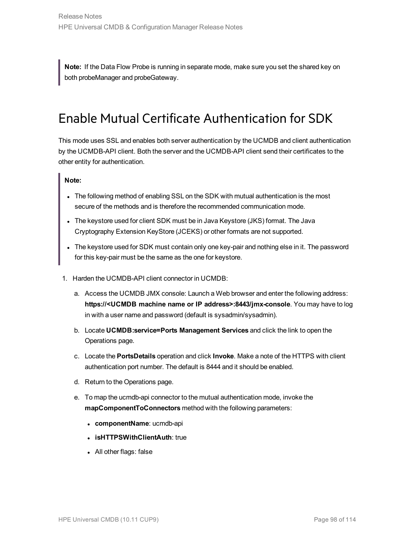<span id="page-97-0"></span>**Note:** If the Data Flow Probe is running in separate mode, make sure you set the shared key on both probeManager and probeGateway.

## Enable Mutual Certificate Authentication for SDK

This mode uses SSL and enables both server authentication by the UCMDB and client authentication by the UCMDB-API client. Both the server and the UCMDB-API client send their certificates to the other entity for authentication.

### **Note:**

- The following method of enabling SSL on the SDK with mutual authentication is the most secure of the methods and is therefore the recommended communication mode.
- The keystore used for client SDK must be in Java Keystore (JKS) format. The Java Cryptography Extension KeyStore (JCEKS) or other formats are not supported.
- The keystore used for SDK must contain only one key-pair and nothing else in it. The password for this key-pair must be the same as the one for keystore.
- <span id="page-97-1"></span>1. Harden the UCMDB-API client connector in UCMDB:
	- a. Access the UCMDB JMX console: Launch a Web browser and enter the following address: **https://<UCMDB machine name or IP address>:8443/jmx-console**. You may have to log in with a user name and password (default is sysadmin/sysadmin).
	- b. Locate **UCMDB:service=Ports Management Services** and click the link to open the Operations page.
	- c. Locate the **PortsDetails** operation and click **Invoke**. Make a note of the HTTPS with client authentication port number. The default is 8444 and it should be enabled.
	- d. Return to the Operations page.
	- e. To map the ucmdb-api connector to the mutual authentication mode, invoke the **mapComponentToConnectors** method with the following parameters:
		- **componentName:** ucmdb-api
		- **.** isHTTPSWithClientAuth: true
		- All other flags: false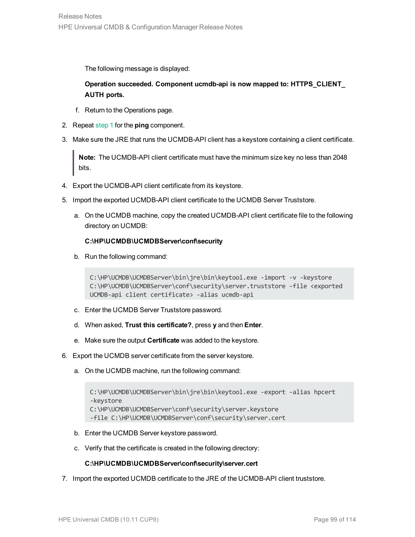The following message is displayed:

**Operation succeeded. Component ucmdb-api is now mapped to: HTTPS\_CLIENT\_ AUTH ports.**

- f. Return to the Operations page.
- 2. Repeat [step](#page-97-1) 1 for the **ping** component.
- 3. Make sure the JRE that runs the UCMDB-API client has a keystore containing a client certificate.

**Note:** The UCMDB-API client certificate must have the minimum size key no less than 2048 bits.

- 4. Export the UCMDB-API client certificate from its keystore.
- 5. Import the exported UCMDB-API client certificate to the UCMDB Server Truststore.
	- a. On the UCMDB machine, copy the created UCMDB-API client certificate file to the following directory on UCMDB:

#### **C:\HP\UCMDB\UCMDBServer\conf\security**

b. Run the following command:

```
C:\HP\UCMDB\UCMDBServer\bin\jre\bin\keytool.exe -import -v -keystore
C:\HP\UCMDB\UCMDBServer\conf\security\server.truststore -file <exported
UCMDB-api client certificate> -alias ucmdb-api
```
- c. Enter the UCMDB Server Truststore password.
- d. When asked, **Trust this certificate?**, press **y** and then **Enter**.
- e. Make sure the output **Certificate** was added to the keystore.
- 6. Export the UCMDB server certificate from the server keystore.
	- a. On the UCMDB machine, run the following command:

```
C:\HP\UCMDB\UCMDBServer\bin\jre\bin\keytool.exe -export -alias hpcert
-keystore
C:\HP\UCMDB\UCMDBServer\conf\security\server.keystore
-file C:\HP\UCMDB\UCMDBServer\conf\security\server.cert
```
- b. Enter the UCMDB Server keystore password.
- c. Verify that the certificate is created in the following directory:

#### **C:\HP\UCMDB\UCMDBServer\conf\security\server.cert**

7. Import the exported UCMDB certificate to the JRE of the UCMDB-API client truststore.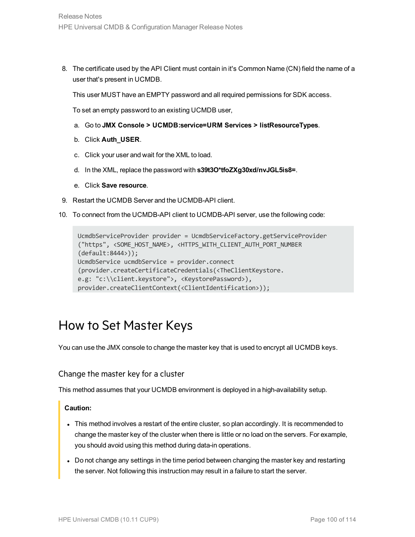8. The certificate used by the API Client must contain in it's Common Name (CN) field the name of a user that's present in UCMDB.

This user MUST have an EMPTY password and all required permissions for SDK access.

To set an empty password to an existing UCMDB user,

- a. Go to **JMX Console > UCMDB:service=URM Services > listResourceTypes**.
- b. Click **Auth\_USER**.
- c. Click your user and wait for the XML to load.
- d. In the XML, replace the password with **s39t3O\*tfoZXg30xd/nvJGL5is8=**.
- e. Click **Save resource**.
- 9. Restart the UCMDB Server and the UCMDB-API client.
- 10. To connect from the UCMDB-API client to UCMDB-API server, use the following code:

```
UcmdbServiceProvider provider = UcmdbServiceFactory.getServiceProvider
("https", <SOME_HOST_NAME>, <HTTPS_WITH_CLIENT_AUTH_PORT_NUMBER
(default:8444>));
UcmdbService ucmdbService = provider.connect
(provider.createCertificateCredentials(<TheClientKeystore.
e.g: "c:\\client.keystore">, <KeystorePassword>),
provider.createClientContext(<ClientIdentification>));
```
## <span id="page-99-0"></span>How to Set Master Keys

<span id="page-99-1"></span>You can use the JMX console to change the master key that is used to encrypt all UCMDB keys.

### Change the master key for a cluster

This method assumes that your UCMDB environment is deployed in a high-availability setup.

#### **Caution:**

- This method involves a restart of the entire cluster, so plan accordingly. It is recommended to change the master key of the cluster when there is little or no load on the servers. For example, you should avoid using this method during data-in operations.
- Do not change any settings in the time period between changing the master key and restarting the server. Not following this instruction may result in a failure to start the server.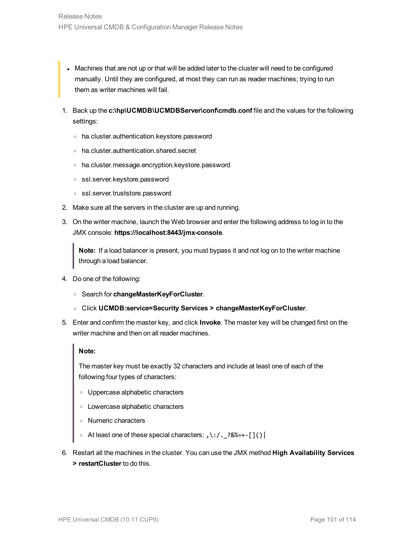- Machines that are not up or that will be added later to the cluster will need to be configured manually. Until they are configured, at most they can run as reader machines; trying to run them as writer machines will fail.
- 1. Back up the **c:\hp\UCMDB\UCMDBServer\conf\cmdb.conf** file and the values for the following settings:
	- <sup>o</sup> ha.cluster.authentication.keystore.password
	- <sup>o</sup> ha.cluster.authentication.shared.secret
	- <sup>o</sup> ha.cluster.message.encryption.keystore.password
	- <sup>o</sup> ssl.server.keystore.password
	- <sup>o</sup> ssl.server.truststore.password
- 2. Make sure all the servers in the cluster are up and running.
- 3. On the writer machine, launch the Web browser and enter the following address to log in to the JMX console: **https://localhost:8443/jmx-console**.

**Note:** If a load balancer is present, you must bypass it and not log on to the writer machine through a load balancer.

- 4. Do one of the following:
	- <sup>o</sup> Search for **changeMasterKeyForCluster**.
	- <sup>o</sup> Click **UCMDB:service=Security Services > changeMasterKeyForCluster**.
- 5. Enter and confirm the master key, and click **Invoke**. The master key will be changed first on the writer machine and then on all reader machines.

#### **Note:**

The master key must be exactly 32 characters and include at least one of each of the following four types of characters:

- <sup>o</sup> Uppercase alphabetic characters
- <sup>o</sup> Lowercase alphabetic characters
- <sup>o</sup> Numeric characters
- <sup>o</sup> At least one of these special characters: **,\:/.\_?&%=+-[]()|**
- 6. Restart all the machines in the cluster. You can use the JMX method **High Availability Services > restartCluster** to do this.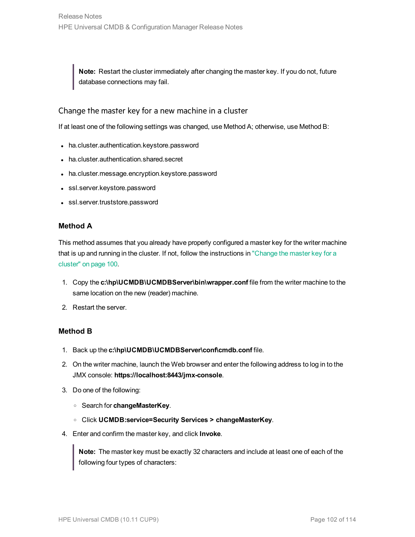**Note:** Restart the cluster immediately after changing the master key. If you do not, future database connections may fail.

### Change the master key for a new machine in a cluster

If at least one of the following settings was changed, use Method A; otherwise, use Method B:

- ha.cluster.authentication.keystore.password
- ha.cluster.authentication.shared.secret
- ha.cluster.message.encryption.keystore.password
- ssl.server.keystore.password
- ssl.server.truststore.password

### **Method A**

This method assumes that you already have properly configured a master key for the writer machine that is up and running in the cluster. If not, follow the instructions in ["Change](#page-99-1) the master key for a [cluster"](#page-99-1) on page 100.

- 1. Copy the **c:\hp\UCMDB\UCMDBServer\bin\wrapper.conf** file from the writer machine to the same location on the new (reader) machine.
- 2. Restart the server.

### **Method B**

- 1. Back up the **c:\hp\UCMDB\UCMDBServer\conf\cmdb.conf** file.
- 2. On the writer machine, launch the Web browser and enter the following address to log in to the JMX console: **https://localhost:8443/jmx-console**.
- 3. Do one of the following:
	- <sup>o</sup> Search for **changeMasterKey**.
	- <sup>o</sup> Click **UCMDB:service=Security Services > changeMasterKey**.
- 4. Enter and confirm the master key, and click **Invoke**.

**Note:** The master key must be exactly 32 characters and include at least one of each of the following four types of characters: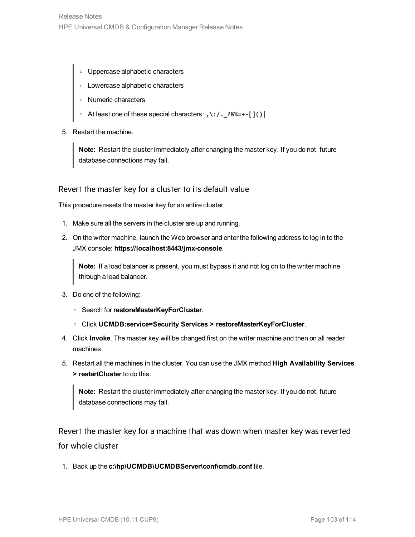- <sup>o</sup> Uppercase alphabetic characters
- <sup>o</sup> Lowercase alphabetic characters
- <sup>o</sup> Numeric characters
- <sup>o</sup> At least one of these special characters: **,\:/.\_?&%=+-[]()|**
- 5. Restart the machine.

**Note:** Restart the cluster immediately after changing the master key. If you do not, future database connections may fail.

### Revert the master key for a cluster to its default value

This procedure resets the master key for an entire cluster.

- 1. Make sure all the servers in the cluster are up and running.
- 2. On the writer machine, launch the Web browser and enter the following address to log in to the JMX console: **https://localhost:8443/jmx-console**.

**Note:** If a load balancer is present, you must bypass it and not log on to the writer machine through a load balancer.

- 3. Do one of the following:
	- <sup>o</sup> Search for**restoreMasterKeyForCluster**.
	- <sup>o</sup> Click **UCMDB:service=Security Services > restoreMasterKeyForCluster**.
- 4. Click **Invoke**. The master key will be changed first on the writer machine and then on all reader machines.
- 5. Restart all the machines in the cluster. You can use the JMX method **High Availability Services > restartCluster** to do this.

**Note:** Restart the cluster immediately after changing the master key. If you do not, future database connections may fail.

Revert the master key for a machine that was down when master key was reverted for whole cluster

1. Back up the **c:\hp\UCMDB\UCMDBServer\conf\cmdb.conf** file.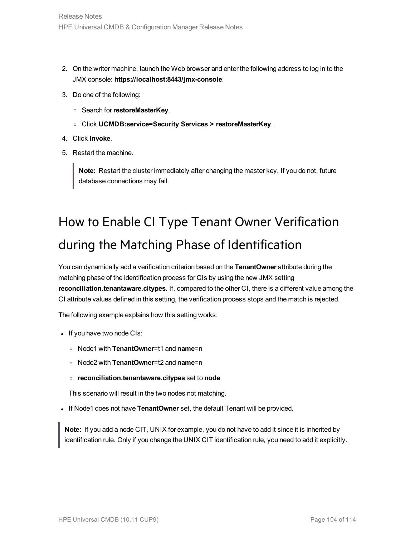- 2. On the writer machine, launch the Web browser and enter the following address to log in to the JMX console: **https://localhost:8443/jmx-console**.
- 3. Do one of the following:
	- <sup>o</sup> Search for**restoreMasterKey**.
	- <sup>o</sup> Click **UCMDB:service=Security Services > restoreMasterKey**.
- 4. Click **Invoke**.
- 5. Restart the machine.

**Note:** Restart the cluster immediately after changing the master key. If you do not, future database connections may fail.

# <span id="page-103-0"></span>How to Enable CI Type Tenant Owner Verification during the Matching Phase of Identification

You can dynamically add a verification criterion based on the **TenantOwner** attribute during the matching phase of the identification process for CIs by using the new JMX setting **reconciliation.tenantaware.citypes**. If, compared to the other CI, there is a different value among the CI attribute values defined in this setting, the verification process stops and the match is rejected.

The following example explains how this setting works:

- If you have two node CIs:
	- <sup>o</sup> Node1 with **TenantOwner**=t1 and **name**=n
	- <sup>o</sup> Node2 with **TenantOwner**=t2 and **name**=n
	- <sup>o</sup> **reconciliation.tenantaware.citypes** set to **node**

This scenario will result in the two nodes not matching.

. If Node1 does not have **TenantOwner** set, the default Tenant will be provided.

**Note:** If you add a node CIT, UNIX for example, you do not have to add it since it is inherited by identification rule. Only if you change the UNIX CIT identification rule, you need to add it explicitly.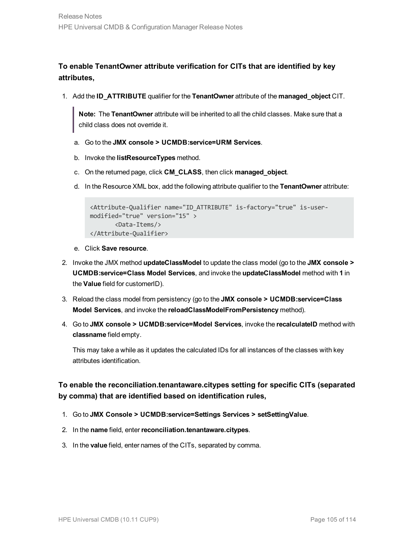**To enable TenantOwner attribute verification for CITs that are identified by key attributes,**

1. Add the **ID\_ATTRIBUTE** qualifier for the **TenantOwner** attribute of the **managed\_object** CIT.

**Note:** The **TenantOwner** attribute will be inherited to all the child classes. Make sure that a child class does not override it.

- a. Go to the **JMX console > UCMDB:service=URM Services**.
- b. Invoke the **listResourceTypes** method.
- c. On the returned page, click **CM\_CLASS**, then click **managed\_object**.
- d. In the Resource XML box, add the following attribute qualifier to the **TenantOwner** attribute:

```
<Attribute-Qualifier name="ID_ATTRIBUTE" is-factory="true" is-user-
modified="true" version="15" >
       <Data-Items/>
</Attribute-Qualifier>
```
- e. Click **Save resource**.
- 2. Invoke the JMX method **updateClassModel** to update the class model (go to the **JMX console > UCMDB:service=Class Model Services**, and invoke the **updateClassModel** method with **1** in the **Value** field for customerID).
- 3. Reload the class model from persistency (go to the **JMX console > UCMDB:service=Class Model Services**, and invoke the **reloadClassModelFromPersistency** method).
- 4. Go to **JMX console > UCMDB:service=Model Services**, invoke the **recalculateID** method with **classname** field empty.

This may take a while as it updates the calculated IDs for all instances of the classes with key attributes identification.

### **To enable the reconciliation.tenantaware.citypes setting for specific CITs (separated by comma) that are identified based on identification rules,**

- 1. Go to **JMX Console > UCMDB:service=Settings Services > setSettingValue**.
- 2. In the **name** field, enter**reconciliation.tenantaware.citypes**.
- 3. In the **value** field, enter names of the CITs, separated by comma.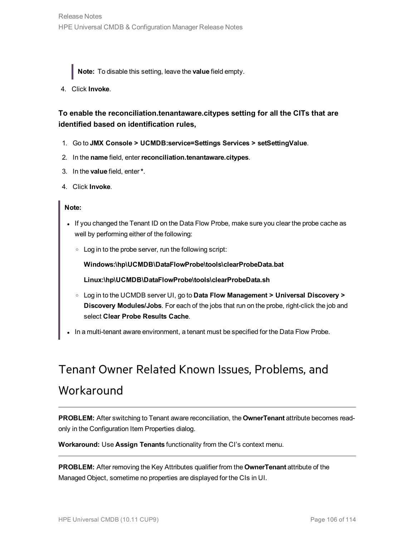**Note:** To disable this setting, leave the **value** field empty.

4. Click **Invoke**.

### **To enable the reconciliation.tenantaware.citypes setting for all the CITs that are identified based on identification rules,**

- 1. Go to **JMX Console > UCMDB:service=Settings Services > setSettingValue**.
- 2. In the **name** field, enter**reconciliation.tenantaware.citypes**.
- 3. In the **value** field, enter**\***.
- 4. Click **Invoke**.

#### **Note:**

- If you changed the Tenant ID on the Data Flow Probe, make sure you clear the probe cache as well by performing either of the following:
	- <sup>o</sup> Log in to the probe server, run the following script:

**Windows:\hp\UCMDB\DataFlowProbe\tools\clearProbeData.bat**

**Linux:\hp\UCMDB\DataFlowProbe\tools\clearProbeData.sh**

- <sup>o</sup> Log in to the UCMDB server UI, go to **Data Flow Management > Universal Discovery > Discovery Modules/Jobs**. For each of the jobs that run on the probe, right-click the job and select **Clear Probe Results Cache**.
- . In a multi-tenant aware environment, a tenant must be specified for the Data Flow Probe.

# Tenant Owner Related Known Issues, Problems, and Workaround

**PROBLEM:** After switching to Tenant aware reconciliation, the **OwnerTenant** attribute becomes readonly in the Configuration Item Properties dialog.

**Workaround:** Use **Assign Tenants** functionality from the CI's context menu.

**PROBLEM:** After removing the Key Attributes qualifier from the **OwnerTenant** attribute of the Managed Object, sometime no properties are displayed for the CIs in UI.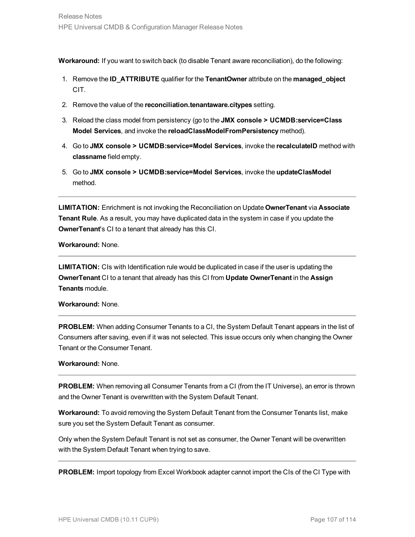**Workaround:** If you want to switch back (to disable Tenant aware reconciliation), do the following:

- 1. Remove the **ID\_ATTRIBUTE** qualifier for the **TenantOwner** attribute on the **managed\_object** CIT.
- 2. Remove the value of the **reconciliation.tenantaware.citypes** setting.
- 3. Reload the class model from persistency (go to the **JMX console > UCMDB:service=Class Model Services**, and invoke the **reloadClassModelFromPersistency** method).
- 4. Go to **JMX console > UCMDB:service=Model Services**, invoke the **recalculateID** method with **classname** field empty.
- 5. Go to **JMX console > UCMDB:service=Model Services**, invoke the **updateClasModel** method.

**LIMITATION:** Enrichment is not invoking the Reconciliation on Update **OwnerTenant** via **Associate Tenant Rule**. As a result, you may have duplicated data in the system in case if you update the **OwnerTenant**'s CI to a tenant that already has this CI.

**Workaround:** None.

**LIMITATION:** CIs with Identification rule would be duplicated in case if the user is updating the **OwnerTenant** CI to a tenant that already has this CI from **Update OwnerTenant** in the **Assign Tenants** module.

**Workaround:** None.

**PROBLEM:** When adding Consumer Tenants to a CI, the System Default Tenant appears in the list of Consumers after saving, even if it was not selected. This issue occurs only when changing the Owner Tenant or the Consumer Tenant.

**Workaround:** None.

**PROBLEM:** When removing all Consumer Tenants from a CI (from the IT Universe), an error is thrown and the Owner Tenant is overwritten with the System Default Tenant.

**Workaround:** To avoid removing the System Default Tenant from the Consumer Tenants list, make sure you set the System Default Tenant as consumer.

Only when the System Default Tenant is not set as consumer, the Owner Tenant will be overwritten with the System Default Tenant when trying to save.

**PROBLEM:** Import topology from Excel Workbook adapter cannot import the CIs of the CI Type with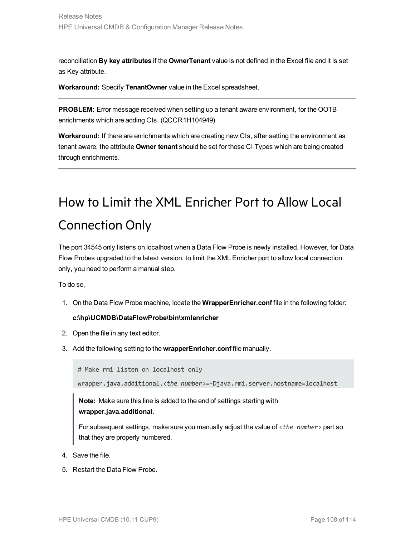reconciliation **By key attributes** if the **OwnerTenant** value is not defined in the Excel file and it is set as Key attribute.

**Workaround:** Specify **TenantOwner** value in the Excel spreadsheet.

**PROBLEM:** Error message received when setting up a tenant aware environment, for the OOTB enrichments which are adding CIs. (QCCR1H104949)

**Workaround:** If there are enrichments which are creating new CIs, after setting the environment as tenant aware, the attribute **Owner tenant** should be set for those CI Types which are being created through enrichments.

# <span id="page-107-0"></span>How to Limit the XML Enricher Port to Allow Local Connection Only

The port 34545 only listens on localhost when a Data Flow Probe is newly installed. However, for Data Flow Probes upgraded to the latest version, to limit the XML Enricher port to allow local connection only, you need to perform a manual step.

To do so,

1. On the Data Flow Probe machine, locate the **WrapperEnricher.conf** file in the following folder:

#### **c:\hp\UCMDB\DataFlowProbe\bin\xmlenricher**

- 2. Open the file in any text editor.
- 3. Add the following setting to the **wrapperEnricher.conf** file manually.

# Make rmi listen on localhost only

wrapper.java.additional.*<the number>*=-Djava.rmi.server.hostname=localhost

**Note:** Make sure this line is added to the end of settings starting with **wrapper.java.additional**.

For subsequent settings, make sure you manually adjust the value of <*the number*> part so that they are properly numbered.

- 4. Save the file.
- 5. Restart the Data Flow Probe.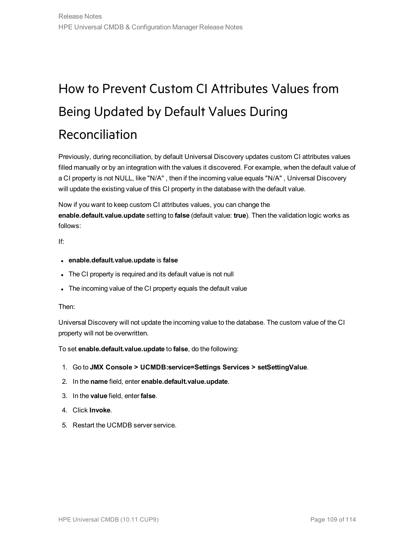# How to Prevent Custom CI Attributes Values from Being Updated by Default Values During Reconciliation

Previously, during reconciliation, by default Universal Discovery updates custom CI attributes values filled manually or by an integration with the values it discovered. For example, when the default value of a CI property is not NULL, like "N/A" , then if the incoming value equals "N/A" , Universal Discovery will update the existing value of this CI property in the database with the default value.

Now if you want to keep custom CI attributes values, you can change the **enable.default.value.update** setting to **false** (default value: **true**). Then the validation logic works as follows:

If:

- <sup>l</sup> **enable.default.value.update** is **false**
- The CI property is required and its default value is not null
- The incoming value of the CI property equals the default value

#### Then:

Universal Discovery will not update the incoming value to the database. The custom value of the CI property will not be overwritten.

To set **enable.default.value.update** to **false**, do the following:

- 1. Go to **JMX Console > UCMDB:service=Settings Services > setSettingValue**.
- 2. In the **name** field, enter **enable.default.value.update**.
- 3. In the **value** field, enter **false**.
- 4. Click **Invoke**.
- 5. Restart the UCMDB server service.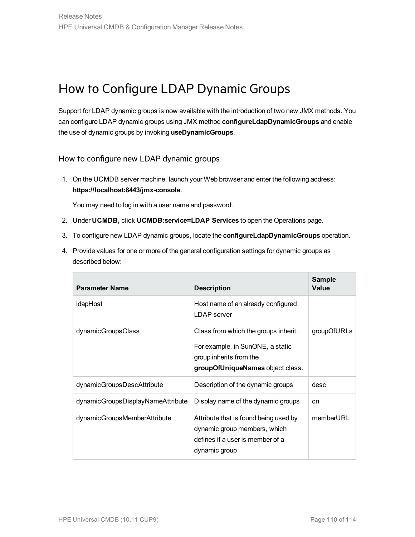### How to Configure LDAP Dynamic Groups

Support for LDAP dynamic groups is now available with the introduction of two new JMX methods. You can configure LDAP dynamic groups using JMX method **configureLdapDynamicGroups** and enable the use of dynamic groups by invoking **useDynamicGroups**.

How to configure new LDAP dynamic groups

1. On the UCMDB server machine, launch your Web browser and enter the following address: **https://localhost:8443/jmx-console**.

You may need to log in with a user name and password.

- 2. Under **UCMDB,** click **UCMDB:service=LDAP Services** to open the Operations page.
- 3. To configure new LDAP dynamic groups, locate the **configureLdapDynamicGroups** operation.
- 4. Provide values for one or more of the general configuration settings for dynamic groups as described below:

| <b>Parameter Name</b>             | <b>Description</b>                                                                                                                      | <b>Sample</b><br>Value |
|-----------------------------------|-----------------------------------------------------------------------------------------------------------------------------------------|------------------------|
| <b>IdapHost</b>                   | Host name of an already configured<br>LDAP server                                                                                       |                        |
| dynamicGroupsClass                | Class from which the groups inherit.<br>For example, in SunONE, a static<br>group inherits from the<br>groupOfUniqueNames object class. | groupOfURLs            |
| dynamicGroupsDescAttribute        | Description of the dynamic groups                                                                                                       | desc                   |
| dynamicGroupsDisplayNameAttribute | Display name of the dynamic groups                                                                                                      | cn                     |
| dynamicGroupsMemberAttribute      | Attribute that is found being used by<br>dynamic group members, which<br>defines if a user is member of a<br>dynamic group              | memberURL              |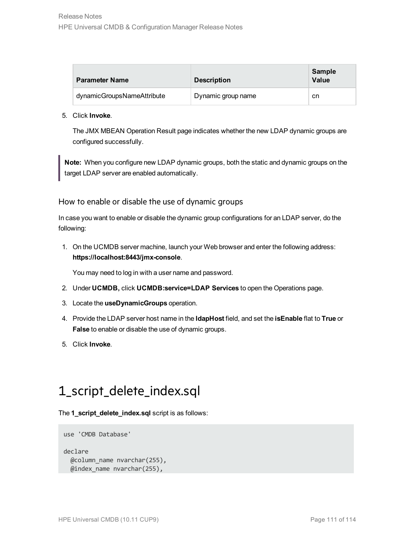| <b>Parameter Name</b>      | <b>Description</b> | Sample<br>Value |
|----------------------------|--------------------|-----------------|
| dynamicGroupsNameAttribute | Dynamic group name | cn              |

#### 5. Click **Invoke**.

The JMX MBEAN Operation Result page indicates whether the new LDAP dynamic groups are configured successfully.

**Note:** When you configure new LDAP dynamic groups, both the static and dynamic groups on the target LDAP server are enabled automatically.

#### How to enable or disable the use of dynamic groups

In case you want to enable or disable the dynamic group configurations for an LDAP server, do the following:

1. On the UCMDB server machine, launch your Web browser and enter the following address: **https://localhost:8443/jmx-console**.

You may need to log in with a user name and password.

- 2. Under **UCMDB,** click **UCMDB:service=LDAP Services** to open the Operations page.
- 3. Locate the **useDynamicGroups** operation.
- 4. Provide the LDAP server host name in the **ldapHost** field, and set the **isEnable** flat to **True** or **False** to enable or disable the use of dynamic groups.
- 5. Click **Invoke**.

### 1\_script\_delete\_index.sql

The **1\_script\_delete\_index.sql** script is as follows:

```
use 'CMDB Database'
declare
  @column_name nvarchar(255),
  @index_name nvarchar(255),
```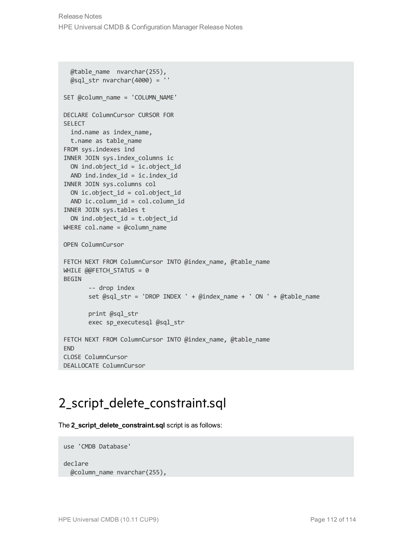```
@table_name nvarchar(255),
  \textsf{Qsql} str nvarchar(4000) = ''
SET @column_name = 'COLUMN_NAME'
DECLARE ColumnCursor CURSOR FOR
SELECT
  ind.name as index name,
 t.name as table_name
FROM sys.indexes ind
INNER JOIN sys.index_columns ic
  ON ind.object_id = ic.object_id
 AND ind.index_id = ic.index_id
INNER JOIN sys.columns col
  ON ic.object_id = col.object_id
 AND ic.column_id = col.column_id
INNER JOIN sys.tables t
  ON ind.object id = t.object idWHERE col.name = @column name
OPEN ColumnCursor
FETCH NEXT FROM ColumnCursor INTO @index name, @table name
WHILE @@FETCH STATUS = 0
BEGIN
       -- drop index
       set @sql str = 'DROP INDEX ' + @index name + ' ON ' + @table name
       print @sql_str
       exec sp_executesql @sql_str
FETCH NEXT FROM ColumnCursor INTO @index name, @table name
END
CLOSE ColumnCursor
DEALLOCATE ColumnCursor
```
### 2\_script\_delete\_constraint.sql

The **2\_script\_delete\_constraint.sql** script is as follows:

```
use 'CMDB Database'
declare
  @column_name nvarchar(255),
```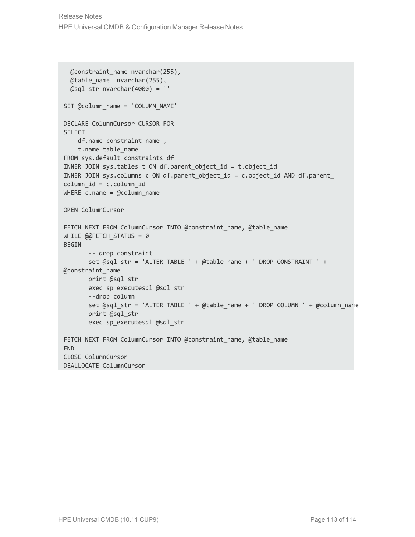```
@constraint_name nvarchar(255),
  @table_name nvarchar(255),
  @sql str nvarchar(4000) = ''
SET @column_name = 'COLUMN_NAME'
DECLARE ColumnCursor CURSOR FOR
SELECT
    df.name constraint name ,
   t.name table_name
FROM sys.default constraints df
INNER JOIN sys.tables t ON df.parent_object_id = t.object_id
INNER JOIN sys.columns c ON df.parent_object_id = c.object_id AND df.parent_
column_id = c.column_id
WHERE c.name = @column nameOPEN ColumnCursor
FETCH NEXT FROM ColumnCursor INTO @constraint name, @table name
WHILE @@FETCH STATUS = 0
BEGIN
       -- drop constraint
       set @sql str = 'ALTER TABLE ' + @table name + ' DROP CONSTRAINT ' +
@constraint_name
       print @sql_str
       exec sp_executesql @sql_str
       --drop column
       set @sql_str = 'ALTER TABLE ' + @table_name + ' DROP COLUMN ' + @column_name
       print @sql_str
       exec sp_executesql @sql_str
FETCH NEXT FROM ColumnCursor INTO @constraint name, @table name
END
CLOSE ColumnCursor
DEALLOCATE ColumnCursor
```